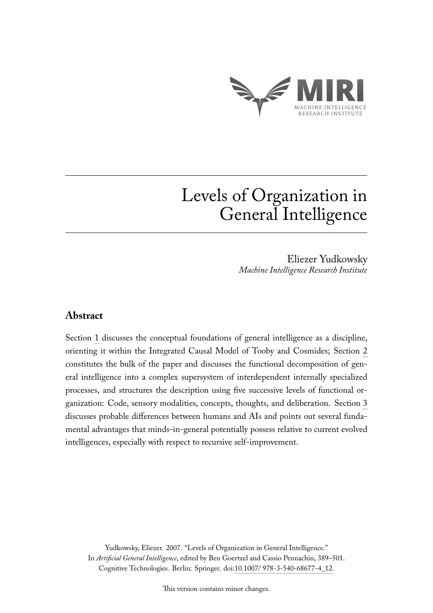

# Levels of Organization in General Intelligence

Eliezer Yudkowsky *Machine Intelligence Research Institute*

# **Abstract**

Section [1](#page-1-0) discusses the conceptual foundations of general intelligence as a discipline, orienting it within the Integrated Causal Model of Tooby and Cosmides; Section [2](#page-8-0) constitutes the bulk of the paper and discusses the functional decomposition of general intelligence into a complex supersystem of interdependent internally specialized processes, and structures the description using five successive levels of functional organization: Code, sensory modalities, concepts, thoughts, and deliberation. Section [3](#page-93-0) discusses probable differences between humans and AIs and points out several fundamental advantages that minds-in-general potentially possess relative to current evolved intelligences, especially with respect to recursive self-improvement.

Yudkowsky, Eliezer. 2007. "Levels of Organization in General Intelligence." In *Artificial General Intelligence*, edited by Ben Goertzel and Cassio Pennachin, 389–501. Cognitive Technologies. Berlin: Springer. doi[:10.1007/ 978-3-540-68677-4\\_12.](http://dx.doi.org/10.1007/ 978-3-540-68677-4_12)

This version contains minor changes.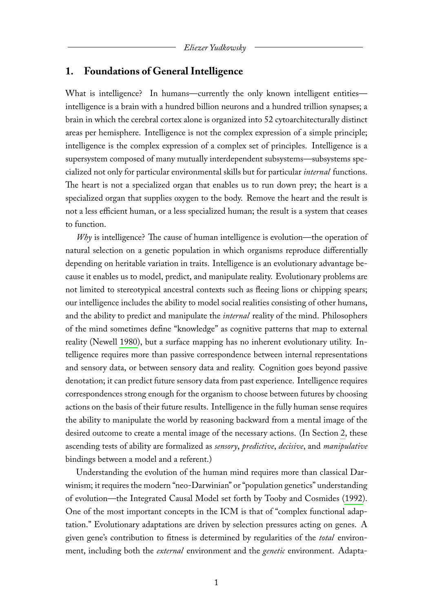## <span id="page-1-0"></span>**1. Foundations of General Intelligence**

What is intelligence? In humans—currently the only known intelligent entities intelligence is a brain with a hundred billion neurons and a hundred trillion synapses; a brain in which the cerebral cortex alone is organized into 52 cytoarchitecturally distinct areas per hemisphere. Intelligence is not the complex expression of a simple principle; intelligence is the complex expression of a complex set of principles. Intelligence is a supersystem composed of many mutually interdependent subsystems—subsystems specialized not only for particular environmental skills but for particular *internal* functions. The heart is not a specialized organ that enables us to run down prey; the heart is a specialized organ that supplies oxygen to the body. Remove the heart and the result is not a less efficient human, or a less specialized human; the result is a system that ceases to function.

*Why* is intelligence? The cause of human intelligence is evolution—the operation of natural selection on a genetic population in which organisms reproduce differentially depending on heritable variation in traits. Intelligence is an evolutionary advantage because it enables us to model, predict, and manipulate reality. Evolutionary problems are not limited to stereotypical ancestral contexts such as fleeing lions or chipping spears; our intelligence includes the ability to model social realities consisting of other humans, and the ability to predict and manipulate the *internal* reality of the mind. Philosophers of the mind sometimes define "knowledge" as cognitive patterns that map to external reality (Newell [1980\)](#page-119-0), but a surface mapping has no inherent evolutionary utility. Intelligence requires more than passive correspondence between internal representations and sensory data, or between sensory data and reality. Cognition goes beyond passive denotation; it can predict future sensory data from past experience. Intelligence requires correspondences strong enough for the organism to choose between futures by choosing actions on the basis of their future results. Intelligence in the fully human sense requires the ability to manipulate the world by reasoning backward from a mental image of the desired outcome to create a mental image of the necessary actions. (In Section [2,](#page-8-0) these ascending tests of ability are formalized as *sensory*, *predictive*, *decisive*, and *manipulative* bindings between a model and a referent.)

Understanding the evolution of the human mind requires more than classical Darwinism; it requires the modern "neo-Darwinian" or "population genetics" understanding of evolution—the Integrated Causal Model set forth by Tooby and Cosmides [\(1992\)](#page-120-0). One of the most important concepts in the ICM is that of "complex functional adaptation." Evolutionary adaptations are driven by selection pressures acting on genes. A given gene's contribution to fitness is determined by regularities of the *total* environment, including both the *external* environment and the *genetic* environment. Adapta-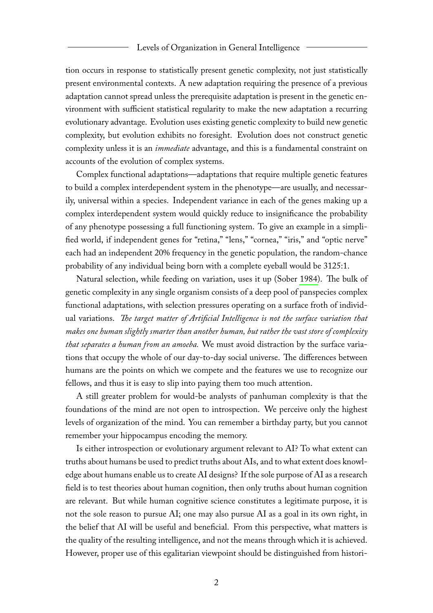tion occurs in response to statistically present genetic complexity, not just statistically present environmental contexts. A new adaptation requiring the presence of a previous adaptation cannot spread unless the prerequisite adaptation is present in the genetic environment with sufficient statistical regularity to make the new adaptation a recurring evolutionary advantage. Evolution uses existing genetic complexity to build new genetic complexity, but evolution exhibits no foresight. Evolution does not construct genetic complexity unless it is an *immediate* advantage, and this is a fundamental constraint on accounts of the evolution of complex systems.

Complex functional adaptations—adaptations that require multiple genetic features to build a complex interdependent system in the phenotype—are usually, and necessarily, universal within a species. Independent variance in each of the genes making up a complex interdependent system would quickly reduce to insignificance the probability of any phenotype possessing a full functioning system. To give an example in a simplified world, if independent genes for "retina," "lens," "cornea," "iris," and "optic nerve" each had an independent 20% frequency in the genetic population, the random-chance probability of any individual being born with a complete eyeball would be 3125:1.

Natural selection, while feeding on variation, uses it up (Sober [1984\)](#page-120-1). The bulk of genetic complexity in any single organism consists of a deep pool of panspecies complex functional adaptations, with selection pressures operating on a surface froth of individual variations. *The target matter of Artificial Intelligence is not the surface variation that makes one human slightly smarter than another human, but rather the vast store of complexity that separates a human from an amoeba.* We must avoid distraction by the surface variations that occupy the whole of our day-to-day social universe. The differences between humans are the points on which we compete and the features we use to recognize our fellows, and thus it is easy to slip into paying them too much attention.

A still greater problem for would-be analysts of panhuman complexity is that the foundations of the mind are not open to introspection. We perceive only the highest levels of organization of the mind. You can remember a birthday party, but you cannot remember your hippocampus encoding the memory.

Is either introspection or evolutionary argument relevant to AI? To what extent can truths about humans be used to predict truths about AIs, and to what extent does knowledge about humans enable us to create AI designs? If the sole purpose of AI as a research field is to test theories about human cognition, then only truths about human cognition are relevant. But while human cognitive science constitutes a legitimate purpose, it is not the sole reason to pursue AI; one may also pursue AI as a goal in its own right, in the belief that AI will be useful and beneficial. From this perspective, what matters is the quality of the resulting intelligence, and not the means through which it is achieved. However, proper use of this egalitarian viewpoint should be distinguished from histori-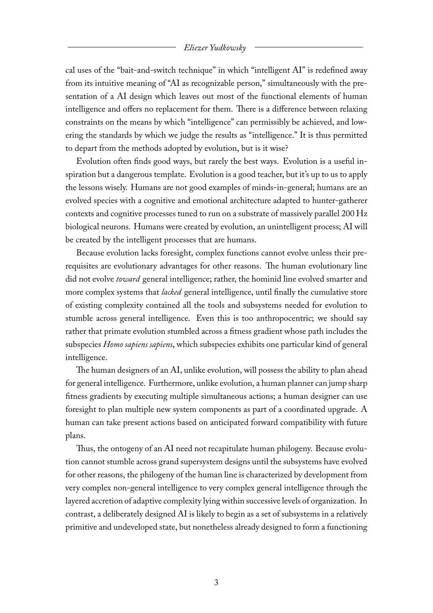cal uses of the "bait-and-switch technique" in which "intelligent AI" is redefined away from its intuitive meaning of "AI as recognizable person," simultaneously with the presentation of a AI design which leaves out most of the functional elements of human intelligence and offers no replacement for them. There is a difference between relaxing constraints on the means by which "intelligence" can permissibly be achieved, and lowering the standards by which we judge the results as "intelligence." It is thus permitted to depart from the methods adopted by evolution, but is it wise?

Evolution often finds good ways, but rarely the best ways. Evolution is a useful inspiration but a dangerous template. Evolution is a good teacher, but it's up to us to apply the lessons wisely. Humans are not good examples of minds-in-general; humans are an evolved species with a cognitive and emotional architecture adapted to hunter-gatherer contexts and cognitive processes tuned to run on a substrate of massively parallel 200 Hz biological neurons. Humans were created by evolution, an unintelligent process; AI will be created by the intelligent processes that are humans.

Because evolution lacks foresight, complex functions cannot evolve unless their prerequisites are evolutionary advantages for other reasons. The human evolutionary line did not evolve *toward* general intelligence; rather, the hominid line evolved smarter and more complex systems that *lacked* general intelligence, until finally the cumulative store of existing complexity contained all the tools and subsystems needed for evolution to stumble across general intelligence. Even this is too anthropocentric; we should say rather that primate evolution stumbled across a fitness gradient whose path includes the subspecies *Homo sapiens sapiens*, which subspecies exhibits one particular kind of general intelligence.

The human designers of an AI, unlike evolution, will possess the ability to plan ahead for general intelligence. Furthermore, unlike evolution, a human planner can jump sharp fitness gradients by executing multiple simultaneous actions; a human designer can use foresight to plan multiple new system components as part of a coordinated upgrade. A human can take present actions based on anticipated forward compatibility with future plans.

Thus, the ontogeny of an AI need not recapitulate human philogeny. Because evolution cannot stumble across grand supersystem designs until the subsystems have evolved for other reasons, the philogeny of the human line is characterized by development from very complex non-general intelligence to very complex general intelligence through the layered accretion of adaptive complexity lying within successive levels of organization. In contrast, a deliberately designed AI is likely to begin as a set of subsystems in a relatively primitive and undeveloped state, but nonetheless already designed to form a functioning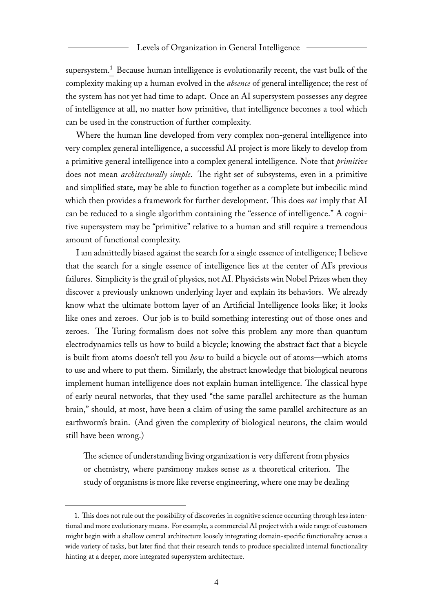supersystem.<sup>[1](#page-4-0)</sup> Because human intelligence is evolutionarily recent, the vast bulk of the complexity making up a human evolved in the *absence* of general intelligence; the rest of the system has not yet had time to adapt. Once an AI supersystem possesses any degree of intelligence at all, no matter how primitive, that intelligence becomes a tool which can be used in the construction of further complexity.

Where the human line developed from very complex non-general intelligence into very complex general intelligence, a successful AI project is more likely to develop from a primitive general intelligence into a complex general intelligence. Note that *primitive* does not mean *architecturally simple*. The right set of subsystems, even in a primitive and simplified state, may be able to function together as a complete but imbecilic mind which then provides a framework for further development. This does *not* imply that AI can be reduced to a single algorithm containing the "essence of intelligence." A cognitive supersystem may be "primitive" relative to a human and still require a tremendous amount of functional complexity.

I am admittedly biased against the search for a single essence of intelligence; I believe that the search for a single essence of intelligence lies at the center of AI's previous failures. Simplicity is the grail of physics, not AI. Physicists win Nobel Prizes when they discover a previously unknown underlying layer and explain its behaviors. We already know what the ultimate bottom layer of an Artificial Intelligence looks like; it looks like ones and zeroes. Our job is to build something interesting out of those ones and zeroes. The Turing formalism does not solve this problem any more than quantum electrodynamics tells us how to build a bicycle; knowing the abstract fact that a bicycle is built from atoms doesn't tell you *how* to build a bicycle out of atoms—which atoms to use and where to put them. Similarly, the abstract knowledge that biological neurons implement human intelligence does not explain human intelligence. The classical hype of early neural networks, that they used "the same parallel architecture as the human brain," should, at most, have been a claim of using the same parallel architecture as an earthworm's brain. (And given the complexity of biological neurons, the claim would still have been wrong.)

The science of understanding living organization is very different from physics or chemistry, where parsimony makes sense as a theoretical criterion. The study of organisms is more like reverse engineering, where one may be dealing

<span id="page-4-0"></span><sup>1.</sup> This does not rule out the possibility of discoveries in cognitive science occurring through less intentional and more evolutionary means. For example, a commercial AI project with a wide range of customers might begin with a shallow central architecture loosely integrating domain-specific functionality across a wide variety of tasks, but later find that their research tends to produce specialized internal functionality hinting at a deeper, more integrated supersystem architecture.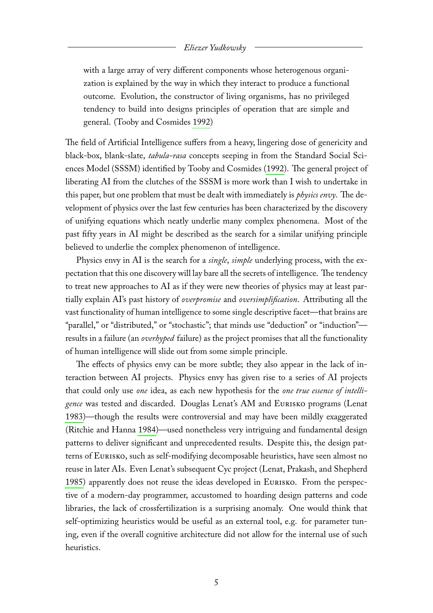with a large array of very different components whose heterogenous organization is explained by the way in which they interact to produce a functional outcome. Evolution, the constructor of living organisms, has no privileged tendency to build into designs principles of operation that are simple and general. (Tooby and Cosmides [1992\)](#page-120-0)

The field of Artificial Intelligence suffers from a heavy, lingering dose of genericity and black-box, blank-slate, *tabula-rasa* concepts seeping in from the Standard Social Sciences Model (SSSM) identified by Tooby and Cosmides [\(1992\)](#page-120-0). The general project of liberating AI from the clutches of the SSSM is more work than I wish to undertake in this paper, but one problem that must be dealt with immediately is *physics envy*. The development of physics over the last few centuries has been characterized by the discovery of unifying equations which neatly underlie many complex phenomena. Most of the past fifty years in AI might be described as the search for a similar unifying principle believed to underlie the complex phenomenon of intelligence.

Physics envy in AI is the search for a *single*, *simple* underlying process, with the expectation that this one discovery will lay bare all the secrets of intelligence. The tendency to treat new approaches to AI as if they were new theories of physics may at least partially explain AI's past history of *overpromise* and *oversimplification*. Attributing all the vast functionality of human intelligence to some single descriptive facet—that brains are "parallel," or "distributed," or "stochastic"; that minds use "deduction" or "induction" results in a failure (an *overhyped* failure) as the project promises that all the functionality of human intelligence will slide out from some simple principle.

The effects of physics envy can be more subtle; they also appear in the lack of interaction between AI projects. Physics envy has given rise to a series of AI projects that could only use *one* idea, as each new hypothesis for the *one true essence of intelligence* was tested and discarded. Douglas Lenat's AM and Eurisko programs (Lenat [1983\)](#page-118-0)—though the results were controversial and may have been mildly exaggerated (Ritchie and Hanna [1984\)](#page-119-1)—used nonetheless very intriguing and fundamental design patterns to deliver significant and unprecedented results. Despite this, the design patterns of Eurisko, such as self-modifying decomposable heuristics, have seen almost no reuse in later AIs. Even Lenat's subsequent Cyc project (Lenat, Prakash, and Shepherd [1985\)](#page-118-1) apparently does not reuse the ideas developed in Eurisko. From the perspective of a modern-day programmer, accustomed to hoarding design patterns and code libraries, the lack of crossfertilization is a surprising anomaly. One would think that self-optimizing heuristics would be useful as an external tool, e.g. for parameter tuning, even if the overall cognitive architecture did not allow for the internal use of such heuristics.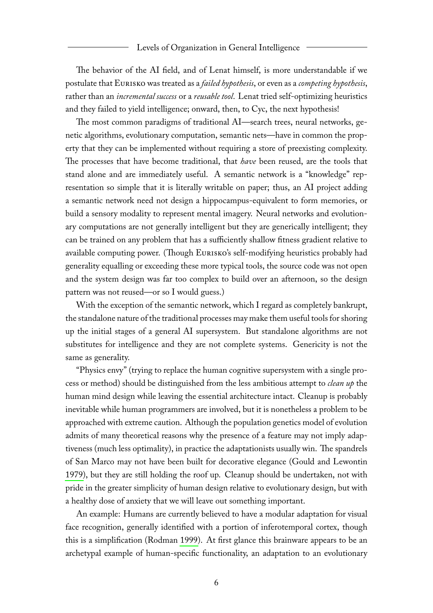The behavior of the AI field, and of Lenat himself, is more understandable if we postulate that Eurisko was treated as a *failed hypothesis*, or even as a *competing hypothesis*, rather than an *incremental success* or a *reusable tool*. Lenat tried self-optimizing heuristics and they failed to yield intelligence; onward, then, to Cyc, the next hypothesis!

The most common paradigms of traditional AI—search trees, neural networks, genetic algorithms, evolutionary computation, semantic nets—have in common the property that they can be implemented without requiring a store of preexisting complexity. The processes that have become traditional, that *have* been reused, are the tools that stand alone and are immediately useful. A semantic network is a "knowledge" representation so simple that it is literally writable on paper; thus, an AI project adding a semantic network need not design a hippocampus-equivalent to form memories, or build a sensory modality to represent mental imagery. Neural networks and evolutionary computations are not generally intelligent but they are generically intelligent; they can be trained on any problem that has a sufficiently shallow fitness gradient relative to available computing power. (Though Eurisko's self-modifying heuristics probably had generality equalling or exceeding these more typical tools, the source code was not open and the system design was far too complex to build over an afternoon, so the design pattern was not reused—or so I would guess.)

With the exception of the semantic network, which I regard as completely bankrupt, the standalone nature of the traditional processes may make them useful tools for shoring up the initial stages of a general AI supersystem. But standalone algorithms are not substitutes for intelligence and they are not complete systems. Genericity is not the same as generality.

"Physics envy" (trying to replace the human cognitive supersystem with a single process or method) should be distinguished from the less ambitious attempt to *clean up* the human mind design while leaving the essential architecture intact. Cleanup is probably inevitable while human programmers are involved, but it is nonetheless a problem to be approached with extreme caution. Although the population genetics model of evolution admits of many theoretical reasons why the presence of a feature may not imply adaptiveness (much less optimality), in practice the adaptationists usually win. The spandrels of San Marco may not have been built for decorative elegance (Gould and Lewontin [1979\)](#page-116-0), but they are still holding the roof up. Cleanup should be undertaken, not with pride in the greater simplicity of human design relative to evolutionary design, but with a healthy dose of anxiety that we will leave out something important.

An example: Humans are currently believed to have a modular adaptation for visual face recognition, generally identified with a portion of inferotemporal cortex, though this is a simplification (Rodman [1999\)](#page-119-2). At first glance this brainware appears to be an archetypal example of human-specific functionality, an adaptation to an evolutionary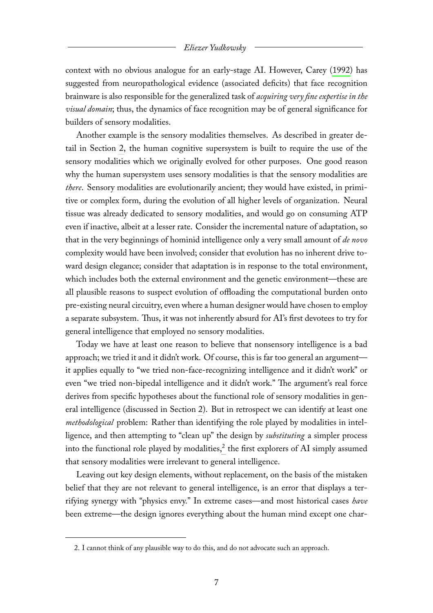context with no obvious analogue for an early-stage AI. However, Carey [\(1992\)](#page-115-0) has suggested from neuropathological evidence (associated deficits) that face recognition brainware is also responsible for the generalized task of *acquiring very fine expertise in the visual domain*; thus, the dynamics of face recognition may be of general significance for builders of sensory modalities.

Another example is the sensory modalities themselves. As described in greater detail in Section [2,](#page-8-0) the human cognitive supersystem is built to require the use of the sensory modalities which we originally evolved for other purposes. One good reason why the human supersystem uses sensory modalities is that the sensory modalities are *there*. Sensory modalities are evolutionarily ancient; they would have existed, in primitive or complex form, during the evolution of all higher levels of organization. Neural tissue was already dedicated to sensory modalities, and would go on consuming ATP even if inactive, albeit at a lesser rate. Consider the incremental nature of adaptation, so that in the very beginnings of hominid intelligence only a very small amount of *de novo* complexity would have been involved; consider that evolution has no inherent drive toward design elegance; consider that adaptation is in response to the total environment, which includes both the external environment and the genetic environment—these are all plausible reasons to suspect evolution of offloading the computational burden onto pre-existing neural circuitry, even where a human designer would have chosen to employ a separate subsystem. Thus, it was not inherently absurd for AI's first devotees to try for general intelligence that employed no sensory modalities.

Today we have at least one reason to believe that nonsensory intelligence is a bad approach; we tried it and it didn't work. Of course, this is far too general an argument it applies equally to "we tried non-face-recognizing intelligence and it didn't work" or even "we tried non-bipedal intelligence and it didn't work." The argument's real force derives from specific hypotheses about the functional role of sensory modalities in general intelligence (discussed in Section [2\)](#page-8-0). But in retrospect we can identify at least one *methodological* problem: Rather than identifying the role played by modalities in intelligence, and then attempting to "clean up" the design by *substituting* a simpler process into the functional role played by modalities, $^2$  $^2$  the first explorers of  ${\rm AI}$  simply assumed that sensory modalities were irrelevant to general intelligence.

Leaving out key design elements, without replacement, on the basis of the mistaken belief that they are not relevant to general intelligence, is an error that displays a terrifying synergy with "physics envy." In extreme cases—and most historical cases *have* been extreme—the design ignores everything about the human mind except one char-

<span id="page-7-0"></span><sup>2.</sup> I cannot think of any plausible way to do this, and do not advocate such an approach.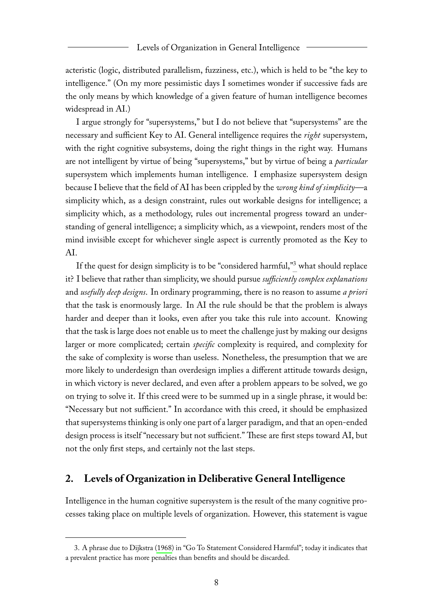acteristic (logic, distributed parallelism, fuzziness, etc.), which is held to be "the key to intelligence." (On my more pessimistic days I sometimes wonder if successive fads are the only means by which knowledge of a given feature of human intelligence becomes widespread in AI.)

I argue strongly for "supersystems," but I do not believe that "supersystems" are the necessary and sufficient Key to AI. General intelligence requires the *right* supersystem, with the right cognitive subsystems, doing the right things in the right way. Humans are not intelligent by virtue of being "supersystems," but by virtue of being a *particular* supersystem which implements human intelligence. I emphasize supersystem design because I believe that the field of AI has been crippled by the *wrong kind of simplicity*—a simplicity which, as a design constraint, rules out workable designs for intelligence; a simplicity which, as a methodology, rules out incremental progress toward an understanding of general intelligence; a simplicity which, as a viewpoint, renders most of the mind invisible except for whichever single aspect is currently promoted as the Key to AI.

If the quest for design simplicity is to be "considered harmful,"[3](#page-8-1) what should replace it? I believe that rather than simplicity, we should pursue *sufficiently complex explanations* and *usefully deep designs*. In ordinary programming, there is no reason to assume *a priori* that the task is enormously large. In AI the rule should be that the problem is always harder and deeper than it looks, even after you take this rule into account. Knowing that the task is large does not enable us to meet the challenge just by making our designs larger or more complicated; certain *specific* complexity is required, and complexity for the sake of complexity is worse than useless. Nonetheless, the presumption that we are more likely to underdesign than overdesign implies a different attitude towards design, in which victory is never declared, and even after a problem appears to be solved, we go on trying to solve it. If this creed were to be summed up in a single phrase, it would be: "Necessary but not sufficient." In accordance with this creed, it should be emphasized that supersystems thinking is only one part of a larger paradigm, and that an open-ended design process is itself "necessary but not sufficient." These are first steps toward AI, but not the only first steps, and certainly not the last steps.

# <span id="page-8-0"></span>**2. Levels of Organization in Deliberative General Intelligence**

Intelligence in the human cognitive supersystem is the result of the many cognitive processes taking place on multiple levels of organization. However, this statement is vague

<span id="page-8-1"></span><sup>3.</sup> A phrase due to Dijkstra [\(1968\)](#page-116-1) in "Go To Statement Considered Harmful"; today it indicates that a prevalent practice has more penalties than benefits and should be discarded.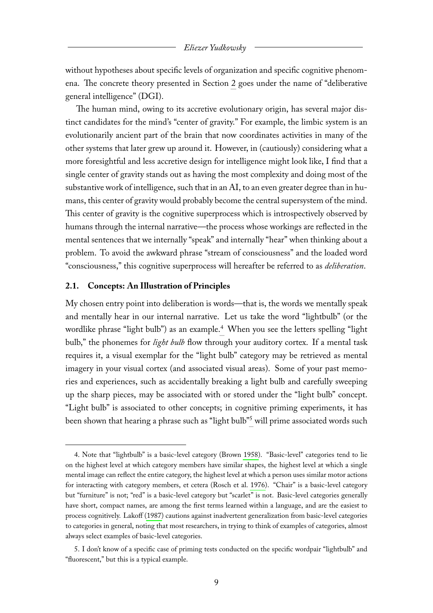without hypotheses about specific levels of organization and specific cognitive phenomena. The concrete theory presented in Section [2](#page-8-0) goes under the name of "deliberative general intelligence" (DGI).

The human mind, owing to its accretive evolutionary origin, has several major distinct candidates for the mind's "center of gravity." For example, the limbic system is an evolutionarily ancient part of the brain that now coordinates activities in many of the other systems that later grew up around it. However, in (cautiously) considering what a more foresightful and less accretive design for intelligence might look like, I find that a single center of gravity stands out as having the most complexity and doing most of the substantive work of intelligence, such that in an AI, to an even greater degree than in humans, this center of gravity would probably become the central supersystem of the mind. This center of gravity is the cognitive superprocess which is introspectively observed by humans through the internal narrative—the process whose workings are reflected in the mental sentences that we internally "speak" and internally "hear" when thinking about a problem. To avoid the awkward phrase "stream of consciousness" and the loaded word "consciousness," this cognitive superprocess will hereafter be referred to as *deliberation*.

## **2.1. Concepts: An Illustration of Principles**

My chosen entry point into deliberation is words—that is, the words we mentally speak and mentally hear in our internal narrative. Let us take the word "lightbulb" (or the wordlike phrase "light bulb") as an example.<sup>[4](#page-9-0)</sup> When you see the letters spelling "light bulb," the phonemes for *light bulb* flow through your auditory cortex. If a mental task requires it, a visual exemplar for the "light bulb" category may be retrieved as mental imagery in your visual cortex (and associated visual areas). Some of your past memories and experiences, such as accidentally breaking a light bulb and carefully sweeping up the sharp pieces, may be associated with or stored under the "light bulb" concept. "Light bulb" is associated to other concepts; in cognitive priming experiments, it has been shown that hearing a phrase such as "light bulb"[5](#page-9-1) will prime associated words such

<span id="page-9-0"></span><sup>4.</sup> Note that "lightbulb" is a basic-level category (Brown [1958\)](#page-115-1). "Basic-level" categories tend to lie on the highest level at which category members have similar shapes, the highest level at which a single mental image can reflect the entire category, the highest level at which a person uses similar motor actions for interacting with category members, et cetera (Rosch et al. [1976\)](#page-119-3). "Chair" is a basic-level category but "furniture" is not; "red" is a basic-level category but "scarlet" is not. Basic-level categories generally have short, compact names, are among the first terms learned within a language, and are the easiest to process cognitively. Lakoff [\(1987\)](#page-118-2) cautions against inadvertent generalization from basic-level categories to categories in general, noting that most researchers, in trying to think of examples of categories, almost always select examples of basic-level categories.

<span id="page-9-1"></span><sup>5.</sup> I don't know of a specific case of priming tests conducted on the specific wordpair "lightbulb" and "fluorescent," but this is a typical example.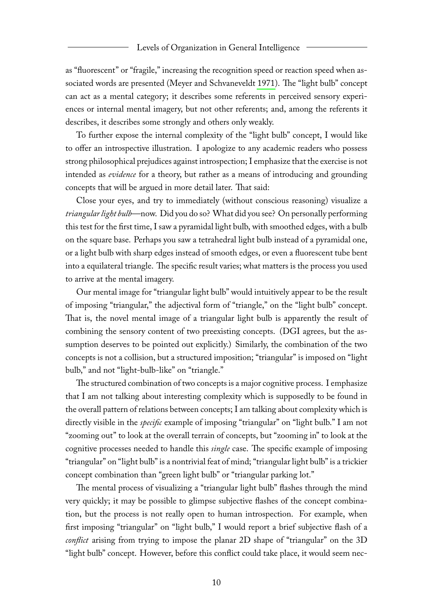as "fluorescent" or "fragile," increasing the recognition speed or reaction speed when associated words are presented (Meyer and Schvaneveldt [1971\)](#page-118-3). The "light bulb" concept can act as a mental category; it describes some referents in perceived sensory experiences or internal mental imagery, but not other referents; and, among the referents it describes, it describes some strongly and others only weakly.

To further expose the internal complexity of the "light bulb" concept, I would like to offer an introspective illustration. I apologize to any academic readers who possess strong philosophical prejudices against introspection; I emphasize that the exercise is not intended as *evidence* for a theory, but rather as a means of introducing and grounding concepts that will be argued in more detail later. That said:

Close your eyes, and try to immediately (without conscious reasoning) visualize a *triangular light bulb*—now. Did you do so? What did you see? On personally performing this test for the first time, I saw a pyramidal light bulb, with smoothed edges, with a bulb on the square base. Perhaps you saw a tetrahedral light bulb instead of a pyramidal one, or a light bulb with sharp edges instead of smooth edges, or even a fluorescent tube bent into a equilateral triangle. The specific result varies; what matters is the process you used to arrive at the mental imagery.

Our mental image for "triangular light bulb" would intuitively appear to be the result of imposing "triangular," the adjectival form of "triangle," on the "light bulb" concept. That is, the novel mental image of a triangular light bulb is apparently the result of combining the sensory content of two preexisting concepts. (DGI agrees, but the assumption deserves to be pointed out explicitly.) Similarly, the combination of the two concepts is not a collision, but a structured imposition; "triangular" is imposed on "light bulb," and not "light-bulb-like" on "triangle."

The structured combination of two concepts is a major cognitive process. I emphasize that I am not talking about interesting complexity which is supposedly to be found in the overall pattern of relations between concepts; I am talking about complexity which is directly visible in the *specific* example of imposing "triangular" on "light bulb." I am not "zooming out" to look at the overall terrain of concepts, but "zooming in" to look at the cognitive processes needed to handle this *single* case. The specific example of imposing "triangular" on "light bulb" is a nontrivial feat of mind; "triangular light bulb" is a trickier concept combination than "green light bulb" or "triangular parking lot."

The mental process of visualizing a "triangular light bulb" flashes through the mind very quickly; it may be possible to glimpse subjective flashes of the concept combination, but the process is not really open to human introspection. For example, when first imposing "triangular" on "light bulb," I would report a brief subjective flash of a *conflict* arising from trying to impose the planar 2D shape of "triangular" on the 3D "light bulb" concept. However, before this conflict could take place, it would seem nec-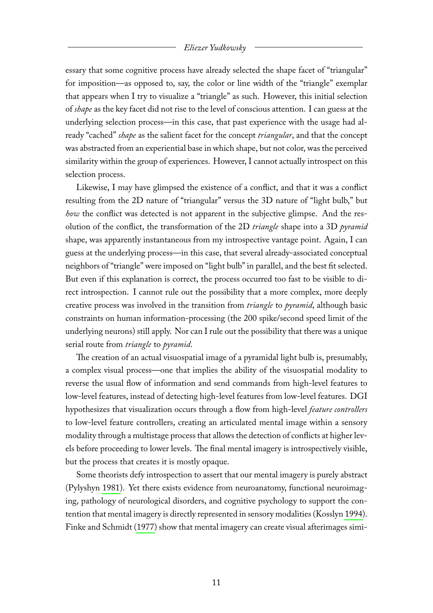essary that some cognitive process have already selected the shape facet of "triangular" for imposition—as opposed to, say, the color or line width of the "triangle" exemplar that appears when I try to visualize a "triangle" as such. However, this initial selection of *shape* as the key facet did not rise to the level of conscious attention. I can guess at the underlying selection process—in this case, that past experience with the usage had already "cached" *shape* as the salient facet for the concept *triangular*, and that the concept was abstracted from an experiential base in which shape, but not color, was the perceived similarity within the group of experiences. However, I cannot actually introspect on this selection process.

Likewise, I may have glimpsed the existence of a conflict, and that it was a conflict resulting from the 2D nature of "triangular" versus the 3D nature of "light bulb," but *how* the conflict was detected is not apparent in the subjective glimpse. And the resolution of the conflict, the transformation of the 2D *triangle* shape into a 3D *pyramid* shape, was apparently instantaneous from my introspective vantage point. Again, I can guess at the underlying process—in this case, that several already-associated conceptual neighbors of "triangle" were imposed on "light bulb" in parallel, and the best fit selected. But even if this explanation is correct, the process occurred too fast to be visible to direct introspection. I cannot rule out the possibility that a more complex, more deeply creative process was involved in the transition from *triangle* to *pyramid*, although basic constraints on human information-processing (the 200 spike/second speed limit of the underlying neurons) still apply. Nor can I rule out the possibility that there was a unique serial route from *triangle* to *pyramid*.

The creation of an actual visuospatial image of a pyramidal light bulb is, presumably, a complex visual process—one that implies the ability of the visuospatial modality to reverse the usual flow of information and send commands from high-level features to low-level features, instead of detecting high-level features from low-level features. DGI hypothesizes that visualization occurs through a flow from high-level *feature controllers* to low-level feature controllers, creating an articulated mental image within a sensory modality through a multistage process that allows the detection of conflicts at higher levels before proceeding to lower levels. The final mental imagery is introspectively visible, but the process that creates it is mostly opaque.

Some theorists defy introspection to assert that our mental imagery is purely abstract (Pylyshyn [1981\)](#page-119-4). Yet there exists evidence from neuroanatomy, functional neuroimaging, pathology of neurological disorders, and cognitive psychology to support the contention that mental imagery is directly represented in sensory modalities (Kosslyn [1994\)](#page-117-0). Finke and Schmidt [\(1977\)](#page-116-2) show that mental imagery can create visual afterimages simi-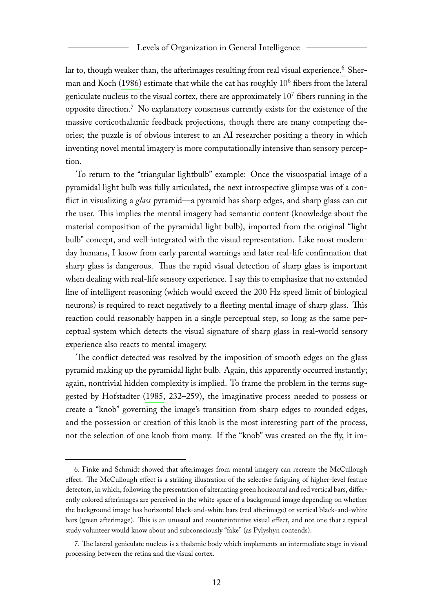## Levels of Organization in General Intelligence

lar to, though weaker than, the afterimages resulting from real visual experience.<sup>[6](#page-12-0)</sup> Sher-man and Koch [\(1986\)](#page-120-2) estimate that while the cat has roughly  $10^6$  fibers from the lateral geniculate nucleus to the visual cortex, there are approximately  $10<sup>7</sup>$  fibers running in the opposite direction.[7](#page-12-1) No explanatory consensus currently exists for the existence of the massive corticothalamic feedback projections, though there are many competing theories; the puzzle is of obvious interest to an AI researcher positing a theory in which inventing novel mental imagery is more computationally intensive than sensory perception.

To return to the "triangular lightbulb" example: Once the visuospatial image of a pyramidal light bulb was fully articulated, the next introspective glimpse was of a conflict in visualizing a *glass* pyramid—a pyramid has sharp edges, and sharp glass can cut the user. This implies the mental imagery had semantic content (knowledge about the material composition of the pyramidal light bulb), imported from the original "light bulb" concept, and well-integrated with the visual representation. Like most modernday humans, I know from early parental warnings and later real-life confirmation that sharp glass is dangerous. Thus the rapid visual detection of sharp glass is important when dealing with real-life sensory experience. I say this to emphasize that no extended line of intelligent reasoning (which would exceed the 200 Hz speed limit of biological neurons) is required to react negatively to a fleeting mental image of sharp glass. This reaction could reasonably happen in a single perceptual step, so long as the same perceptual system which detects the visual signature of sharp glass in real-world sensory experience also reacts to mental imagery.

The conflict detected was resolved by the imposition of smooth edges on the glass pyramid making up the pyramidal light bulb. Again, this apparently occurred instantly; again, nontrivial hidden complexity is implied. To frame the problem in the terms suggested by Hofstadter [\(1985,](#page-116-3) 232–259), the imaginative process needed to possess or create a "knob" governing the image's transition from sharp edges to rounded edges, and the possession or creation of this knob is the most interesting part of the process, not the selection of one knob from many. If the "knob" was created on the fly, it im-

<span id="page-12-0"></span><sup>6.</sup> Finke and Schmidt showed that afterimages from mental imagery can recreate the McCullough effect. The McCullough effect is a striking illustration of the selective fatiguing of higher-level feature detectors, in which, following the presentation of alternating green horizontal and red vertical bars, differently colored afterimages are perceived in the white space of a background image depending on whether the background image has horizontal black-and-white bars (red afterimage) or vertical black-and-white bars (green afterimage). This is an unusual and counterintuitive visual effect, and not one that a typical study volunteer would know about and subconsciously "fake" (as Pylyshyn contends).

<span id="page-12-1"></span><sup>7.</sup> The lateral geniculate nucleus is a thalamic body which implements an intermediate stage in visual processing between the retina and the visual cortex.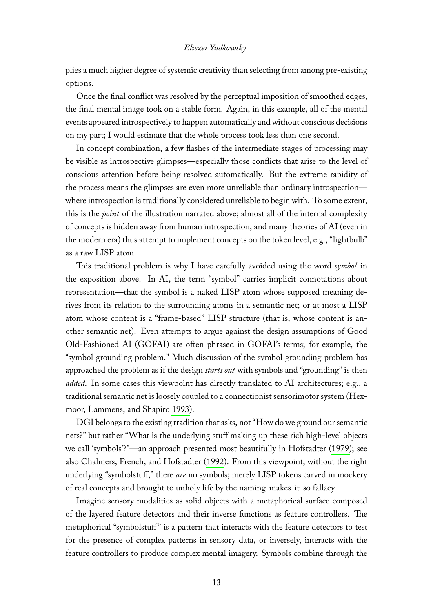plies a much higher degree of systemic creativity than selecting from among pre-existing options.

Once the final conflict was resolved by the perceptual imposition of smoothed edges, the final mental image took on a stable form. Again, in this example, all of the mental events appeared introspectively to happen automatically and without conscious decisions on my part; I would estimate that the whole process took less than one second.

In concept combination, a few flashes of the intermediate stages of processing may be visible as introspective glimpses—especially those conflicts that arise to the level of conscious attention before being resolved automatically. But the extreme rapidity of the process means the glimpses are even more unreliable than ordinary introspection where introspection is traditionally considered unreliable to begin with. To some extent, this is the *point* of the illustration narrated above; almost all of the internal complexity of concepts is hidden away from human introspection, and many theories of AI (even in the modern era) thus attempt to implement concepts on the token level, e.g., "lightbulb" as a raw LISP atom.

This traditional problem is why I have carefully avoided using the word *symbol* in the exposition above. In AI, the term "symbol" carries implicit connotations about representation—that the symbol is a naked LISP atom whose supposed meaning derives from its relation to the surrounding atoms in a semantic net; or at most a LISP atom whose content is a "frame-based" LISP structure (that is, whose content is another semantic net). Even attempts to argue against the design assumptions of Good Old-Fashioned AI (GOFAI) are often phrased in GOFAI's terms; for example, the "symbol grounding problem." Much discussion of the symbol grounding problem has approached the problem as if the design *starts out* with symbols and "grounding" is then *added*. In some cases this viewpoint has directly translated to AI architectures; e.g., a traditional semantic net is loosely coupled to a connectionist sensorimotor system (Hexmoor, Lammens, and Shapiro [1993\)](#page-116-4).

DGI belongs to the existing tradition that asks, not "How do we ground our semantic nets?" but rather "What is the underlying stuff making up these rich high-level objects we call 'symbols'?"—an approach presented most beautifully in Hofstadter [\(1979\)](#page-116-5); see also Chalmers, French, and Hofstadter [\(1992\)](#page-115-2). From this viewpoint, without the right underlying "symbolstuff," there *are* no symbols; merely LISP tokens carved in mockery of real concepts and brought to unholy life by the naming-makes-it-so fallacy.

Imagine sensory modalities as solid objects with a metaphorical surface composed of the layered feature detectors and their inverse functions as feature controllers. The metaphorical "symbolstuff" is a pattern that interacts with the feature detectors to test for the presence of complex patterns in sensory data, or inversely, interacts with the feature controllers to produce complex mental imagery. Symbols combine through the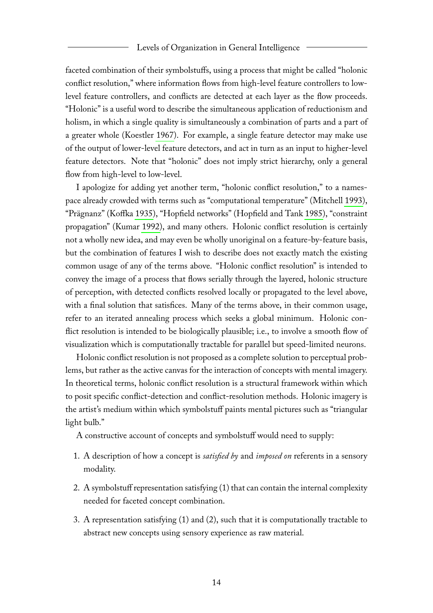faceted combination of their symbolstuffs, using a process that might be called "holonic conflict resolution," where information flows from high-level feature controllers to lowlevel feature controllers, and conflicts are detected at each layer as the flow proceeds. "Holonic" is a useful word to describe the simultaneous application of reductionism and holism, in which a single quality is simultaneously a combination of parts and a part of a greater whole (Koestler [1967\)](#page-117-1). For example, a single feature detector may make use of the output of lower-level feature detectors, and act in turn as an input to higher-level feature detectors. Note that "holonic" does not imply strict hierarchy, only a general flow from high-level to low-level.

I apologize for adding yet another term, "holonic conflict resolution," to a namespace already crowded with terms such as "computational temperature" (Mitchell [1993\)](#page-118-4), "Prägnanz" (Koffka [1935\)](#page-117-2), "Hopfield networks" (Hopfield and Tank [1985\)](#page-117-3), "constraint propagation" (Kumar [1992\)](#page-118-5), and many others. Holonic conflict resolution is certainly not a wholly new idea, and may even be wholly unoriginal on a feature-by-feature basis, but the combination of features I wish to describe does not exactly match the existing common usage of any of the terms above. "Holonic conflict resolution" is intended to convey the image of a process that flows serially through the layered, holonic structure of perception, with detected conflicts resolved locally or propagated to the level above, with a final solution that satisfices. Many of the terms above, in their common usage, refer to an iterated annealing process which seeks a global minimum. Holonic conflict resolution is intended to be biologically plausible; i.e., to involve a smooth flow of visualization which is computationally tractable for parallel but speed-limited neurons.

Holonic conflict resolution is not proposed as a complete solution to perceptual problems, but rather as the active canvas for the interaction of concepts with mental imagery. In theoretical terms, holonic conflict resolution is a structural framework within which to posit specific conflict-detection and conflict-resolution methods. Holonic imagery is the artist's medium within which symbolstuff paints mental pictures such as "triangular light bulb."

A constructive account of concepts and symbolstuff would need to supply:

- 1. A description of how a concept is *satisfied by* and *imposed on* referents in a sensory modality.
- 2. A symbolstuff representation satisfying (1) that can contain the internal complexity needed for faceted concept combination.
- 3. A representation satisfying (1) and (2), such that it is computationally tractable to abstract new concepts using sensory experience as raw material.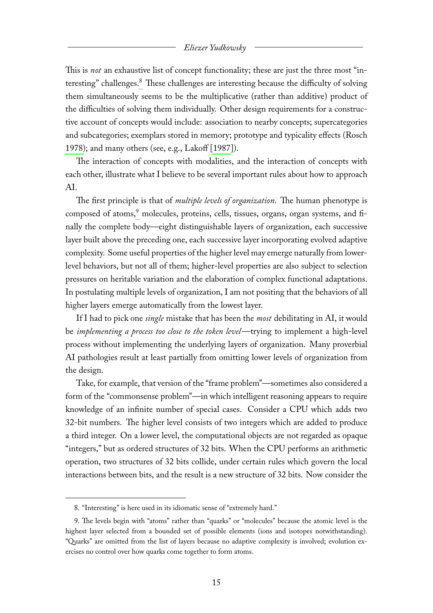This is *not* an exhaustive list of concept functionality; these are just the three most "interesting" challenges.[8](#page-15-0) These challenges are interesting because the difficulty of solving them simultaneously seems to be the multiplicative (rather than additive) product of the difficulties of solving them individually. Other design requirements for a constructive account of concepts would include: association to nearby concepts; supercategories and subcategories; exemplars stored in memory; prototype and typicality effects (Rosch [1978\)](#page-119-5); and many others (see, e.g., Lakoff [\[1987\]](#page-118-2)).

The interaction of concepts with modalities, and the interaction of concepts with each other, illustrate what I believe to be several important rules about how to approach AI.

The first principle is that of *multiple levels of organization*. The human phenotype is composed of atoms,<sup>[9](#page-15-1)</sup> molecules, proteins, cells, tissues, organs, organ systems, and finally the complete body—eight distinguishable layers of organization, each successive layer built above the preceding one, each successive layer incorporating evolved adaptive complexity. Some useful properties of the higher level may emerge naturally from lowerlevel behaviors, but not all of them; higher-level properties are also subject to selection pressures on heritable variation and the elaboration of complex functional adaptations. In postulating multiple levels of organization, I am not positing that the behaviors of all higher layers emerge automatically from the lowest layer.

If I had to pick one *single* mistake that has been the *most* debilitating in AI, it would be *implementing a process too close to the token level*—trying to implement a high-level process without implementing the underlying layers of organization. Many proverbial AI pathologies result at least partially from omitting lower levels of organization from the design.

Take, for example, that version of the "frame problem"—sometimes also considered a form of the "commonsense problem"—in which intelligent reasoning appears to require knowledge of an infinite number of special cases. Consider a CPU which adds two 32-bit numbers. The higher level consists of two integers which are added to produce a third integer. On a lower level, the computational objects are not regarded as opaque "integers," but as ordered structures of 32 bits. When the CPU performs an arithmetic operation, two structures of 32 bits collide, under certain rules which govern the local interactions between bits, and the result is a new structure of 32 bits. Now consider the

<span id="page-15-1"></span><span id="page-15-0"></span><sup>8. &</sup>quot;Interesting" is here used in its idiomatic sense of "extremely hard."

<sup>9.</sup> The levels begin with "atoms" rather than "quarks" or "molecules" because the atomic level is the highest layer selected from a bounded set of possible elements (ions and isotopes notwithstanding). "Quarks" are omitted from the list of layers because no adaptive complexity is involved; evolution exercises no control over how quarks come together to form atoms.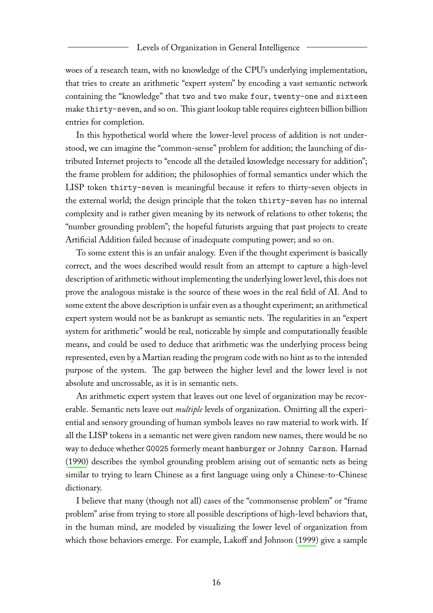woes of a research team, with no knowledge of the CPU's underlying implementation, that tries to create an arithmetic "expert system" by encoding a vast semantic network containing the "knowledge" that two and two make four, twenty-one and sixteen make thirty-seven, and so on. This giant lookup table requires eighteen billion billion entries for completion.

In this hypothetical world where the lower-level process of addition is not understood, we can imagine the "common-sense" problem for addition; the launching of distributed Internet projects to "encode all the detailed knowledge necessary for addition"; the frame problem for addition; the philosophies of formal semantics under which the LISP token thirty-seven is meaningful because it refers to thirty-seven objects in the external world; the design principle that the token thirty-seven has no internal complexity and is rather given meaning by its network of relations to other tokens; the "number grounding problem"; the hopeful futurists arguing that past projects to create Artificial Addition failed because of inadequate computing power; and so on.

To some extent this is an unfair analogy. Even if the thought experiment is basically correct, and the woes described would result from an attempt to capture a high-level description of arithmetic without implementing the underlying lower level, this does not prove the analogous mistake is the source of these woes in the real field of AI. And to some extent the above description is unfair even as a thought experiment; an arithmetical expert system would not be as bankrupt as semantic nets. The regularities in an "expert system for arithmetic" would be real, noticeable by simple and computationally feasible means, and could be used to deduce that arithmetic was the underlying process being represented, even by a Martian reading the program code with no hint as to the intended purpose of the system. The gap between the higher level and the lower level is not absolute and uncrossable, as it is in semantic nets.

An arithmetic expert system that leaves out one level of organization may be recoverable. Semantic nets leave out *multiple* levels of organization. Omitting all the experiential and sensory grounding of human symbols leaves no raw material to work with. If all the LISP tokens in a semantic net were given random new names, there would be no way to deduce whether G0025 formerly meant hamburger or Johnny Carson. Harnad [\(1990\)](#page-116-6) describes the symbol grounding problem arising out of semantic nets as being similar to trying to learn Chinese as a first language using only a Chinese-to-Chinese dictionary.

I believe that many (though not all) cases of the "commonsense problem" or "frame problem" arise from trying to store all possible descriptions of high-level behaviors that, in the human mind, are modeled by visualizing the lower level of organization from which those behaviors emerge. For example, Lakoff and Johnson [\(1999\)](#page-118-6) give a sample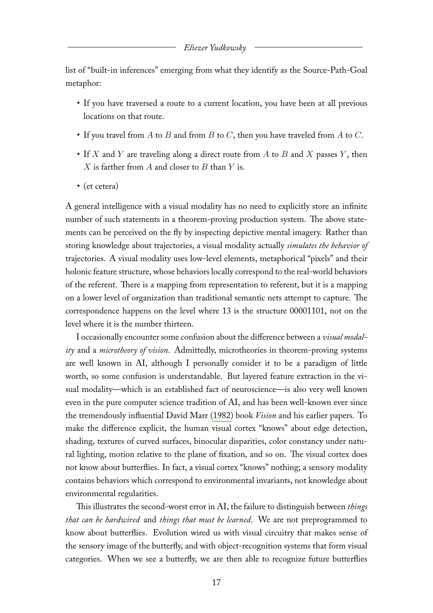list of "built-in inferences" emerging from what they identify as the Source-Path-Goal metaphor:

- If you have traversed a route to a current location, you have been at all previous locations on that route.
- If you travel from  $A$  to  $B$  and from  $B$  to  $C$ , then you have traveled from  $A$  to  $C$ .
- If  $X$  and  $Y$  are traveling along a direct route from  $A$  to  $B$  and  $X$  passes  $Y$ , then  $X$  is farther from  $A$  and closer to  $B$  than  $Y$  is.
- (et cetera)

A general intelligence with a visual modality has no need to explicitly store an infinite number of such statements in a theorem-proving production system. The above statements can be perceived on the fly by inspecting depictive mental imagery. Rather than storing knowledge about trajectories, a visual modality actually *simulates the behavior of* trajectories. A visual modality uses low-level elements, metaphorical "pixels" and their holonic feature structure, whose behaviors locally correspond to the real-world behaviors of the referent. There is a mapping from representation to referent, but it is a mapping on a lower level of organization than traditional semantic nets attempt to capture. The correspondence happens on the level where 13 is the structure 00001101, not on the level where it is the number thirteen.

I occasionally encounter some confusion about the difference between a *visual modality* and a *microtheory of vision*. Admittedly, microtheories in theorem-proving systems are well known in AI, although I personally consider it to be a paradigm of little worth, so some confusion is understandable. But layered feature extraction in the visual modality—which is an established fact of neuroscience—is also very well known even in the pure computer science tradition of AI, and has been well-known ever since the tremendously influential David Marr [\(1982\)](#page-118-7) book *Vision* and his earlier papers. To make the difference explicit, the human visual cortex "knows" about edge detection, shading, textures of curved surfaces, binocular disparities, color constancy under natural lighting, motion relative to the plane of fixation, and so on. The visual cortex does not know about butterflies. In fact, a visual cortex "knows" nothing; a sensory modality contains behaviors which correspond to environmental invariants, not knowledge about environmental regularities.

This illustrates the second-worst error in AI, the failure to distinguish between *things that can be hardwired* and *things that must be learned*. We are not preprogrammed to know about butterflies. Evolution wired us with visual circuitry that makes sense of the sensory image of the butterfly, and with object-recognition systems that form visual categories. When we see a butterfly, we are then able to recognize future butterflies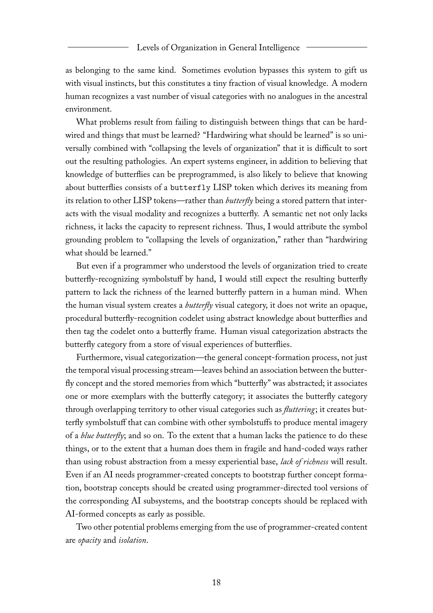as belonging to the same kind. Sometimes evolution bypasses this system to gift us with visual instincts, but this constitutes a tiny fraction of visual knowledge. A modern human recognizes a vast number of visual categories with no analogues in the ancestral environment.

What problems result from failing to distinguish between things that can be hardwired and things that must be learned? "Hardwiring what should be learned" is so universally combined with "collapsing the levels of organization" that it is difficult to sort out the resulting pathologies. An expert systems engineer, in addition to believing that knowledge of butterflies can be preprogrammed, is also likely to believe that knowing about butterflies consists of a butterfly LISP token which derives its meaning from its relation to other LISP tokens—rather than *butterfly* being a stored pattern that interacts with the visual modality and recognizes a butterfly. A semantic net not only lacks richness, it lacks the capacity to represent richness. Thus, I would attribute the symbol grounding problem to "collapsing the levels of organization," rather than "hardwiring what should be learned."

But even if a programmer who understood the levels of organization tried to create butterfly-recognizing symbolstuff by hand, I would still expect the resulting butterfly pattern to lack the richness of the learned butterfly pattern in a human mind. When the human visual system creates a *butterfly* visual category, it does not write an opaque, procedural butterfly-recognition codelet using abstract knowledge about butterflies and then tag the codelet onto a butterfly frame. Human visual categorization abstracts the butterfly category from a store of visual experiences of butterflies.

Furthermore, visual categorization—the general concept-formation process, not just the temporal visual processing stream—leaves behind an association between the butterfly concept and the stored memories from which "butterfly" was abstracted; it associates one or more exemplars with the butterfly category; it associates the butterfly category through overlapping territory to other visual categories such as *fluttering*; it creates butterfly symbolstuff that can combine with other symbolstuffs to produce mental imagery of a *blue butterfly*; and so on. To the extent that a human lacks the patience to do these things, or to the extent that a human does them in fragile and hand-coded ways rather than using robust abstraction from a messy experiential base, *lack of richness* will result. Even if an AI needs programmer-created concepts to bootstrap further concept formation, bootstrap concepts should be created using programmer-directed tool versions of the corresponding AI subsystems, and the bootstrap concepts should be replaced with AI-formed concepts as early as possible.

Two other potential problems emerging from the use of programmer-created content are *opacity* and *isolation*.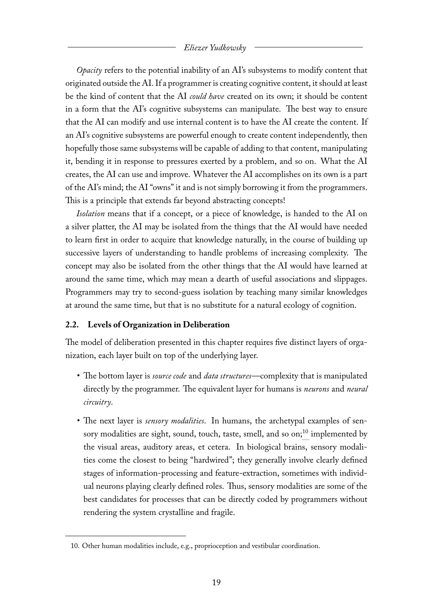*Opacity* refers to the potential inability of an AI's subsystems to modify content that originated outside the AI. If a programmer is creating cognitive content, it should at least be the kind of content that the AI *could have* created on its own; it should be content in a form that the AI's cognitive subsystems can manipulate. The best way to ensure that the AI can modify and use internal content is to have the AI create the content. If an AI's cognitive subsystems are powerful enough to create content independently, then hopefully those same subsystems will be capable of adding to that content, manipulating it, bending it in response to pressures exerted by a problem, and so on. What the AI creates, the AI can use and improve. Whatever the AI accomplishes on its own is a part of the AI's mind; the AI "owns" it and is not simply borrowing it from the programmers. This is a principle that extends far beyond abstracting concepts!

*Isolation* means that if a concept, or a piece of knowledge, is handed to the AI on a silver platter, the AI may be isolated from the things that the AI would have needed to learn first in order to acquire that knowledge naturally, in the course of building up successive layers of understanding to handle problems of increasing complexity. The concept may also be isolated from the other things that the AI would have learned at around the same time, which may mean a dearth of useful associations and slippages. Programmers may try to second-guess isolation by teaching many similar knowledges at around the same time, but that is no substitute for a natural ecology of cognition.

## **2.2. Levels of Organization in Deliberation**

The model of deliberation presented in this chapter requires five distinct layers of organization, each layer built on top of the underlying layer.

- The bottom layer is *source code* and *data structures*—complexity that is manipulated directly by the programmer. The equivalent layer for humans is *neurons* and *neural circuitry*.
- The next layer is *sensory modalities*. In humans, the archetypal examples of sen-sory modalities are sight, sound, touch, taste, smell, and so on;<sup>[10](#page-19-0)</sup> implemented by the visual areas, auditory areas, et cetera. In biological brains, sensory modalities come the closest to being "hardwired"; they generally involve clearly defined stages of information-processing and feature-extraction, sometimes with individual neurons playing clearly defined roles. Thus, sensory modalities are some of the best candidates for processes that can be directly coded by programmers without rendering the system crystalline and fragile.

<span id="page-19-0"></span><sup>10.</sup> Other human modalities include, e.g., proprioception and vestibular coordination.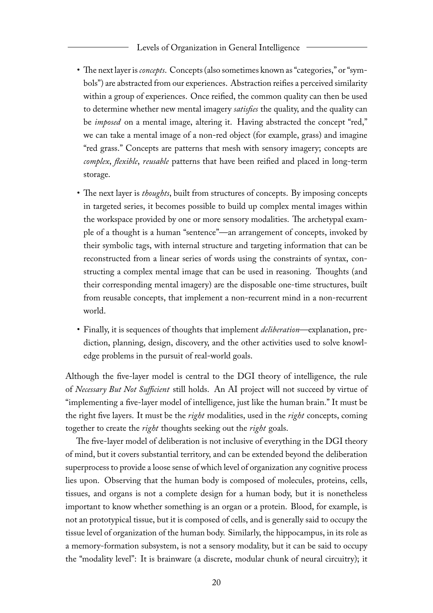## Levels of Organization in General Intelligence

- The next layer is*concepts*. Concepts (also sometimes known as "categories," or "symbols") are abstracted from our experiences. Abstraction reifies a perceived similarity within a group of experiences. Once reified, the common quality can then be used to determine whether new mental imagery *satisfies* the quality, and the quality can be *imposed* on a mental image, altering it. Having abstracted the concept "red," we can take a mental image of a non-red object (for example, grass) and imagine "red grass." Concepts are patterns that mesh with sensory imagery; concepts are *complex*, *flexible*, *reusable* patterns that have been reified and placed in long-term storage.
- The next layer is *thoughts*, built from structures of concepts. By imposing concepts in targeted series, it becomes possible to build up complex mental images within the workspace provided by one or more sensory modalities. The archetypal example of a thought is a human "sentence"—an arrangement of concepts, invoked by their symbolic tags, with internal structure and targeting information that can be reconstructed from a linear series of words using the constraints of syntax, constructing a complex mental image that can be used in reasoning. Thoughts (and their corresponding mental imagery) are the disposable one-time structures, built from reusable concepts, that implement a non-recurrent mind in a non-recurrent world.
- Finally, it is sequences of thoughts that implement *deliberation*—explanation, prediction, planning, design, discovery, and the other activities used to solve knowledge problems in the pursuit of real-world goals.

Although the five-layer model is central to the DGI theory of intelligence, the rule of *Necessary But Not Sufficient* still holds. An AI project will not succeed by virtue of "implementing a five-layer model of intelligence, just like the human brain." It must be the right five layers. It must be the *right* modalities, used in the *right* concepts, coming together to create the *right* thoughts seeking out the *right* goals.

The five-layer model of deliberation is not inclusive of everything in the DGI theory of mind, but it covers substantial territory, and can be extended beyond the deliberation superprocess to provide a loose sense of which level of organization any cognitive process lies upon. Observing that the human body is composed of molecules, proteins, cells, tissues, and organs is not a complete design for a human body, but it is nonetheless important to know whether something is an organ or a protein. Blood, for example, is not an prototypical tissue, but it is composed of cells, and is generally said to occupy the tissue level of organization of the human body. Similarly, the hippocampus, in its role as a memory-formation subsystem, is not a sensory modality, but it can be said to occupy the "modality level": It is brainware (a discrete, modular chunk of neural circuitry); it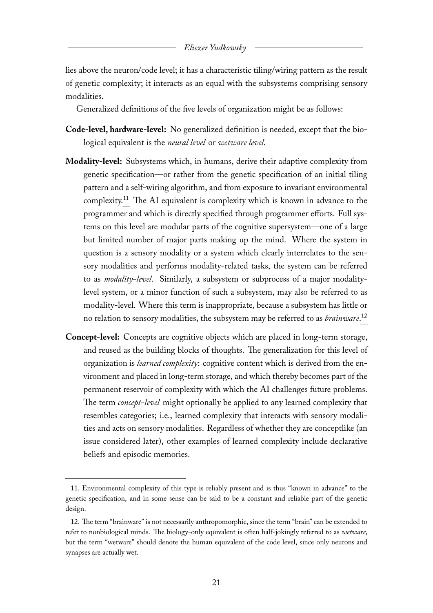lies above the neuron/code level; it has a characteristic tiling/wiring pattern as the result of genetic complexity; it interacts as an equal with the subsystems comprising sensory modalities.

Generalized definitions of the five levels of organization might be as follows:

- **Code-level, hardware-level:** No generalized definition is needed, except that the biological equivalent is the *neural level* or *wetware level*.
- **Modality-level:** Subsystems which, in humans, derive their adaptive complexity from genetic specification—or rather from the genetic specification of an initial tiling pattern and a self-wiring algorithm, and from exposure to invariant environmental complexity.[11](#page-21-0) The AI equivalent is complexity which is known in advance to the programmer and which is directly specified through programmer efforts. Full systems on this level are modular parts of the cognitive supersystem—one of a large but limited number of major parts making up the mind. Where the system in question is a sensory modality or a system which clearly interrelates to the sensory modalities and performs modality-related tasks, the system can be referred to as *modality-level*. Similarly, a subsystem or subprocess of a major modalitylevel system, or a minor function of such a subsystem, may also be referred to as modality-level. Where this term is inappropriate, because a subsystem has little or no relation to sensory modalities, the subsystem may be referred to as *brainware*. [12](#page-21-1)
- **Concept-level:** Concepts are cognitive objects which are placed in long-term storage, and reused as the building blocks of thoughts. The generalization for this level of organization is *learned complexity*: cognitive content which is derived from the environment and placed in long-term storage, and which thereby becomes part of the permanent reservoir of complexity with which the AI challenges future problems. The term *concept-level* might optionally be applied to any learned complexity that resembles categories; i.e., learned complexity that interacts with sensory modalities and acts on sensory modalities. Regardless of whether they are conceptlike (an issue considered later), other examples of learned complexity include declarative beliefs and episodic memories.

<span id="page-21-0"></span><sup>11.</sup> Environmental complexity of this type is reliably present and is thus "known in advance" to the genetic specification, and in some sense can be said to be a constant and reliable part of the genetic design.

<span id="page-21-1"></span><sup>12.</sup> The term "brainware" is not necessarily anthropomorphic, since the term "brain" can be extended to refer to nonbiological minds. The biology-only equivalent is often half-jokingly referred to as *wetware*, but the term "wetware" should denote the human equivalent of the code level, since only neurons and synapses are actually wet.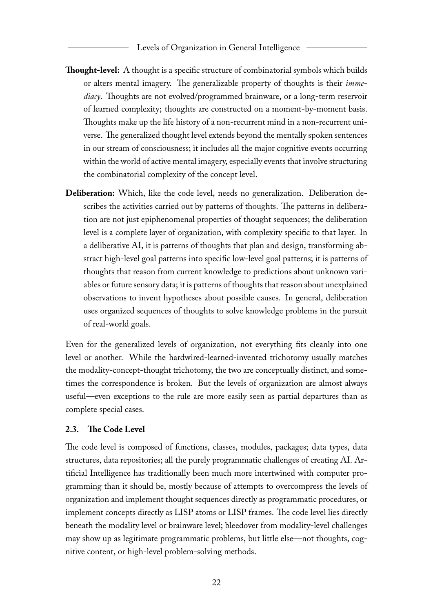- **Thought-level:** A thought is a specific structure of combinatorial symbols which builds or alters mental imagery. The generalizable property of thoughts is their *immediacy*. Thoughts are not evolved/programmed brainware, or a long-term reservoir of learned complexity; thoughts are constructed on a moment-by-moment basis. Thoughts make up the life history of a non-recurrent mind in a non-recurrent universe. The generalized thought level extends beyond the mentally spoken sentences in our stream of consciousness; it includes all the major cognitive events occurring within the world of active mental imagery, especially events that involve structuring the combinatorial complexity of the concept level.
- **Deliberation:** Which, like the code level, needs no generalization. Deliberation describes the activities carried out by patterns of thoughts. The patterns in deliberation are not just epiphenomenal properties of thought sequences; the deliberation level is a complete layer of organization, with complexity specific to that layer. In a deliberative AI, it is patterns of thoughts that plan and design, transforming abstract high-level goal patterns into specific low-level goal patterns; it is patterns of thoughts that reason from current knowledge to predictions about unknown variables or future sensory data; it is patterns of thoughts that reason about unexplained observations to invent hypotheses about possible causes. In general, deliberation uses organized sequences of thoughts to solve knowledge problems in the pursuit of real-world goals.

Even for the generalized levels of organization, not everything fits cleanly into one level or another. While the hardwired-learned-invented trichotomy usually matches the modality-concept-thought trichotomy, the two are conceptually distinct, and sometimes the correspondence is broken. But the levels of organization are almost always useful—even exceptions to the rule are more easily seen as partial departures than as complete special cases.

# **2.3. The Code Level**

The code level is composed of functions, classes, modules, packages; data types, data structures, data repositories; all the purely programmatic challenges of creating AI. Artificial Intelligence has traditionally been much more intertwined with computer programming than it should be, mostly because of attempts to overcompress the levels of organization and implement thought sequences directly as programmatic procedures, or implement concepts directly as LISP atoms or LISP frames. The code level lies directly beneath the modality level or brainware level; bleedover from modality-level challenges may show up as legitimate programmatic problems, but little else—not thoughts, cognitive content, or high-level problem-solving methods.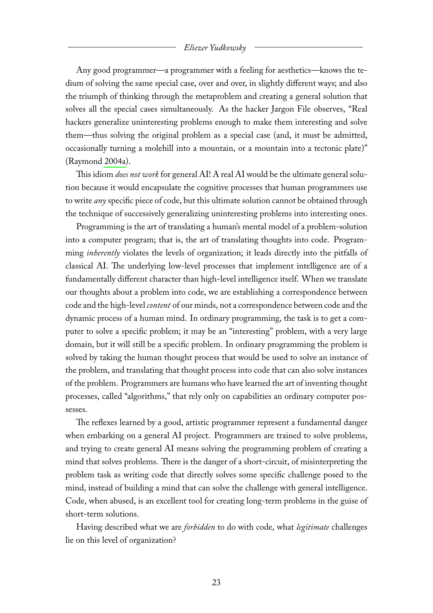Any good programmer—a programmer with a feeling for aesthetics—knows the tedium of solving the same special case, over and over, in slightly different ways; and also the triumph of thinking through the metaproblem and creating a general solution that solves all the special cases simultaneously. As the hacker Jargon File observes, "Real hackers generalize uninteresting problems enough to make them interesting and solve them—thus solving the original problem as a special case (and, it must be admitted, occasionally turning a molehill into a mountain, or a mountain into a tectonic plate)" (Raymond [2004a\)](#page-119-6).

This idiom *does not work* for general AI! A real AI would be the ultimate general solution because it would encapsulate the cognitive processes that human programmers use to write *any* specific piece of code, but this ultimate solution cannot be obtained through the technique of successively generalizing uninteresting problems into interesting ones.

Programming is the art of translating a human's mental model of a problem-solution into a computer program; that is, the art of translating thoughts into code. Programming *inherently* violates the levels of organization; it leads directly into the pitfalls of classical AI. The underlying low-level processes that implement intelligence are of a fundamentally different character than high-level intelligence itself. When we translate our thoughts about a problem into code, we are establishing a correspondence between code and the high-level *content* of our minds, not a correspondence between code and the dynamic process of a human mind. In ordinary programming, the task is to get a computer to solve a specific problem; it may be an "interesting" problem, with a very large domain, but it will still be a specific problem. In ordinary programming the problem is solved by taking the human thought process that would be used to solve an instance of the problem, and translating that thought process into code that can also solve instances of the problem. Programmers are humans who have learned the art of inventing thought processes, called "algorithms," that rely only on capabilities an ordinary computer possesses.

The reflexes learned by a good, artistic programmer represent a fundamental danger when embarking on a general AI project. Programmers are trained to solve problems, and trying to create general AI means solving the programming problem of creating a mind that solves problems. There is the danger of a short-circuit, of misinterpreting the problem task as writing code that directly solves some specific challenge posed to the mind, instead of building a mind that can solve the challenge with general intelligence. Code, when abused, is an excellent tool for creating long-term problems in the guise of short-term solutions.

Having described what we are *forbidden* to do with code, what *legitimate* challenges lie on this level of organization?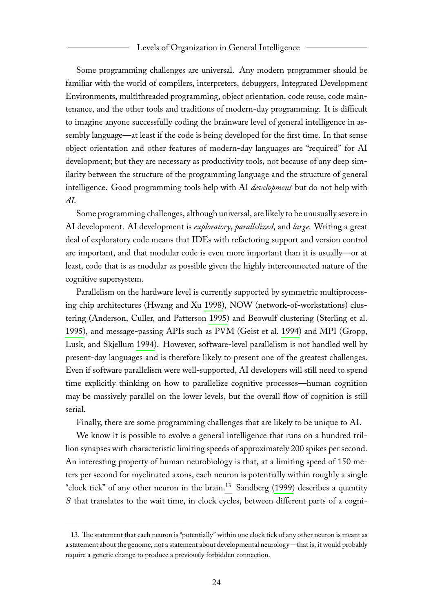Some programming challenges are universal. Any modern programmer should be familiar with the world of compilers, interpreters, debuggers, Integrated Development Environments, multithreaded programming, object orientation, code reuse, code maintenance, and the other tools and traditions of modern-day programming. It is difficult to imagine anyone successfully coding the brainware level of general intelligence in assembly language—at least if the code is being developed for the first time. In that sense object orientation and other features of modern-day languages are "required" for AI development; but they are necessary as productivity tools, not because of any deep similarity between the structure of the programming language and the structure of general intelligence. Good programming tools help with AI *development* but do not help with *AI*.

Some programming challenges, although universal, are likely to be unusually severe in AI development. AI development is *exploratory*, *parallelized*, and *large*. Writing a great deal of exploratory code means that IDEs with refactoring support and version control are important, and that modular code is even more important than it is usually—or at least, code that is as modular as possible given the highly interconnected nature of the cognitive supersystem.

Parallelism on the hardware level is currently supported by symmetric multiprocessing chip architectures (Hwang and Xu [1998\)](#page-117-4), NOW (network-of-workstations) clustering (Anderson, Culler, and Patterson [1995\)](#page-115-3) and Beowulf clustering (Sterling et al. [1995\)](#page-120-3), and message-passing APIs such as PVM (Geist et al. [1994\)](#page-116-7) and MPI (Gropp, Lusk, and Skjellum [1994\)](#page-116-8). However, software-level parallelism is not handled well by present-day languages and is therefore likely to present one of the greatest challenges. Even if software parallelism were well-supported, AI developers will still need to spend time explicitly thinking on how to parallelize cognitive processes—human cognition may be massively parallel on the lower levels, but the overall flow of cognition is still serial.

Finally, there are some programming challenges that are likely to be unique to AI.

We know it is possible to evolve a general intelligence that runs on a hundred trillion synapses with characteristic limiting speeds of approximately 200 spikes per second. An interesting property of human neurobiology is that, at a limiting speed of 150 meters per second for myelinated axons, each neuron is potentially within roughly a single "clock tick" of any other neuron in the brain.<sup>[13](#page-24-0)</sup> Sandberg [\(1999\)](#page-120-4) describes a quantity S that translates to the wait time, in clock cycles, between different parts of a cogni-

<span id="page-24-0"></span><sup>13.</sup> The statement that each neuron is "potentially" within one clock tick of any other neuron is meant as a statement about the genome, not a statement about developmental neurology—that is, it would probably require a genetic change to produce a previously forbidden connection.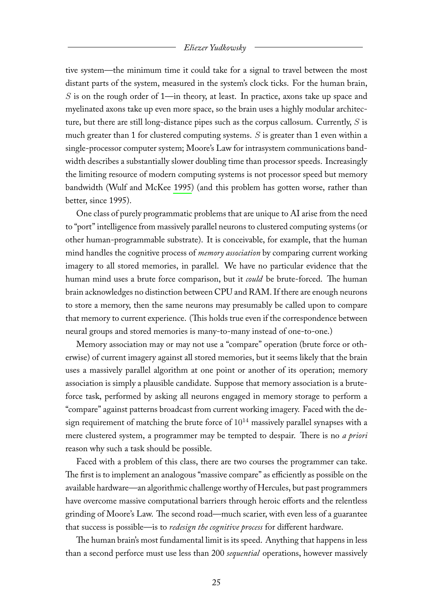tive system—the minimum time it could take for a signal to travel between the most distant parts of the system, measured in the system's clock ticks. For the human brain,  $S$  is on the rough order of 1—in theory, at least. In practice, axons take up space and myelinated axons take up even more space, so the brain uses a highly modular architecture, but there are still long-distance pipes such as the corpus callosum. Currently,  $S$  is much greater than 1 for clustered computing systems.  $S$  is greater than 1 even within a single-processor computer system; Moore's Law for intrasystem communications bandwidth describes a substantially slower doubling time than processor speeds. Increasingly the limiting resource of modern computing systems is not processor speed but memory bandwidth (Wulf and McKee [1995\)](#page-121-0) (and this problem has gotten worse, rather than better, since 1995).

One class of purely programmatic problems that are unique to AI arise from the need to "port" intelligence from massively parallel neurons to clustered computing systems (or other human-programmable substrate). It is conceivable, for example, that the human mind handles the cognitive process of *memory association* by comparing current working imagery to all stored memories, in parallel. We have no particular evidence that the human mind uses a brute force comparison, but it *could* be brute-forced. The human brain acknowledges no distinction between CPU and RAM. If there are enough neurons to store a memory, then the same neurons may presumably be called upon to compare that memory to current experience. (This holds true even if the correspondence between neural groups and stored memories is many-to-many instead of one-to-one.)

Memory association may or may not use a "compare" operation (brute force or otherwise) of current imagery against all stored memories, but it seems likely that the brain uses a massively parallel algorithm at one point or another of its operation; memory association is simply a plausible candidate. Suppose that memory association is a bruteforce task, performed by asking all neurons engaged in memory storage to perform a "compare" against patterns broadcast from current working imagery. Faced with the design requirement of matching the brute force of  $10^{14}$  massively parallel synapses with a mere clustered system, a programmer may be tempted to despair. There is no *a priori* reason why such a task should be possible.

Faced with a problem of this class, there are two courses the programmer can take. The first is to implement an analogous "massive compare" as efficiently as possible on the available hardware—an algorithmic challenge worthy of Hercules, but past programmers have overcome massive computational barriers through heroic efforts and the relentless grinding of Moore's Law. The second road—much scarier, with even less of a guarantee that success is possible—is to *redesign the cognitive process* for different hardware.

The human brain's most fundamental limit is its speed. Anything that happens in less than a second perforce must use less than 200 *sequential* operations, however massively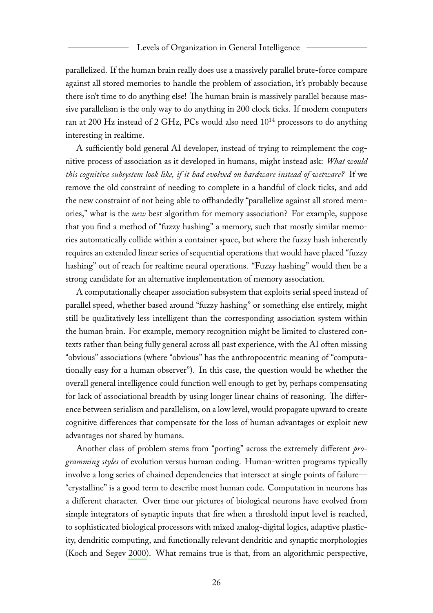parallelized. If the human brain really does use a massively parallel brute-force compare against all stored memories to handle the problem of association, it's probably because there isn't time to do anything else! The human brain is massively parallel because massive parallelism is the only way to do anything in 200 clock ticks. If modern computers ran at 200 Hz instead of 2 GHz, PCs would also need  $10^{14}$  processors to do anything interesting in realtime.

A sufficiently bold general AI developer, instead of trying to reimplement the cognitive process of association as it developed in humans, might instead ask: *What would this cognitive subsystem look like, if it had evolved on hardware instead of wetware?* If we remove the old constraint of needing to complete in a handful of clock ticks, and add the new constraint of not being able to offhandedly "parallelize against all stored memories," what is the *new* best algorithm for memory association? For example, suppose that you find a method of "fuzzy hashing" a memory, such that mostly similar memories automatically collide within a container space, but where the fuzzy hash inherently requires an extended linear series of sequential operations that would have placed "fuzzy hashing" out of reach for realtime neural operations. "Fuzzy hashing" would then be a strong candidate for an alternative implementation of memory association.

A computationally cheaper association subsystem that exploits serial speed instead of parallel speed, whether based around "fuzzy hashing" or something else entirely, might still be qualitatively less intelligent than the corresponding association system within the human brain. For example, memory recognition might be limited to clustered contexts rather than being fully general across all past experience, with the AI often missing "obvious" associations (where "obvious" has the anthropocentric meaning of "computationally easy for a human observer"). In this case, the question would be whether the overall general intelligence could function well enough to get by, perhaps compensating for lack of associational breadth by using longer linear chains of reasoning. The difference between serialism and parallelism, on a low level, would propagate upward to create cognitive differences that compensate for the loss of human advantages or exploit new advantages not shared by humans.

Another class of problem stems from "porting" across the extremely different *programming styles* of evolution versus human coding. Human-written programs typically involve a long series of chained dependencies that intersect at single points of failure— "crystalline" is a good term to describe most human code. Computation in neurons has a different character. Over time our pictures of biological neurons have evolved from simple integrators of synaptic inputs that fire when a threshold input level is reached, to sophisticated biological processors with mixed analog-digital logics, adaptive plasticity, dendritic computing, and functionally relevant dendritic and synaptic morphologies (Koch and Segev [2000\)](#page-117-5). What remains true is that, from an algorithmic perspective,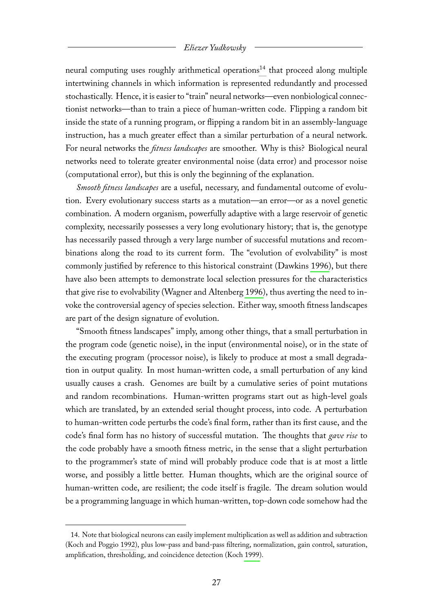neural computing uses roughly arithmetical operations<sup>[14](#page-27-0)</sup> that proceed along multiple intertwining channels in which information is represented redundantly and processed stochastically. Hence, it is easier to "train" neural networks—even nonbiological connectionist networks—than to train a piece of human-written code. Flipping a random bit inside the state of a running program, or flipping a random bit in an assembly-language instruction, has a much greater effect than a similar perturbation of a neural network. For neural networks the *fitness landscapes* are smoother. Why is this? Biological neural networks need to tolerate greater environmental noise (data error) and processor noise (computational error), but this is only the beginning of the explanation.

*Smooth fitness landscapes* are a useful, necessary, and fundamental outcome of evolution. Every evolutionary success starts as a mutation—an error—or as a novel genetic combination. A modern organism, powerfully adaptive with a large reservoir of genetic complexity, necessarily possesses a very long evolutionary history; that is, the genotype has necessarily passed through a very large number of successful mutations and recombinations along the road to its current form. The "evolution of evolvability" is most commonly justified by reference to this historical constraint (Dawkins [1996\)](#page-115-4), but there have also been attempts to demonstrate local selection pressures for the characteristics that give rise to evolvability (Wagner and Altenberg [1996\)](#page-121-1), thus averting the need to invoke the controversial agency of species selection. Either way, smooth fitness landscapes are part of the design signature of evolution.

"Smooth fitness landscapes" imply, among other things, that a small perturbation in the program code (genetic noise), in the input (environmental noise), or in the state of the executing program (processor noise), is likely to produce at most a small degradation in output quality. In most human-written code, a small perturbation of any kind usually causes a crash. Genomes are built by a cumulative series of point mutations and random recombinations. Human-written programs start out as high-level goals which are translated, by an extended serial thought process, into code. A perturbation to human-written code perturbs the code's final form, rather than its first cause, and the code's final form has no history of successful mutation. The thoughts that *gave rise* to the code probably have a smooth fitness metric, in the sense that a slight perturbation to the programmer's state of mind will probably produce code that is at most a little worse, and possibly a little better. Human thoughts, which are the original source of human-written code, are resilient; the code itself is fragile. The dream solution would be a programming language in which human-written, top-down code somehow had the

<span id="page-27-0"></span><sup>14.</sup> Note that biological neurons can easily implement multiplication as well as addition and subtraction (Koch and Poggio [1992\)](#page-117-6), plus low-pass and band-pass filtering, normalization, gain control, saturation, amplification, thresholding, and coincidence detection (Koch [1999\)](#page-117-7).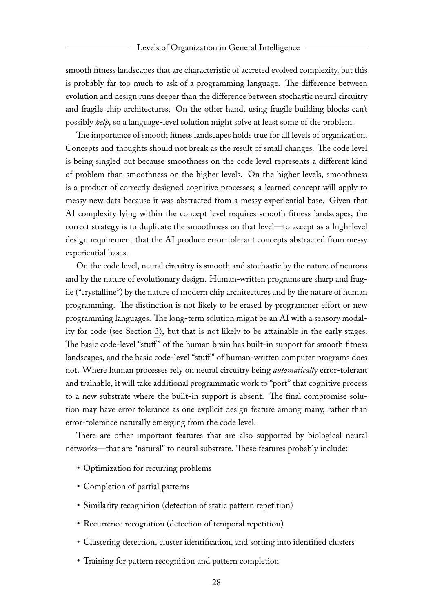smooth fitness landscapes that are characteristic of accreted evolved complexity, but this is probably far too much to ask of a programming language. The difference between evolution and design runs deeper than the difference between stochastic neural circuitry and fragile chip architectures. On the other hand, using fragile building blocks can't possibly *help*, so a language-level solution might solve at least some of the problem.

The importance of smooth fitness landscapes holds true for all levels of organization. Concepts and thoughts should not break as the result of small changes. The code level is being singled out because smoothness on the code level represents a different kind of problem than smoothness on the higher levels. On the higher levels, smoothness is a product of correctly designed cognitive processes; a learned concept will apply to messy new data because it was abstracted from a messy experiential base. Given that AI complexity lying within the concept level requires smooth fitness landscapes, the correct strategy is to duplicate the smoothness on that level—to accept as a high-level design requirement that the AI produce error-tolerant concepts abstracted from messy experiential bases.

On the code level, neural circuitry is smooth and stochastic by the nature of neurons and by the nature of evolutionary design. Human-written programs are sharp and fragile ("crystalline") by the nature of modern chip architectures and by the nature of human programming. The distinction is not likely to be erased by programmer effort or new programming languages. The long-term solution might be an AI with a sensory modality for code (see Section [3\)](#page-93-0), but that is not likely to be attainable in the early stages. The basic code-level "stuff" of the human brain has built-in support for smooth fitness landscapes, and the basic code-level "stuff" of human-written computer programs does not. Where human processes rely on neural circuitry being *automatically* error-tolerant and trainable, it will take additional programmatic work to "port" that cognitive process to a new substrate where the built-in support is absent. The final compromise solution may have error tolerance as one explicit design feature among many, rather than error-tolerance naturally emerging from the code level.

There are other important features that are also supported by biological neural networks—that are "natural" to neural substrate. These features probably include:

- Optimization for recurring problems
- Completion of partial patterns
- Similarity recognition (detection of static pattern repetition)
- Recurrence recognition (detection of temporal repetition)
- Clustering detection, cluster identification, and sorting into identified clusters
- Training for pattern recognition and pattern completion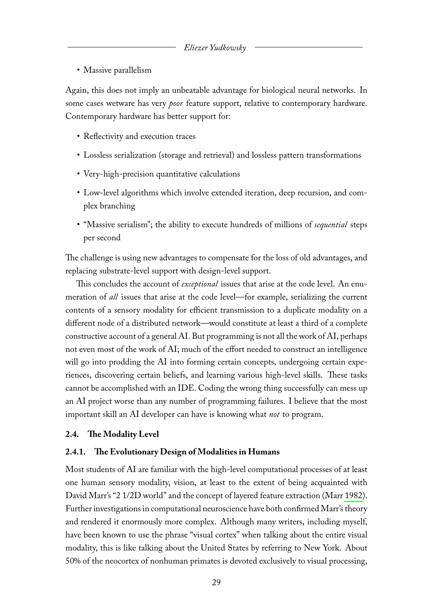• Massive parallelism

Again, this does not imply an unbeatable advantage for biological neural networks. In some cases wetware has very *poor* feature support, relative to contemporary hardware. Contemporary hardware has better support for:

- Reflectivity and execution traces
- Lossless serialization (storage and retrieval) and lossless pattern transformations
- Very-high-precision quantitative calculations
- Low-level algorithms which involve extended iteration, deep recursion, and complex branching
- "Massive serialism"; the ability to execute hundreds of millions of *sequential* steps per second

The challenge is using new advantages to compensate for the loss of old advantages, and replacing substrate-level support with design-level support.

This concludes the account of *exceptional* issues that arise at the code level. An enumeration of *all* issues that arise at the code level—for example, serializing the current contents of a sensory modality for efficient transmission to a duplicate modality on a different node of a distributed network—would constitute at least a third of a complete constructive account of a general AI. But programming is not all the work of AI, perhaps not even most of the work of AI; much of the effort needed to construct an intelligence will go into prodding the AI into forming certain concepts, undergoing certain experiences, discovering certain beliefs, and learning various high-level skills. These tasks cannot be accomplished with an IDE. Coding the wrong thing successfully can mess up an AI project worse than any number of programming failures. I believe that the most important skill an AI developer can have is knowing what *not* to program.

# **2.4. The Modality Level**

# **2.4.1. The Evolutionary Design of Modalities in Humans**

Most students of AI are familiar with the high-level computational processes of at least one human sensory modality, vision, at least to the extent of being acquainted with David Marr's "2 1/2D world" and the concept of layered feature extraction (Marr [1982\)](#page-118-7). Further investigations in computational neuroscience have both confirmed Marr's theory and rendered it enormously more complex. Although many writers, including myself, have been known to use the phrase "visual cortex" when talking about the entire visual modality, this is like talking about the United States by referring to New York. About 50% of the neocortex of nonhuman primates is devoted exclusively to visual processing,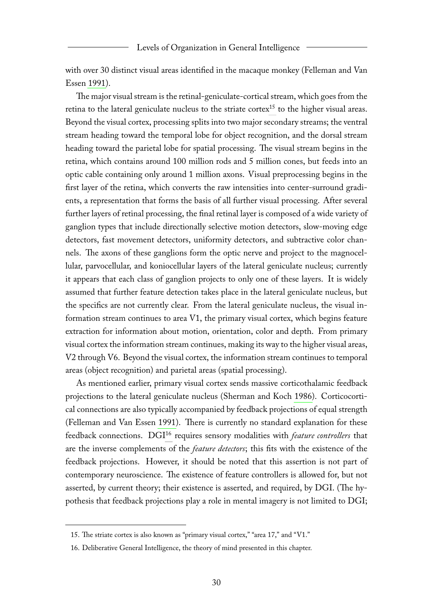## Levels of Organization in General Intelligence

with over 30 distinct visual areas identified in the macaque monkey (Felleman and Van Essen [1991\)](#page-116-9).

The major visual stream is the retinal-geniculate-cortical stream, which goes from the retina to the lateral geniculate nucleus to the striate cortex<sup>[15](#page-30-0)</sup> to the higher visual areas. Beyond the visual cortex, processing splits into two major secondary streams; the ventral stream heading toward the temporal lobe for object recognition, and the dorsal stream heading toward the parietal lobe for spatial processing. The visual stream begins in the retina, which contains around 100 million rods and 5 million cones, but feeds into an optic cable containing only around 1 million axons. Visual preprocessing begins in the first layer of the retina, which converts the raw intensities into center-surround gradients, a representation that forms the basis of all further visual processing. After several further layers of retinal processing, the final retinal layer is composed of a wide variety of ganglion types that include directionally selective motion detectors, slow-moving edge detectors, fast movement detectors, uniformity detectors, and subtractive color channels. The axons of these ganglions form the optic nerve and project to the magnocellular, parvocellular, and koniocellular layers of the lateral geniculate nucleus; currently it appears that each class of ganglion projects to only one of these layers. It is widely assumed that further feature detection takes place in the lateral geniculate nucleus, but the specifics are not currently clear. From the lateral geniculate nucleus, the visual information stream continues to area V1, the primary visual cortex, which begins feature extraction for information about motion, orientation, color and depth. From primary visual cortex the information stream continues, making its way to the higher visual areas, V2 through V6. Beyond the visual cortex, the information stream continues to temporal areas (object recognition) and parietal areas (spatial processing).

As mentioned earlier, primary visual cortex sends massive corticothalamic feedback projections to the lateral geniculate nucleus (Sherman and Koch [1986\)](#page-120-2). Corticocortical connections are also typically accompanied by feedback projections of equal strength (Felleman and Van Essen [1991\)](#page-116-9). There is currently no standard explanation for these feedback connections. DGI[16](#page-30-1) requires sensory modalities with *feature controllers* that are the inverse complements of the *feature detectors*; this fits with the existence of the feedback projections. However, it should be noted that this assertion is not part of contemporary neuroscience. The existence of feature controllers is allowed for, but not asserted, by current theory; their existence is asserted, and required, by DGI. (The hypothesis that feedback projections play a role in mental imagery is not limited to DGI;

<span id="page-30-0"></span><sup>15.</sup> The striate cortex is also known as "primary visual cortex," "area 17," and "V1."

<span id="page-30-1"></span><sup>16.</sup> Deliberative General Intelligence, the theory of mind presented in this chapter.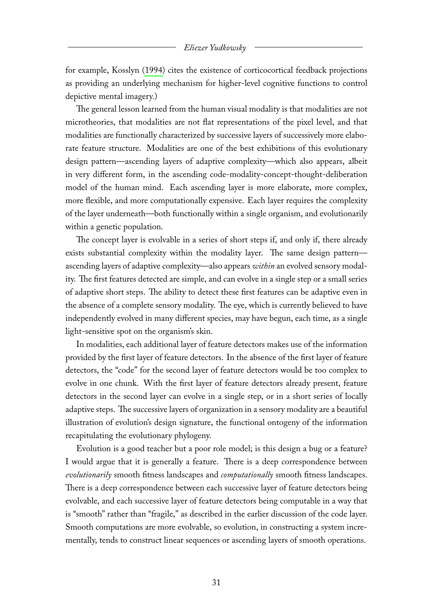for example, Kosslyn [\(1994\)](#page-117-0) cites the existence of corticocortical feedback projections as providing an underlying mechanism for higher-level cognitive functions to control depictive mental imagery.)

The general lesson learned from the human visual modality is that modalities are not microtheories, that modalities are not flat representations of the pixel level, and that modalities are functionally characterized by successive layers of successively more elaborate feature structure. Modalities are one of the best exhibitions of this evolutionary design pattern—ascending layers of adaptive complexity—which also appears, albeit in very different form, in the ascending code-modality-concept-thought-deliberation model of the human mind. Each ascending layer is more elaborate, more complex, more flexible, and more computationally expensive. Each layer requires the complexity of the layer underneath—both functionally within a single organism, and evolutionarily within a genetic population.

The concept layer is evolvable in a series of short steps if, and only if, there already exists substantial complexity within the modality layer. The same design pattern ascending layers of adaptive complexity—also appears *within* an evolved sensory modality. The first features detected are simple, and can evolve in a single step or a small series of adaptive short steps. The ability to detect these first features can be adaptive even in the absence of a complete sensory modality. The eye, which is currently believed to have independently evolved in many different species, may have begun, each time, as a single light-sensitive spot on the organism's skin.

In modalities, each additional layer of feature detectors makes use of the information provided by the first layer of feature detectors. In the absence of the first layer of feature detectors, the "code" for the second layer of feature detectors would be too complex to evolve in one chunk. With the first layer of feature detectors already present, feature detectors in the second layer can evolve in a single step, or in a short series of locally adaptive steps. The successive layers of organization in a sensory modality are a beautiful illustration of evolution's design signature, the functional ontogeny of the information recapitulating the evolutionary phylogeny.

Evolution is a good teacher but a poor role model; is this design a bug or a feature? I would argue that it is generally a feature. There is a deep correspondence between *evolutionarily* smooth fitness landscapes and *computationally* smooth fitness landscapes. There is a deep correspondence between each successive layer of feature detectors being evolvable, and each successive layer of feature detectors being computable in a way that is "smooth" rather than "fragile," as described in the earlier discussion of the code layer. Smooth computations are more evolvable, so evolution, in constructing a system incrementally, tends to construct linear sequences or ascending layers of smooth operations.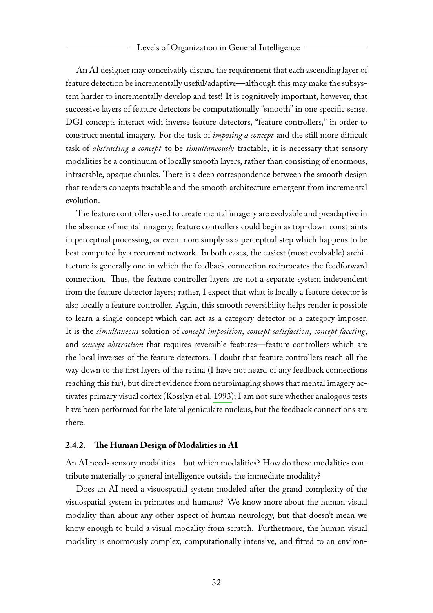An AI designer may conceivably discard the requirement that each ascending layer of feature detection be incrementally useful/adaptive—although this may make the subsystem harder to incrementally develop and test! It is cognitively important, however, that successive layers of feature detectors be computationally "smooth" in one specific sense. DGI concepts interact with inverse feature detectors, "feature controllers," in order to construct mental imagery. For the task of *imposing a concept* and the still more difficult task of *abstracting a concept* to be *simultaneously* tractable, it is necessary that sensory modalities be a continuum of locally smooth layers, rather than consisting of enormous, intractable, opaque chunks. There is a deep correspondence between the smooth design that renders concepts tractable and the smooth architecture emergent from incremental evolution.

The feature controllers used to create mental imagery are evolvable and preadaptive in the absence of mental imagery; feature controllers could begin as top-down constraints in perceptual processing, or even more simply as a perceptual step which happens to be best computed by a recurrent network. In both cases, the easiest (most evolvable) architecture is generally one in which the feedback connection reciprocates the feedforward connection. Thus, the feature controller layers are not a separate system independent from the feature detector layers; rather, I expect that what is locally a feature detector is also locally a feature controller. Again, this smooth reversibility helps render it possible to learn a single concept which can act as a category detector or a category imposer. It is the *simultaneous* solution of *concept imposition*, *concept satisfaction*, *concept faceting*, and *concept abstraction* that requires reversible features—feature controllers which are the local inverses of the feature detectors. I doubt that feature controllers reach all the way down to the first layers of the retina (I have not heard of any feedback connections reaching this far), but direct evidence from neuroimaging shows that mental imagery activates primary visual cortex (Kosslyn et al. [1993\)](#page-117-8); I am not sure whether analogous tests have been performed for the lateral geniculate nucleus, but the feedback connections are there.

#### **2.4.2. The Human Design of Modalities in AI**

An AI needs sensory modalities—but which modalities? How do those modalities contribute materially to general intelligence outside the immediate modality?

Does an AI need a visuospatial system modeled after the grand complexity of the visuospatial system in primates and humans? We know more about the human visual modality than about any other aspect of human neurology, but that doesn't mean we know enough to build a visual modality from scratch. Furthermore, the human visual modality is enormously complex, computationally intensive, and fitted to an environ-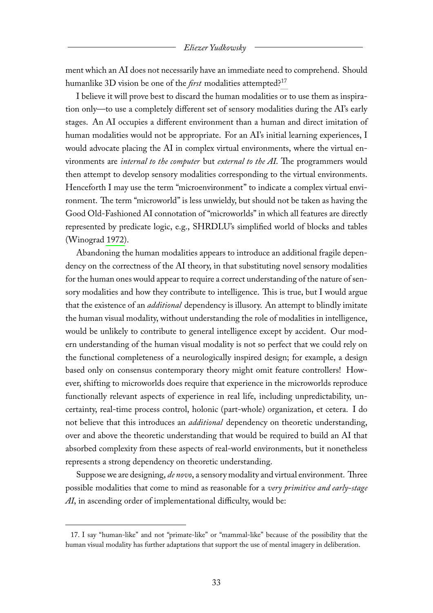ment which an AI does not necessarily have an immediate need to comprehend. Should humanlike 3D vision be one of the *first* modalities attempted?<sup>[17](#page-33-0)</sup>

I believe it will prove best to discard the human modalities or to use them as inspiration only—to use a completely different set of sensory modalities during the AI's early stages. An AI occupies a different environment than a human and direct imitation of human modalities would not be appropriate. For an AI's initial learning experiences, I would advocate placing the AI in complex virtual environments, where the virtual environments are *internal to the computer* but *external to the AI*. The programmers would then attempt to develop sensory modalities corresponding to the virtual environments. Henceforth I may use the term "microenvironment" to indicate a complex virtual environment. The term "microworld" is less unwieldy, but should not be taken as having the Good Old-Fashioned AI connotation of "microworlds" in which all features are directly represented by predicate logic, e.g., SHRDLU's simplified world of blocks and tables (Winograd [1972\)](#page-121-2).

Abandoning the human modalities appears to introduce an additional fragile dependency on the correctness of the AI theory, in that substituting novel sensory modalities for the human ones would appear to require a correct understanding of the nature of sensory modalities and how they contribute to intelligence. This is true, but I would argue that the existence of an *additional* dependency is illusory. An attempt to blindly imitate the human visual modality, without understanding the role of modalities in intelligence, would be unlikely to contribute to general intelligence except by accident. Our modern understanding of the human visual modality is not so perfect that we could rely on the functional completeness of a neurologically inspired design; for example, a design based only on consensus contemporary theory might omit feature controllers! However, shifting to microworlds does require that experience in the microworlds reproduce functionally relevant aspects of experience in real life, including unpredictability, uncertainty, real-time process control, holonic (part-whole) organization, et cetera. I do not believe that this introduces an *additional* dependency on theoretic understanding, over and above the theoretic understanding that would be required to build an AI that absorbed complexity from these aspects of real-world environments, but it nonetheless represents a strong dependency on theoretic understanding.

Suppose we are designing, *de novo*, a sensory modality and virtual environment. Three possible modalities that come to mind as reasonable for a *very primitive and early-stage AI*, in ascending order of implementational difficulty, would be:

<span id="page-33-0"></span><sup>17.</sup> I say "human-like" and not "primate-like" or "mammal-like" because of the possibility that the human visual modality has further adaptations that support the use of mental imagery in deliberation.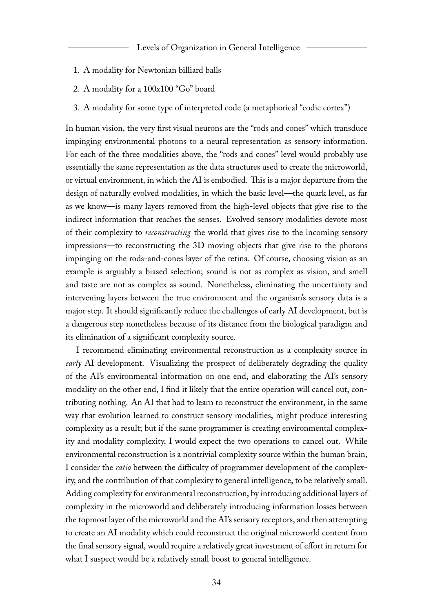- 1. A modality for Newtonian billiard balls
- 2. A modality for a 100x100 "Go" board
- 3. A modality for some type of interpreted code (a metaphorical "codic cortex")

In human vision, the very first visual neurons are the "rods and cones" which transduce impinging environmental photons to a neural representation as sensory information. For each of the three modalities above, the "rods and cones" level would probably use essentially the same representation as the data structures used to create the microworld, or virtual environment, in which the AI is embodied. This is a major departure from the design of naturally evolved modalities, in which the basic level—the quark level, as far as we know—is many layers removed from the high-level objects that give rise to the indirect information that reaches the senses. Evolved sensory modalities devote most of their complexity to *reconstructing* the world that gives rise to the incoming sensory impressions—to reconstructing the 3D moving objects that give rise to the photons impinging on the rods-and-cones layer of the retina. Of course, choosing vision as an example is arguably a biased selection; sound is not as complex as vision, and smell and taste are not as complex as sound. Nonetheless, eliminating the uncertainty and intervening layers between the true environment and the organism's sensory data is a major step. It should significantly reduce the challenges of early AI development, but is a dangerous step nonetheless because of its distance from the biological paradigm and its elimination of a significant complexity source.

I recommend eliminating environmental reconstruction as a complexity source in *early* AI development. Visualizing the prospect of deliberately degrading the quality of the AI's environmental information on one end, and elaborating the AI's sensory modality on the other end, I find it likely that the entire operation will cancel out, contributing nothing. An AI that had to learn to reconstruct the environment, in the same way that evolution learned to construct sensory modalities, might produce interesting complexity as a result; but if the same programmer is creating environmental complexity and modality complexity, I would expect the two operations to cancel out. While environmental reconstruction is a nontrivial complexity source within the human brain, I consider the *ratio* between the difficulty of programmer development of the complexity, and the contribution of that complexity to general intelligence, to be relatively small. Adding complexity for environmental reconstruction, by introducing additional layers of complexity in the microworld and deliberately introducing information losses between the topmost layer of the microworld and the AI's sensory receptors, and then attempting to create an AI modality which could reconstruct the original microworld content from the final sensory signal, would require a relatively great investment of effort in return for what I suspect would be a relatively small boost to general intelligence.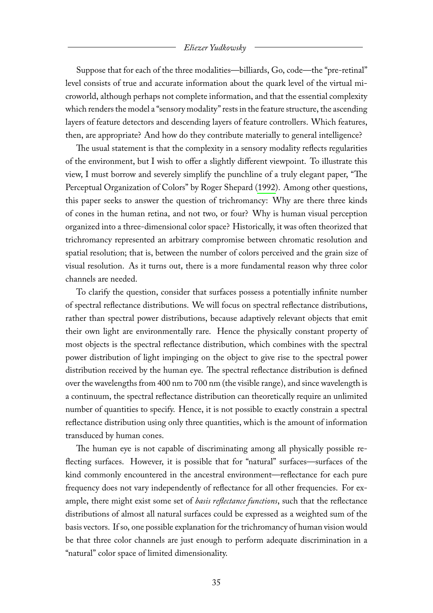Suppose that for each of the three modalities—billiards, Go, code—the "pre-retinal" level consists of true and accurate information about the quark level of the virtual microworld, although perhaps not complete information, and that the essential complexity which renders the model a "sensory modality" rests in the feature structure, the ascending layers of feature detectors and descending layers of feature controllers. Which features, then, are appropriate? And how do they contribute materially to general intelligence?

The usual statement is that the complexity in a sensory modality reflects regularities of the environment, but I wish to offer a slightly different viewpoint. To illustrate this view, I must borrow and severely simplify the punchline of a truly elegant paper, "The Perceptual Organization of Colors" by Roger Shepard [\(1992\)](#page-120-5). Among other questions, this paper seeks to answer the question of trichromancy: Why are there three kinds of cones in the human retina, and not two, or four? Why is human visual perception organized into a three-dimensional color space? Historically, it was often theorized that trichromancy represented an arbitrary compromise between chromatic resolution and spatial resolution; that is, between the number of colors perceived and the grain size of visual resolution. As it turns out, there is a more fundamental reason why three color channels are needed.

To clarify the question, consider that surfaces possess a potentially infinite number of spectral reflectance distributions. We will focus on spectral reflectance distributions, rather than spectral power distributions, because adaptively relevant objects that emit their own light are environmentally rare. Hence the physically constant property of most objects is the spectral reflectance distribution, which combines with the spectral power distribution of light impinging on the object to give rise to the spectral power distribution received by the human eye. The spectral reflectance distribution is defined over the wavelengths from 400 nm to 700 nm (the visible range), and since wavelength is a continuum, the spectral reflectance distribution can theoretically require an unlimited number of quantities to specify. Hence, it is not possible to exactly constrain a spectral reflectance distribution using only three quantities, which is the amount of information transduced by human cones.

The human eye is not capable of discriminating among all physically possible reflecting surfaces. However, it is possible that for "natural" surfaces—surfaces of the kind commonly encountered in the ancestral environment—reflectance for each pure frequency does not vary independently of reflectance for all other frequencies. For example, there might exist some set of *basis reflectance functions*, such that the reflectance distributions of almost all natural surfaces could be expressed as a weighted sum of the basis vectors. If so, one possible explanation for the trichromancy of human vision would be that three color channels are just enough to perform adequate discrimination in a "natural" color space of limited dimensionality.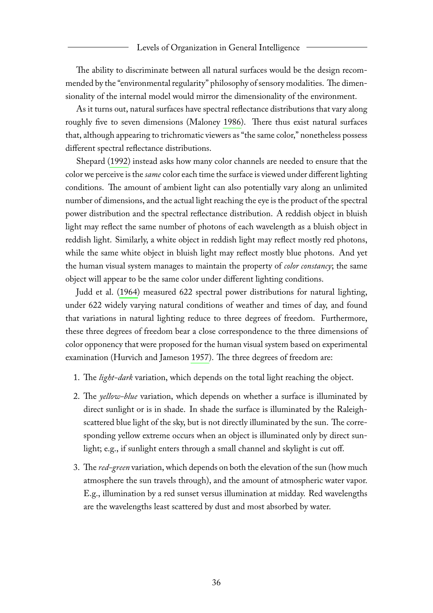The ability to discriminate between all natural surfaces would be the design recommended by the "environmental regularity" philosophy of sensory modalities. The dimensionality of the internal model would mirror the dimensionality of the environment.

As it turns out, natural surfaces have spectral reflectance distributions that vary along roughly five to seven dimensions (Maloney [1986\)](#page-118-0). There thus exist natural surfaces that, although appearing to trichromatic viewers as "the same color," nonetheless possess different spectral reflectance distributions.

Shepard [\(1992\)](#page-120-0) instead asks how many color channels are needed to ensure that the color we perceive is the *same* color each time the surface is viewed under different lighting conditions. The amount of ambient light can also potentially vary along an unlimited number of dimensions, and the actual light reaching the eye is the product of the spectral power distribution and the spectral reflectance distribution. A reddish object in bluish light may reflect the same number of photons of each wavelength as a bluish object in reddish light. Similarly, a white object in reddish light may reflect mostly red photons, while the same white object in bluish light may reflect mostly blue photons. And yet the human visual system manages to maintain the property of *color constancy*; the same object will appear to be the same color under different lighting conditions.

Judd et al. [\(1964\)](#page-117-0) measured 622 spectral power distributions for natural lighting, under 622 widely varying natural conditions of weather and times of day, and found that variations in natural lighting reduce to three degrees of freedom. Furthermore, these three degrees of freedom bear a close correspondence to the three dimensions of color opponency that were proposed for the human visual system based on experimental examination (Hurvich and Jameson [1957\)](#page-117-1). The three degrees of freedom are:

- 1. The *light-dark* variation, which depends on the total light reaching the object.
- 2. The *yellow-blue* variation, which depends on whether a surface is illuminated by direct sunlight or is in shade. In shade the surface is illuminated by the Raleighscattered blue light of the sky, but is not directly illuminated by the sun. The corresponding yellow extreme occurs when an object is illuminated only by direct sunlight; e.g., if sunlight enters through a small channel and skylight is cut off.
- 3. The *red-green* variation, which depends on both the elevation of the sun (how much atmosphere the sun travels through), and the amount of atmospheric water vapor. E.g., illumination by a red sunset versus illumination at midday. Red wavelengths are the wavelengths least scattered by dust and most absorbed by water.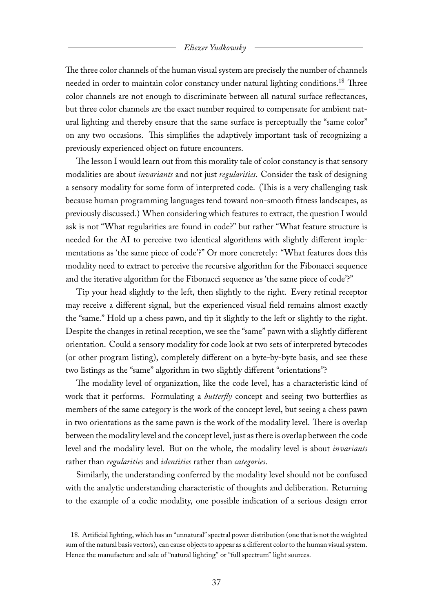The three color channels of the human visual system are precisely the number of channels needed in order to maintain color constancy under natural lighting conditions.<sup>[18](#page-37-0)</sup> Three color channels are not enough to discriminate between all natural surface reflectances, but three color channels are the exact number required to compensate for ambient natural lighting and thereby ensure that the same surface is perceptually the "same color" on any two occasions. This simplifies the adaptively important task of recognizing a previously experienced object on future encounters.

The lesson I would learn out from this morality tale of color constancy is that sensory modalities are about *invariants* and not just *regularities*. Consider the task of designing a sensory modality for some form of interpreted code. (This is a very challenging task because human programming languages tend toward non-smooth fitness landscapes, as previously discussed.) When considering which features to extract, the question I would ask is not "What regularities are found in code?" but rather "What feature structure is needed for the AI to perceive two identical algorithms with slightly different implementations as 'the same piece of code'?" Or more concretely: "What features does this modality need to extract to perceive the recursive algorithm for the Fibonacci sequence and the iterative algorithm for the Fibonacci sequence as 'the same piece of code'?"

Tip your head slightly to the left, then slightly to the right. Every retinal receptor may receive a different signal, but the experienced visual field remains almost exactly the "same." Hold up a chess pawn, and tip it slightly to the left or slightly to the right. Despite the changes in retinal reception, we see the "same" pawn with a slightly different orientation. Could a sensory modality for code look at two sets of interpreted bytecodes (or other program listing), completely different on a byte-by-byte basis, and see these two listings as the "same" algorithm in two slightly different "orientations"?

The modality level of organization, like the code level, has a characteristic kind of work that it performs. Formulating a *butterfly* concept and seeing two butterflies as members of the same category is the work of the concept level, but seeing a chess pawn in two orientations as the same pawn is the work of the modality level. There is overlap between the modality level and the concept level, just as there is overlap between the code level and the modality level. But on the whole, the modality level is about *invariants* rather than *regularities* and *identities* rather than *categories*.

Similarly, the understanding conferred by the modality level should not be confused with the analytic understanding characteristic of thoughts and deliberation. Returning to the example of a codic modality, one possible indication of a serious design error

<span id="page-37-0"></span><sup>18.</sup> Artificial lighting, which has an "unnatural" spectral power distribution (one that is not the weighted sum of the natural basis vectors), can cause objects to appear as a different color to the human visual system. Hence the manufacture and sale of "natural lighting" or "full spectrum" light sources.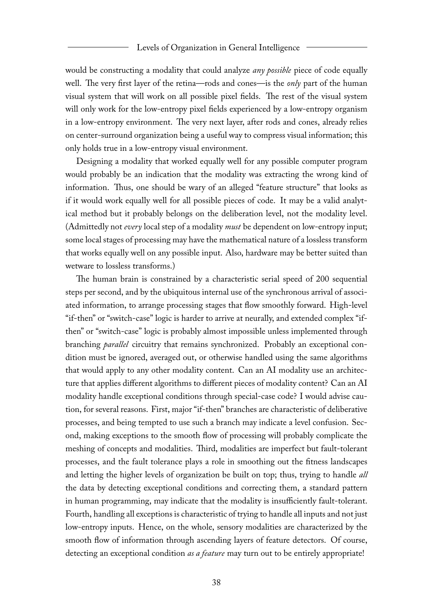would be constructing a modality that could analyze *any possible* piece of code equally well. The very first layer of the retina—rods and cones—is the *only* part of the human visual system that will work on all possible pixel fields. The rest of the visual system will only work for the low-entropy pixel fields experienced by a low-entropy organism in a low-entropy environment. The very next layer, after rods and cones, already relies on center-surround organization being a useful way to compress visual information; this only holds true in a low-entropy visual environment.

Designing a modality that worked equally well for any possible computer program would probably be an indication that the modality was extracting the wrong kind of information. Thus, one should be wary of an alleged "feature structure" that looks as if it would work equally well for all possible pieces of code. It may be a valid analytical method but it probably belongs on the deliberation level, not the modality level. (Admittedly not *every* local step of a modality *must* be dependent on low-entropy input; some local stages of processing may have the mathematical nature of a lossless transform that works equally well on any possible input. Also, hardware may be better suited than wetware to lossless transforms.)

The human brain is constrained by a characteristic serial speed of 200 sequential steps per second, and by the ubiquitous internal use of the synchronous arrival of associated information, to arrange processing stages that flow smoothly forward. High-level "if-then" or "switch-case" logic is harder to arrive at neurally, and extended complex "ifthen" or "switch-case" logic is probably almost impossible unless implemented through branching *parallel* circuitry that remains synchronized. Probably an exceptional condition must be ignored, averaged out, or otherwise handled using the same algorithms that would apply to any other modality content. Can an AI modality use an architecture that applies different algorithms to different pieces of modality content? Can an AI modality handle exceptional conditions through special-case code? I would advise caution, for several reasons. First, major "if-then" branches are characteristic of deliberative processes, and being tempted to use such a branch may indicate a level confusion. Second, making exceptions to the smooth flow of processing will probably complicate the meshing of concepts and modalities. Third, modalities are imperfect but fault-tolerant processes, and the fault tolerance plays a role in smoothing out the fitness landscapes and letting the higher levels of organization be built on top; thus, trying to handle *all* the data by detecting exceptional conditions and correcting them, a standard pattern in human programming, may indicate that the modality is insufficiently fault-tolerant. Fourth, handling all exceptions is characteristic of trying to handle all inputs and not just low-entropy inputs. Hence, on the whole, sensory modalities are characterized by the smooth flow of information through ascending layers of feature detectors. Of course, detecting an exceptional condition *as a feature* may turn out to be entirely appropriate!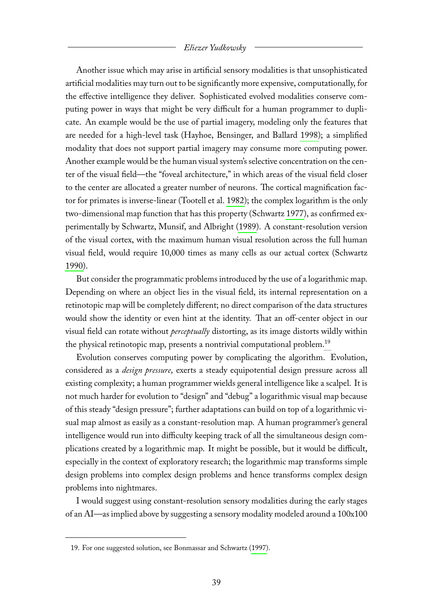Another issue which may arise in artificial sensory modalities is that unsophisticated artificial modalities may turn out to be significantly more expensive, computationally, for the effective intelligence they deliver. Sophisticated evolved modalities conserve computing power in ways that might be very difficult for a human programmer to duplicate. An example would be the use of partial imagery, modeling only the features that are needed for a high-level task (Hayhoe, Bensinger, and Ballard [1998\)](#page-116-0); a simplified modality that does not support partial imagery may consume more computing power. Another example would be the human visual system's selective concentration on the center of the visual field—the "foveal architecture," in which areas of the visual field closer to the center are allocated a greater number of neurons. The cortical magnification factor for primates is inverse-linear (Tootell et al. [1982\)](#page-120-1); the complex logarithm is the only two-dimensional map function that has this property (Schwartz [1977\)](#page-120-2), as confirmed experimentally by Schwartz, Munsif, and Albright [\(1989\)](#page-120-3). A constant-resolution version of the visual cortex, with the maximum human visual resolution across the full human visual field, would require 10,000 times as many cells as our actual cortex (Schwartz [1990\)](#page-120-4).

But consider the programmatic problems introduced by the use of a logarithmic map. Depending on where an object lies in the visual field, its internal representation on a retinotopic map will be completely different; no direct comparison of the data structures would show the identity or even hint at the identity. That an off-center object in our visual field can rotate without *perceptually* distorting, as its image distorts wildly within the physical retinotopic map, presents a nontrivial computational problem.<sup>[19](#page-39-0)</sup>

Evolution conserves computing power by complicating the algorithm. Evolution, considered as a *design pressure*, exerts a steady equipotential design pressure across all existing complexity; a human programmer wields general intelligence like a scalpel. It is not much harder for evolution to "design" and "debug" a logarithmic visual map because of this steady "design pressure"; further adaptations can build on top of a logarithmic visual map almost as easily as a constant-resolution map. A human programmer's general intelligence would run into difficulty keeping track of all the simultaneous design complications created by a logarithmic map. It might be possible, but it would be difficult, especially in the context of exploratory research; the logarithmic map transforms simple design problems into complex design problems and hence transforms complex design problems into nightmares.

I would suggest using constant-resolution sensory modalities during the early stages of an AI—as implied above by suggesting a sensory modality modeled around a 100x100

<span id="page-39-0"></span><sup>19.</sup> For one suggested solution, see Bonmassar and Schwartz [\(1997\)](#page-115-0).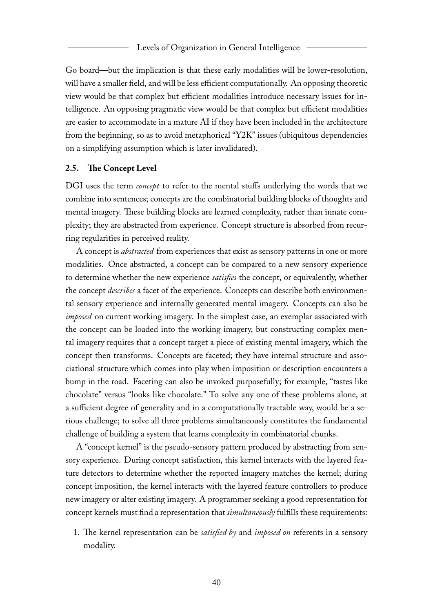Go board—but the implication is that these early modalities will be lower-resolution, will have a smaller field, and will be less efficient computationally. An opposing theoretic view would be that complex but efficient modalities introduce necessary issues for intelligence. An opposing pragmatic view would be that complex but efficient modalities are easier to accommodate in a mature AI if they have been included in the architecture from the beginning, so as to avoid metaphorical "Y2K" issues (ubiquitous dependencies on a simplifying assumption which is later invalidated).

# **2.5. The Concept Level**

DGI uses the term *concept* to refer to the mental stuffs underlying the words that we combine into sentences; concepts are the combinatorial building blocks of thoughts and mental imagery. These building blocks are learned complexity, rather than innate complexity; they are abstracted from experience. Concept structure is absorbed from recurring regularities in perceived reality.

A concept is *abstracted* from experiences that exist as sensory patterns in one or more modalities. Once abstracted, a concept can be compared to a new sensory experience to determine whether the new experience *satisfies* the concept, or equivalently, whether the concept *describes* a facet of the experience. Concepts can describe both environmental sensory experience and internally generated mental imagery. Concepts can also be *imposed* on current working imagery. In the simplest case, an exemplar associated with the concept can be loaded into the working imagery, but constructing complex mental imagery requires that a concept target a piece of existing mental imagery, which the concept then transforms. Concepts are faceted; they have internal structure and associational structure which comes into play when imposition or description encounters a bump in the road. Faceting can also be invoked purposefully; for example, "tastes like chocolate" versus "looks like chocolate." To solve any one of these problems alone, at a sufficient degree of generality and in a computationally tractable way, would be a serious challenge; to solve all three problems simultaneously constitutes the fundamental challenge of building a system that learns complexity in combinatorial chunks.

A "concept kernel" is the pseudo-sensory pattern produced by abstracting from sensory experience. During concept satisfaction, this kernel interacts with the layered feature detectors to determine whether the reported imagery matches the kernel; during concept imposition, the kernel interacts with the layered feature controllers to produce new imagery or alter existing imagery. A programmer seeking a good representation for concept kernels must find a representation that *simultaneously* fulfills these requirements:

1. The kernel representation can be *satisfied by* and *imposed on* referents in a sensory modality.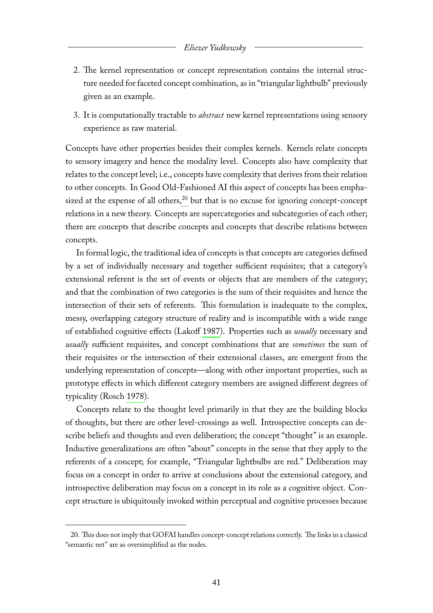- 2. The kernel representation or concept representation contains the internal structure needed for faceted concept combination, as in "triangular lightbulb" previously given as an example.
- 3. It is computationally tractable to *abstract* new kernel representations using sensory experience as raw material.

Concepts have other properties besides their complex kernels. Kernels relate concepts to sensory imagery and hence the modality level. Concepts also have complexity that relates to the concept level; i.e., concepts have complexity that derives from their relation to other concepts. In Good Old-Fashioned AI this aspect of concepts has been emphasized at the expense of all others, $20$  but that is no excuse for ignoring concept-concept relations in a new theory. Concepts are supercategories and subcategories of each other; there are concepts that describe concepts and concepts that describe relations between concepts.

In formal logic, the traditional idea of concepts is that concepts are categories defined by a set of individually necessary and together sufficient requisites; that a category's extensional referent is the set of events or objects that are members of the category; and that the combination of two categories is the sum of their requisites and hence the intersection of their sets of referents. This formulation is inadequate to the complex, messy, overlapping category structure of reality and is incompatible with a wide range of established cognitive effects (Lakoff [1987\)](#page-118-1). Properties such as *usually* necessary and *usually* sufficient requisites, and concept combinations that are *sometimes* the sum of their requisites or the intersection of their extensional classes, are emergent from the underlying representation of concepts—along with other important properties, such as prototype effects in which different category members are assigned different degrees of typicality (Rosch [1978\)](#page-119-0).

Concepts relate to the thought level primarily in that they are the building blocks of thoughts, but there are other level-crossings as well. Introspective concepts can describe beliefs and thoughts and even deliberation; the concept "thought" is an example. Inductive generalizations are often "about" concepts in the sense that they apply to the referents of a concept; for example, "Triangular lightbulbs are red." Deliberation may focus on a concept in order to arrive at conclusions about the extensional category, and introspective deliberation may focus on a concept in its role as a cognitive object. Concept structure is ubiquitously invoked within perceptual and cognitive processes because

<span id="page-41-0"></span><sup>20.</sup> This does not imply that GOFAI handles concept-concept relations correctly. The links in a classical "semantic net" are as oversimplified as the nodes.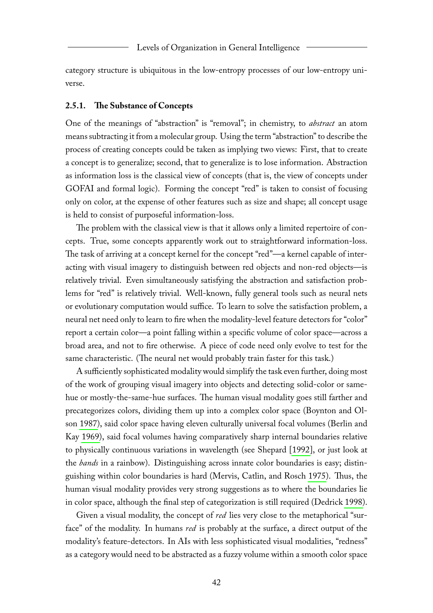category structure is ubiquitous in the low-entropy processes of our low-entropy universe.

### **2.5.1. The Substance of Concepts**

One of the meanings of "abstraction" is "removal"; in chemistry, to *abstract* an atom means subtracting it from a molecular group. Using the term "abstraction" to describe the process of creating concepts could be taken as implying two views: First, that to create a concept is to generalize; second, that to generalize is to lose information. Abstraction as information loss is the classical view of concepts (that is, the view of concepts under GOFAI and formal logic). Forming the concept "red" is taken to consist of focusing only on color, at the expense of other features such as size and shape; all concept usage is held to consist of purposeful information-loss.

The problem with the classical view is that it allows only a limited repertoire of concepts. True, some concepts apparently work out to straightforward information-loss. The task of arriving at a concept kernel for the concept "red"—a kernel capable of interacting with visual imagery to distinguish between red objects and non-red objects—is relatively trivial. Even simultaneously satisfying the abstraction and satisfaction problems for "red" is relatively trivial. Well-known, fully general tools such as neural nets or evolutionary computation would suffice. To learn to solve the satisfaction problem, a neural net need only to learn to fire when the modality-level feature detectors for "color" report a certain color—a point falling within a specific volume of color space—across a broad area, and not to fire otherwise. A piece of code need only evolve to test for the same characteristic. (The neural net would probably train faster for this task.)

A sufficiently sophisticated modality would simplify the task even further, doing most of the work of grouping visual imagery into objects and detecting solid-color or samehue or mostly-the-same-hue surfaces. The human visual modality goes still farther and precategorizes colors, dividing them up into a complex color space (Boynton and Olson [1987\)](#page-115-1), said color space having eleven culturally universal focal volumes (Berlin and Kay [1969\)](#page-115-2), said focal volumes having comparatively sharp internal boundaries relative to physically continuous variations in wavelength (see Shepard [\[1992\]](#page-120-0), or just look at the *bands* in a rainbow). Distinguishing across innate color boundaries is easy; distinguishing within color boundaries is hard (Mervis, Catlin, and Rosch [1975\)](#page-118-2). Thus, the human visual modality provides very strong suggestions as to where the boundaries lie in color space, although the final step of categorization is still required (Dedrick [1998\)](#page-116-1).

Given a visual modality, the concept of *red* lies very close to the metaphorical "surface" of the modality. In humans *red* is probably at the surface, a direct output of the modality's feature-detectors. In AIs with less sophisticated visual modalities, "redness" as a category would need to be abstracted as a fuzzy volume within a smooth color space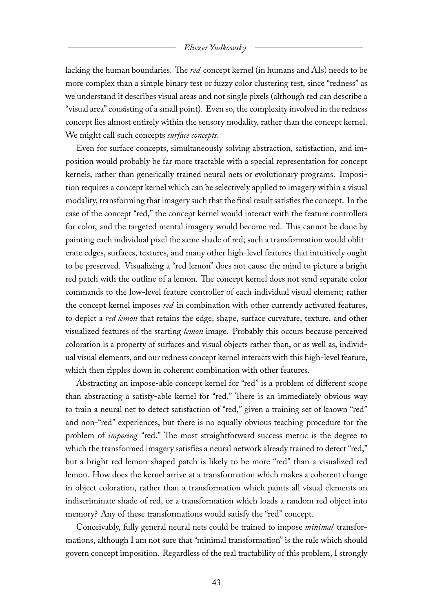lacking the human boundaries. The *red* concept kernel (in humans and AIs) needs to be more complex than a simple binary test or fuzzy color clustering test, since "redness" as we understand it describes visual areas and not single pixels (although red can describe a "visual area" consisting of a small point). Even so, the complexity involved in the redness concept lies almost entirely within the sensory modality, rather than the concept kernel. We might call such concepts *surface concepts*.

Even for surface concepts, simultaneously solving abstraction, satisfaction, and imposition would probably be far more tractable with a special representation for concept kernels, rather than generically trained neural nets or evolutionary programs. Imposition requires a concept kernel which can be selectively applied to imagery within a visual modality, transforming that imagery such that the final result satisfies the concept. In the case of the concept "red," the concept kernel would interact with the feature controllers for color, and the targeted mental imagery would become red. This cannot be done by painting each individual pixel the same shade of red; such a transformation would obliterate edges, surfaces, textures, and many other high-level features that intuitively ought to be preserved. Visualizing a "red lemon" does not cause the mind to picture a bright red patch with the outline of a lemon. The concept kernel does not send separate color commands to the low-level feature controller of each individual visual element; rather the concept kernel imposes *red* in combination with other currently activated features, to depict a *red lemon* that retains the edge, shape, surface curvature, texture, and other visualized features of the starting *lemon* image. Probably this occurs because perceived coloration is a property of surfaces and visual objects rather than, or as well as, individual visual elements, and our redness concept kernel interacts with this high-level feature, which then ripples down in coherent combination with other features.

Abstracting an impose-able concept kernel for "red" is a problem of different scope than abstracting a satisfy-able kernel for "red." There is an immediately obvious way to train a neural net to detect satisfaction of "red," given a training set of known "red" and non-"red" experiences, but there is no equally obvious teaching procedure for the problem of *imposing* "red." The most straightforward success metric is the degree to which the transformed imagery satisfies a neural network already trained to detect "red," but a bright red lemon-shaped patch is likely to be more "red" than a visualized red lemon. How does the kernel arrive at a transformation which makes a coherent change in object coloration, rather than a transformation which paints all visual elements an indiscriminate shade of red, or a transformation which loads a random red object into memory? Any of these transformations would satisfy the "red" concept.

Conceivably, fully general neural nets could be trained to impose *minimal* transformations, although I am not sure that "minimal transformation" is the rule which should govern concept imposition. Regardless of the real tractability of this problem, I strongly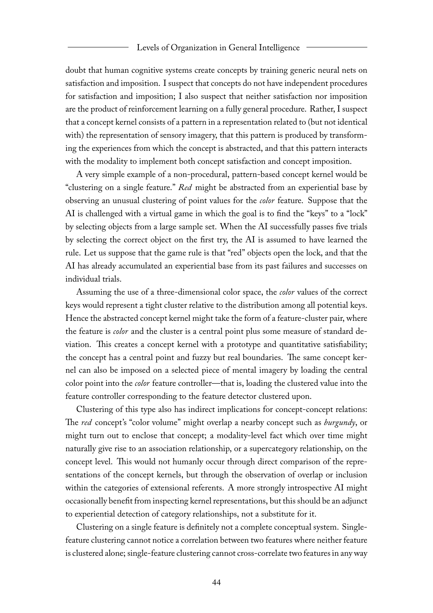### Levels of Organization in General Intelligence

doubt that human cognitive systems create concepts by training generic neural nets on satisfaction and imposition. I suspect that concepts do not have independent procedures for satisfaction and imposition; I also suspect that neither satisfaction nor imposition are the product of reinforcement learning on a fully general procedure. Rather, I suspect that a concept kernel consists of a pattern in a representation related to (but not identical with) the representation of sensory imagery, that this pattern is produced by transforming the experiences from which the concept is abstracted, and that this pattern interacts with the modality to implement both concept satisfaction and concept imposition.

A very simple example of a non-procedural, pattern-based concept kernel would be "clustering on a single feature." *Red* might be abstracted from an experiential base by observing an unusual clustering of point values for the *color* feature. Suppose that the AI is challenged with a virtual game in which the goal is to find the "keys" to a "lock" by selecting objects from a large sample set. When the AI successfully passes five trials by selecting the correct object on the first try, the AI is assumed to have learned the rule. Let us suppose that the game rule is that "red" objects open the lock, and that the AI has already accumulated an experiential base from its past failures and successes on individual trials.

Assuming the use of a three-dimensional color space, the *color* values of the correct keys would represent a tight cluster relative to the distribution among all potential keys. Hence the abstracted concept kernel might take the form of a feature-cluster pair, where the feature is *color* and the cluster is a central point plus some measure of standard deviation. This creates a concept kernel with a prototype and quantitative satisfiability; the concept has a central point and fuzzy but real boundaries. The same concept kernel can also be imposed on a selected piece of mental imagery by loading the central color point into the *color* feature controller—that is, loading the clustered value into the feature controller corresponding to the feature detector clustered upon.

Clustering of this type also has indirect implications for concept-concept relations: The *red* concept's "color volume" might overlap a nearby concept such as *burgundy*, or might turn out to enclose that concept; a modality-level fact which over time might naturally give rise to an association relationship, or a supercategory relationship, on the concept level. This would not humanly occur through direct comparison of the representations of the concept kernels, but through the observation of overlap or inclusion within the categories of extensional referents. A more strongly introspective AI might occasionally benefit from inspecting kernel representations, but this should be an adjunct to experiential detection of category relationships, not a substitute for it.

Clustering on a single feature is definitely not a complete conceptual system. Singlefeature clustering cannot notice a correlation between two features where neither feature is clustered alone; single-feature clustering cannot cross-correlate two features in any way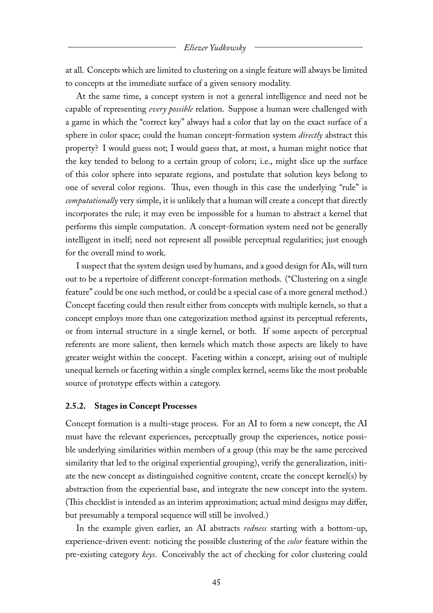at all. Concepts which are limited to clustering on a single feature will always be limited to concepts at the immediate surface of a given sensory modality.

At the same time, a concept system is not a general intelligence and need not be capable of representing *every possible* relation. Suppose a human were challenged with a game in which the "correct key" always had a color that lay on the exact surface of a sphere in color space; could the human concept-formation system *directly* abstract this property? I would guess not; I would guess that, at most, a human might notice that the key tended to belong to a certain group of colors; i.e., might slice up the surface of this color sphere into separate regions, and postulate that solution keys belong to one of several color regions. Thus, even though in this case the underlying "rule" is *computationally* very simple, it is unlikely that a human will create a concept that directly incorporates the rule; it may even be impossible for a human to abstract a kernel that performs this simple computation. A concept-formation system need not be generally intelligent in itself; need not represent all possible perceptual regularities; just enough for the overall mind to work.

I suspect that the system design used by humans, and a good design for AIs, will turn out to be a repertoire of different concept-formation methods. ("Clustering on a single feature" could be one such method, or could be a special case of a more general method.) Concept faceting could then result either from concepts with multiple kernels, so that a concept employs more than one categorization method against its perceptual referents, or from internal structure in a single kernel, or both. If some aspects of perceptual referents are more salient, then kernels which match those aspects are likely to have greater weight within the concept. Faceting within a concept, arising out of multiple unequal kernels or faceting within a single complex kernel, seems like the most probable source of prototype effects within a category.

# **2.5.2. Stages in Concept Processes**

Concept formation is a multi-stage process. For an AI to form a new concept, the AI must have the relevant experiences, perceptually group the experiences, notice possible underlying similarities within members of a group (this may be the same perceived similarity that led to the original experiential grouping), verify the generalization, initiate the new concept as distinguished cognitive content, create the concept kernel(s) by abstraction from the experiential base, and integrate the new concept into the system. (This checklist is intended as an interim approximation; actual mind designs may differ, but presumably a temporal sequence will still be involved.)

In the example given earlier, an AI abstracts *redness* starting with a bottom-up, experience-driven event: noticing the possible clustering of the *color* feature within the pre-existing category *keys*. Conceivably the act of checking for color clustering could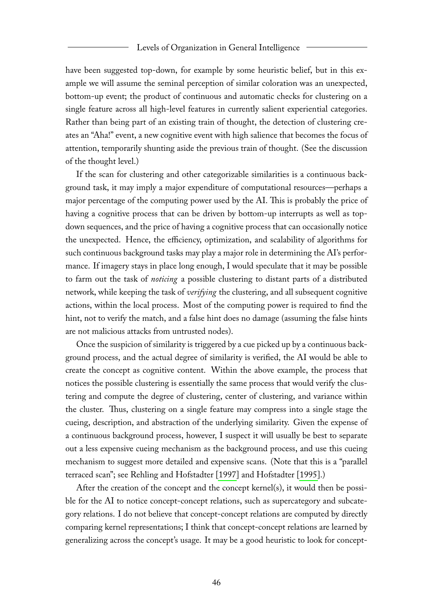have been suggested top-down, for example by some heuristic belief, but in this example we will assume the seminal perception of similar coloration was an unexpected, bottom-up event; the product of continuous and automatic checks for clustering on a single feature across all high-level features in currently salient experiential categories. Rather than being part of an existing train of thought, the detection of clustering creates an "Aha!" event, a new cognitive event with high salience that becomes the focus of attention, temporarily shunting aside the previous train of thought. (See the discussion of the thought level.)

If the scan for clustering and other categorizable similarities is a continuous background task, it may imply a major expenditure of computational resources—perhaps a major percentage of the computing power used by the AI. This is probably the price of having a cognitive process that can be driven by bottom-up interrupts as well as topdown sequences, and the price of having a cognitive process that can occasionally notice the unexpected. Hence, the efficiency, optimization, and scalability of algorithms for such continuous background tasks may play a major role in determining the AI's performance. If imagery stays in place long enough, I would speculate that it may be possible to farm out the task of *noticing* a possible clustering to distant parts of a distributed network, while keeping the task of *verifying* the clustering, and all subsequent cognitive actions, within the local process. Most of the computing power is required to find the hint, not to verify the match, and a false hint does no damage (assuming the false hints are not malicious attacks from untrusted nodes).

Once the suspicion of similarity is triggered by a cue picked up by a continuous background process, and the actual degree of similarity is verified, the AI would be able to create the concept as cognitive content. Within the above example, the process that notices the possible clustering is essentially the same process that would verify the clustering and compute the degree of clustering, center of clustering, and variance within the cluster. Thus, clustering on a single feature may compress into a single stage the cueing, description, and abstraction of the underlying similarity. Given the expense of a continuous background process, however, I suspect it will usually be best to separate out a less expensive cueing mechanism as the background process, and use this cueing mechanism to suggest more detailed and expensive scans. (Note that this is a "parallel terraced scan"; see Rehling and Hofstadter [\[1997\]](#page-119-1) and Hofstadter [\[1995\]](#page-116-2).)

After the creation of the concept and the concept kernel(s), it would then be possible for the AI to notice concept-concept relations, such as supercategory and subcategory relations. I do not believe that concept-concept relations are computed by directly comparing kernel representations; I think that concept-concept relations are learned by generalizing across the concept's usage. It may be a good heuristic to look for concept-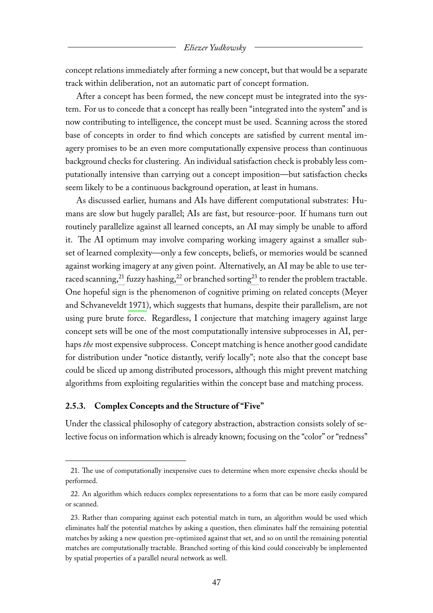concept relations immediately after forming a new concept, but that would be a separate track within deliberation, not an automatic part of concept formation.

After a concept has been formed, the new concept must be integrated into the system. For us to concede that a concept has really been "integrated into the system" and is now contributing to intelligence, the concept must be used. Scanning across the stored base of concepts in order to find which concepts are satisfied by current mental imagery promises to be an even more computationally expensive process than continuous background checks for clustering. An individual satisfaction check is probably less computationally intensive than carrying out a concept imposition—but satisfaction checks seem likely to be a continuous background operation, at least in humans.

As discussed earlier, humans and AIs have different computational substrates: Humans are slow but hugely parallel; AIs are fast, but resource-poor. If humans turn out routinely parallelize against all learned concepts, an AI may simply be unable to afford it. The AI optimum may involve comparing working imagery against a smaller subset of learned complexity—only a few concepts, beliefs, or memories would be scanned against working imagery at any given point. Alternatively, an AI may be able to use ter-raced scanning,<sup>[21](#page-47-0)</sup> fuzzy hashing,<sup>[22](#page-47-1)</sup> or branched sorting<sup>[23](#page-47-2)</sup> to render the problem tractable. One hopeful sign is the phenomenon of cognitive priming on related concepts (Meyer and Schvaneveldt [1971\)](#page-118-3), which suggests that humans, despite their parallelism, are not using pure brute force. Regardless, I conjecture that matching imagery against large concept sets will be one of the most computationally intensive subprocesses in AI, perhaps *the* most expensive subprocess. Concept matching is hence another good candidate for distribution under "notice distantly, verify locally"; note also that the concept base could be sliced up among distributed processors, although this might prevent matching algorithms from exploiting regularities within the concept base and matching process.

# **2.5.3. Complex Concepts and the Structure of "Five"**

Under the classical philosophy of category abstraction, abstraction consists solely of selective focus on information which is already known; focusing on the "color" or "redness"

<span id="page-47-0"></span><sup>21.</sup> The use of computationally inexpensive cues to determine when more expensive checks should be performed.

<span id="page-47-1"></span><sup>22.</sup> An algorithm which reduces complex representations to a form that can be more easily compared or scanned.

<span id="page-47-2"></span><sup>23.</sup> Rather than comparing against each potential match in turn, an algorithm would be used which eliminates half the potential matches by asking a question, then eliminates half the remaining potential matches by asking a new question pre-optimized against that set, and so on until the remaining potential matches are computationally tractable. Branched sorting of this kind could conceivably be implemented by spatial properties of a parallel neural network as well.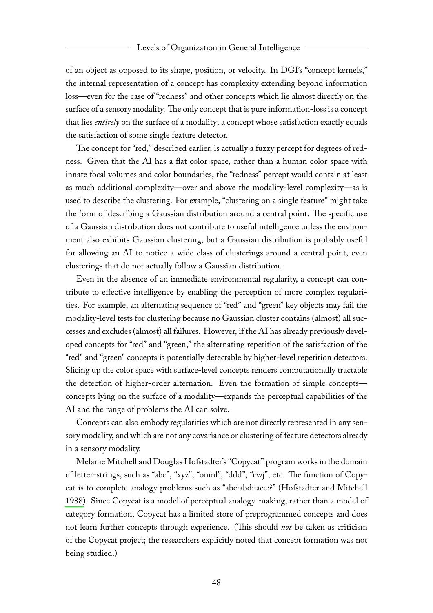of an object as opposed to its shape, position, or velocity. In DGI's "concept kernels," the internal representation of a concept has complexity extending beyond information loss—even for the case of "redness" and other concepts which lie almost directly on the surface of a sensory modality. The only concept that is pure information-loss is a concept that lies *entirely* on the surface of a modality; a concept whose satisfaction exactly equals the satisfaction of some single feature detector.

The concept for "red," described earlier, is actually a fuzzy percept for degrees of redness. Given that the AI has a flat color space, rather than a human color space with innate focal volumes and color boundaries, the "redness" percept would contain at least as much additional complexity—over and above the modality-level complexity—as is used to describe the clustering. For example, "clustering on a single feature" might take the form of describing a Gaussian distribution around a central point. The specific use of a Gaussian distribution does not contribute to useful intelligence unless the environment also exhibits Gaussian clustering, but a Gaussian distribution is probably useful for allowing an AI to notice a wide class of clusterings around a central point, even clusterings that do not actually follow a Gaussian distribution.

Even in the absence of an immediate environmental regularity, a concept can contribute to effective intelligence by enabling the perception of more complex regularities. For example, an alternating sequence of "red" and "green" key objects may fail the modality-level tests for clustering because no Gaussian cluster contains (almost) all successes and excludes (almost) all failures. However, if the AI has already previously developed concepts for "red" and "green," the alternating repetition of the satisfaction of the "red" and "green" concepts is potentially detectable by higher-level repetition detectors. Slicing up the color space with surface-level concepts renders computationally tractable the detection of higher-order alternation. Even the formation of simple concepts concepts lying on the surface of a modality—expands the perceptual capabilities of the AI and the range of problems the AI can solve.

Concepts can also embody regularities which are not directly represented in any sensory modality, and which are not any covariance or clustering of feature detectors already in a sensory modality.

Melanie Mitchell and Douglas Hofstadter's "Copycat" program works in the domain of letter-strings, such as "abc", "xyz", "onml", "ddd", "cwj", etc. The function of Copycat is to complete analogy problems such as "abc:abd::ace:?" (Hofstadter and Mitchell [1988\)](#page-117-2). Since Copycat is a model of perceptual analogy-making, rather than a model of category formation, Copycat has a limited store of preprogrammed concepts and does not learn further concepts through experience. (This should *not* be taken as criticism of the Copycat project; the researchers explicitly noted that concept formation was not being studied.)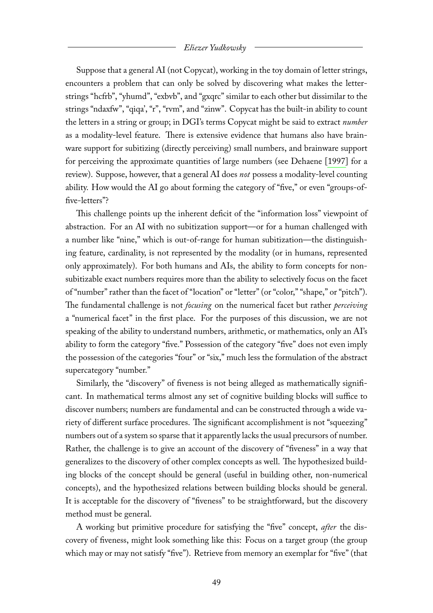Suppose that a general AI (not Copycat), working in the toy domain of letter strings, encounters a problem that can only be solved by discovering what makes the letterstrings "hcfrb", "yhumd", "exbvb", and "gxqrc" similar to each other but dissimilar to the strings "ndaxfw", "qiqa', "r", "rvm", and "zinw". Copycat has the built-in ability to count the letters in a string or group; in DGI's terms Copycat might be said to extract *number* as a modality-level feature. There is extensive evidence that humans also have brainware support for subitizing (directly perceiving) small numbers, and brainware support for perceiving the approximate quantities of large numbers (see Dehaene [\[1997\]](#page-116-3) for a review). Suppose, however, that a general AI does *not* possess a modality-level counting ability. How would the AI go about forming the category of "five," or even "groups-offive-letters"?

This challenge points up the inherent deficit of the "information loss" viewpoint of abstraction. For an AI with no subitization support—or for a human challenged with a number like "nine," which is out-of-range for human subitization—the distinguishing feature, cardinality, is not represented by the modality (or in humans, represented only approximately). For both humans and AIs, the ability to form concepts for nonsubitizable exact numbers requires more than the ability to selectively focus on the facet of "number" rather than the facet of "location" or "letter" (or "color," "shape," or "pitch"). The fundamental challenge is not *focusing* on the numerical facet but rather *perceiving* a "numerical facet" in the first place. For the purposes of this discussion, we are not speaking of the ability to understand numbers, arithmetic, or mathematics, only an AI's ability to form the category "five." Possession of the category "five" does not even imply the possession of the categories "four" or "six," much less the formulation of the abstract supercategory "number."

Similarly, the "discovery" of fiveness is not being alleged as mathematically significant. In mathematical terms almost any set of cognitive building blocks will suffice to discover numbers; numbers are fundamental and can be constructed through a wide variety of different surface procedures. The significant accomplishment is not "squeezing" numbers out of a system so sparse that it apparently lacks the usual precursors of number. Rather, the challenge is to give an account of the discovery of "fiveness" in a way that generalizes to the discovery of other complex concepts as well. The hypothesized building blocks of the concept should be general (useful in building other, non-numerical concepts), and the hypothesized relations between building blocks should be general. It is acceptable for the discovery of "fiveness" to be straightforward, but the discovery method must be general.

A working but primitive procedure for satisfying the "five" concept, *after* the discovery of fiveness, might look something like this: Focus on a target group (the group which may or may not satisfy "five"). Retrieve from memory an exemplar for "five" (that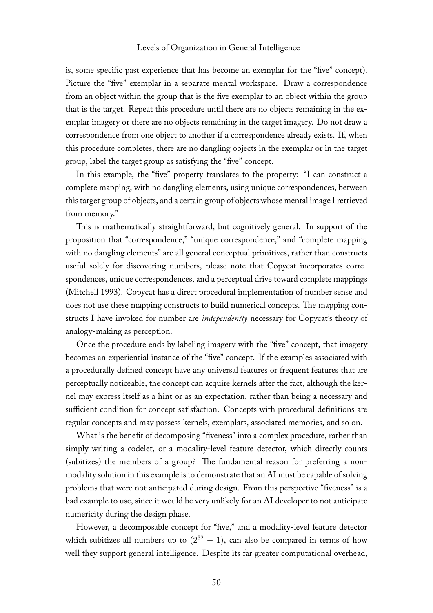is, some specific past experience that has become an exemplar for the "five" concept). Picture the "five" exemplar in a separate mental workspace. Draw a correspondence from an object within the group that is the five exemplar to an object within the group that is the target. Repeat this procedure until there are no objects remaining in the exemplar imagery or there are no objects remaining in the target imagery. Do not draw a correspondence from one object to another if a correspondence already exists. If, when this procedure completes, there are no dangling objects in the exemplar or in the target group, label the target group as satisfying the "five" concept.

In this example, the "five" property translates to the property: "I can construct a complete mapping, with no dangling elements, using unique correspondences, between this target group of objects, and a certain group of objects whose mental image I retrieved from memory."

This is mathematically straightforward, but cognitively general. In support of the proposition that "correspondence," "unique correspondence," and "complete mapping with no dangling elements" are all general conceptual primitives, rather than constructs useful solely for discovering numbers, please note that Copycat incorporates correspondences, unique correspondences, and a perceptual drive toward complete mappings (Mitchell [1993\)](#page-118-4). Copycat has a direct procedural implementation of number sense and does not use these mapping constructs to build numerical concepts. The mapping constructs I have invoked for number are *independently* necessary for Copycat's theory of analogy-making as perception.

Once the procedure ends by labeling imagery with the "five" concept, that imagery becomes an experiential instance of the "five" concept. If the examples associated with a procedurally defined concept have any universal features or frequent features that are perceptually noticeable, the concept can acquire kernels after the fact, although the kernel may express itself as a hint or as an expectation, rather than being a necessary and sufficient condition for concept satisfaction. Concepts with procedural definitions are regular concepts and may possess kernels, exemplars, associated memories, and so on.

What is the benefit of decomposing "fiveness" into a complex procedure, rather than simply writing a codelet, or a modality-level feature detector, which directly counts (subitizes) the members of a group? The fundamental reason for preferring a nonmodality solution in this example is to demonstrate that an AI must be capable of solving problems that were not anticipated during design. From this perspective "fiveness" is a bad example to use, since it would be very unlikely for an AI developer to not anticipate numericity during the design phase.

However, a decomposable concept for "five," and a modality-level feature detector which subitizes all numbers up to  $(2^{32} - 1)$ , can also be compared in terms of how well they support general intelligence. Despite its far greater computational overhead,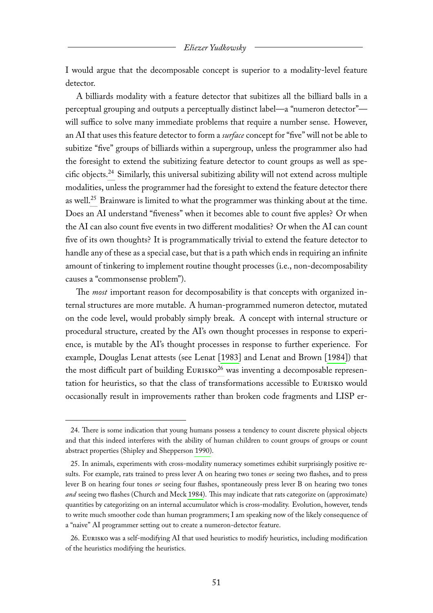I would argue that the decomposable concept is superior to a modality-level feature detector.

A billiards modality with a feature detector that subitizes all the billiard balls in a perceptual grouping and outputs a perceptually distinct label—a "numeron detector" will suffice to solve many immediate problems that require a number sense. However, an AI that uses this feature detector to form a *surface* concept for "five" will not be able to subitize "five" groups of billiards within a supergroup, unless the programmer also had the foresight to extend the subitizing feature detector to count groups as well as specific objects.[24](#page-51-0) Similarly, this universal subitizing ability will not extend across multiple modalities, unless the programmer had the foresight to extend the feature detector there as well.[25](#page-51-1) Brainware is limited to what the programmer was thinking about at the time. Does an AI understand "fiveness" when it becomes able to count five apples? Or when the AI can also count five events in two different modalities? Or when the AI can count five of its own thoughts? It is programmatically trivial to extend the feature detector to handle any of these as a special case, but that is a path which ends in requiring an infinite amount of tinkering to implement routine thought processes (i.e., non-decomposability causes a "commonsense problem").

The *most* important reason for decomposability is that concepts with organized internal structures are more mutable. A human-programmed numeron detector, mutated on the code level, would probably simply break. A concept with internal structure or procedural structure, created by the AI's own thought processes in response to experience, is mutable by the AI's thought processes in response to further experience. For example, Douglas Lenat attests (see Lenat [\[1983\]](#page-118-5) and Lenat and Brown [\[1984\]](#page-118-6)) that the most difficult part of building  $E \nu RISKO^{26}$  $E \nu RISKO^{26}$  $E \nu RISKO^{26}$  was inventing a decomposable representation for heuristics, so that the class of transformations accessible to Eurisko would occasionally result in improvements rather than broken code fragments and LISP er-

<span id="page-51-0"></span><sup>24.</sup> There is some indication that young humans possess a tendency to count discrete physical objects and that this indeed interferes with the ability of human children to count groups of groups or count abstract properties (Shipley and Shepperson [1990\)](#page-120-5).

<span id="page-51-1"></span><sup>25.</sup> In animals, experiments with cross-modality numeracy sometimes exhibit surprisingly positive results. For example, rats trained to press lever A on hearing two tones *or* seeing two flashes, and to press lever B on hearing four tones *or* seeing four flashes, spontaneously press lever B on hearing two tones *and* seeing two flashes (Church and Meck [1984\)](#page-115-3). This may indicate that rats categorize on (approximate) quantities by categorizing on an internal accumulator which is cross-modality. Evolution, however, tends to write much smoother code than human programmers; I am speaking now of the likely consequence of a "naive" AI programmer setting out to create a numeron-detector feature.

<span id="page-51-2"></span><sup>26.</sup> Eurisko was a self-modifying AI that used heuristics to modify heuristics, including modification of the heuristics modifying the heuristics.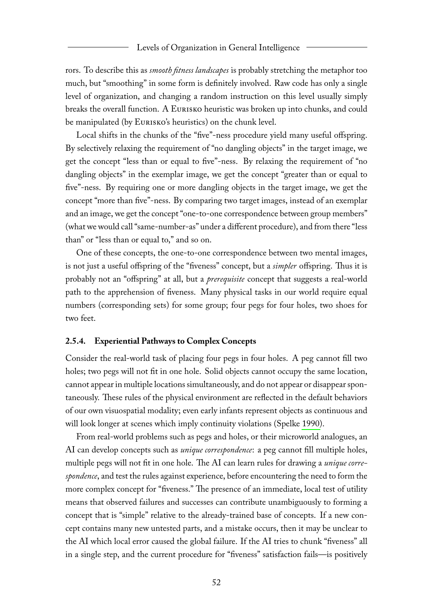rors. To describe this as *smooth fitness landscapes* is probably stretching the metaphor too much, but "smoothing" in some form is definitely involved. Raw code has only a single level of organization, and changing a random instruction on this level usually simply breaks the overall function. A Eurisko heuristic was broken up into chunks, and could be manipulated (by EURISKO's heuristics) on the chunk level.

Local shifts in the chunks of the "five"-ness procedure yield many useful offspring. By selectively relaxing the requirement of "no dangling objects" in the target image, we get the concept "less than or equal to five"-ness. By relaxing the requirement of "no dangling objects" in the exemplar image, we get the concept "greater than or equal to five"-ness. By requiring one or more dangling objects in the target image, we get the concept "more than five"-ness. By comparing two target images, instead of an exemplar and an image, we get the concept "one-to-one correspondence between group members" (what we would call "same-number-as" under a different procedure), and from there "less than" or "less than or equal to," and so on.

One of these concepts, the one-to-one correspondence between two mental images, is not just a useful offspring of the "fiveness" concept, but a *simpler* offspring. Thus it is probably not an "offspring" at all, but a *prerequisite* concept that suggests a real-world path to the apprehension of fiveness. Many physical tasks in our world require equal numbers (corresponding sets) for some group; four pegs for four holes, two shoes for two feet.

# **2.5.4. Experiential Pathways to Complex Concepts**

Consider the real-world task of placing four pegs in four holes. A peg cannot fill two holes; two pegs will not fit in one hole. Solid objects cannot occupy the same location, cannot appear in multiple locations simultaneously, and do not appear or disappear spontaneously. These rules of the physical environment are reflected in the default behaviors of our own visuospatial modality; even early infants represent objects as continuous and will look longer at scenes which imply continuity violations (Spelke [1990\)](#page-120-6).

From real-world problems such as pegs and holes, or their microworld analogues, an AI can develop concepts such as *unique correspondence*: a peg cannot fill multiple holes, multiple pegs will not fit in one hole. The AI can learn rules for drawing a *unique correspondence*, and test the rules against experience, before encountering the need to form the more complex concept for "fiveness." The presence of an immediate, local test of utility means that observed failures and successes can contribute unambiguously to forming a concept that is "simple" relative to the already-trained base of concepts. If a new concept contains many new untested parts, and a mistake occurs, then it may be unclear to the AI which local error caused the global failure. If the AI tries to chunk "fiveness" all in a single step, and the current procedure for "fiveness" satisfaction fails—is positively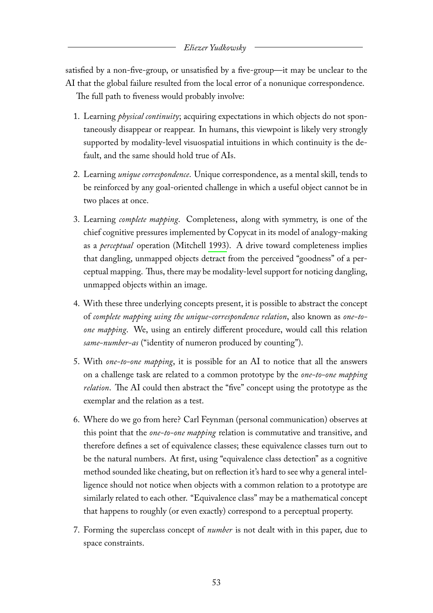satisfied by a non-five-group, or unsatisfied by a five-group—it may be unclear to the AI that the global failure resulted from the local error of a nonunique correspondence.

The full path to fiveness would probably involve:

- 1. Learning *physical continuity*; acquiring expectations in which objects do not spontaneously disappear or reappear. In humans, this viewpoint is likely very strongly supported by modality-level visuospatial intuitions in which continuity is the default, and the same should hold true of AIs.
- 2. Learning *unique correspondence*. Unique correspondence, as a mental skill, tends to be reinforced by any goal-oriented challenge in which a useful object cannot be in two places at once.
- 3. Learning *complete mapping*. Completeness, along with symmetry, is one of the chief cognitive pressures implemented by Copycat in its model of analogy-making as a *perceptual* operation (Mitchell [1993\)](#page-118-4). A drive toward completeness implies that dangling, unmapped objects detract from the perceived "goodness" of a perceptual mapping. Thus, there may be modality-level support for noticing dangling, unmapped objects within an image.
- 4. With these three underlying concepts present, it is possible to abstract the concept of *complete mapping using the unique-correspondence relation*, also known as *one-toone mapping*. We, using an entirely different procedure, would call this relation *same-number-as* ("identity of numeron produced by counting").
- 5. With *one-to-one mapping*, it is possible for an AI to notice that all the answers on a challenge task are related to a common prototype by the *one-to-one mapping relation*. The AI could then abstract the "five" concept using the prototype as the exemplar and the relation as a test.
- 6. Where do we go from here? Carl Feynman (personal communication) observes at this point that the *one-to-one mapping* relation is commutative and transitive, and therefore defines a set of equivalence classes; these equivalence classes turn out to be the natural numbers. At first, using "equivalence class detection" as a cognitive method sounded like cheating, but on reflection it's hard to see why a general intelligence should not notice when objects with a common relation to a prototype are similarly related to each other. "Equivalence class" may be a mathematical concept that happens to roughly (or even exactly) correspond to a perceptual property.
- 7. Forming the superclass concept of *number* is not dealt with in this paper, due to space constraints.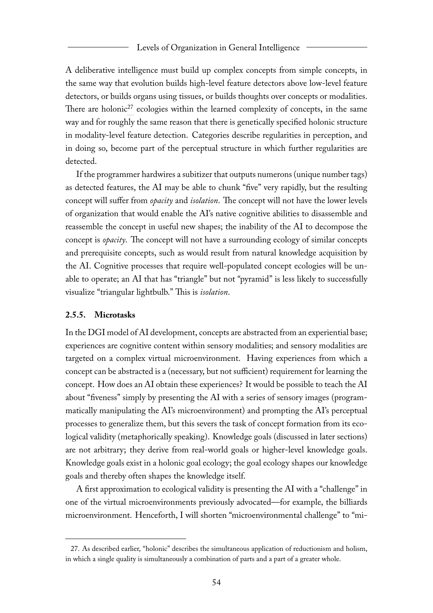A deliberative intelligence must build up complex concepts from simple concepts, in the same way that evolution builds high-level feature detectors above low-level feature detectors, or builds organs using tissues, or builds thoughts over concepts or modalities. There are holonic<sup>[27](#page-54-0)</sup> ecologies within the learned complexity of concepts, in the same way and for roughly the same reason that there is genetically specified holonic structure in modality-level feature detection. Categories describe regularities in perception, and in doing so, become part of the perceptual structure in which further regularities are detected.

If the programmer hardwires a subitizer that outputs numerons (unique number tags) as detected features, the AI may be able to chunk "five" very rapidly, but the resulting concept will suffer from *opacity* and *isolation*. The concept will not have the lower levels of organization that would enable the AI's native cognitive abilities to disassemble and reassemble the concept in useful new shapes; the inability of the AI to decompose the concept is *opacity*. The concept will not have a surrounding ecology of similar concepts and prerequisite concepts, such as would result from natural knowledge acquisition by the AI. Cognitive processes that require well-populated concept ecologies will be unable to operate; an AI that has "triangle" but not "pyramid" is less likely to successfully visualize "triangular lightbulb." This is *isolation*.

# **2.5.5. Microtasks**

In the DGI model of AI development, concepts are abstracted from an experiential base; experiences are cognitive content within sensory modalities; and sensory modalities are targeted on a complex virtual microenvironment. Having experiences from which a concept can be abstracted is a (necessary, but not sufficient) requirement for learning the concept. How does an AI obtain these experiences? It would be possible to teach the AI about "fiveness" simply by presenting the AI with a series of sensory images (programmatically manipulating the AI's microenvironment) and prompting the AI's perceptual processes to generalize them, but this severs the task of concept formation from its ecological validity (metaphorically speaking). Knowledge goals (discussed in later sections) are not arbitrary; they derive from real-world goals or higher-level knowledge goals. Knowledge goals exist in a holonic goal ecology; the goal ecology shapes our knowledge goals and thereby often shapes the knowledge itself.

A first approximation to ecological validity is presenting the AI with a "challenge" in one of the virtual microenvironments previously advocated—for example, the billiards microenvironment. Henceforth, I will shorten "microenvironmental challenge" to "mi-

<span id="page-54-0"></span><sup>27.</sup> As described earlier, "holonic" describes the simultaneous application of reductionism and holism, in which a single quality is simultaneously a combination of parts and a part of a greater whole.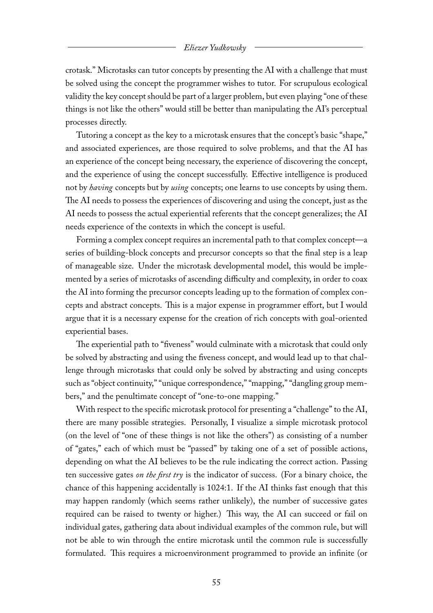crotask." Microtasks can tutor concepts by presenting the AI with a challenge that must be solved using the concept the programmer wishes to tutor. For scrupulous ecological validity the key concept should be part of a larger problem, but even playing "one of these things is not like the others" would still be better than manipulating the AI's perceptual processes directly.

Tutoring a concept as the key to a microtask ensures that the concept's basic "shape," and associated experiences, are those required to solve problems, and that the AI has an experience of the concept being necessary, the experience of discovering the concept, and the experience of using the concept successfully. Effective intelligence is produced not by *having* concepts but by *using* concepts; one learns to use concepts by using them. The AI needs to possess the experiences of discovering and using the concept, just as the AI needs to possess the actual experiential referents that the concept generalizes; the AI needs experience of the contexts in which the concept is useful.

Forming a complex concept requires an incremental path to that complex concept—a series of building-block concepts and precursor concepts so that the final step is a leap of manageable size. Under the microtask developmental model, this would be implemented by a series of microtasks of ascending difficulty and complexity, in order to coax the AI into forming the precursor concepts leading up to the formation of complex concepts and abstract concepts. This is a major expense in programmer effort, but I would argue that it is a necessary expense for the creation of rich concepts with goal-oriented experiential bases.

The experiential path to "fiveness" would culminate with a microtask that could only be solved by abstracting and using the fiveness concept, and would lead up to that challenge through microtasks that could only be solved by abstracting and using concepts such as "object continuity," "unique correspondence," "mapping," "dangling group members," and the penultimate concept of "one-to-one mapping."

With respect to the specific microtask protocol for presenting a "challenge" to the AI, there are many possible strategies. Personally, I visualize a simple microtask protocol (on the level of "one of these things is not like the others") as consisting of a number of "gates," each of which must be "passed" by taking one of a set of possible actions, depending on what the AI believes to be the rule indicating the correct action. Passing ten successive gates *on the first try* is the indicator of success. (For a binary choice, the chance of this happening accidentally is 1024:1. If the AI thinks fast enough that this may happen randomly (which seems rather unlikely), the number of successive gates required can be raised to twenty or higher.) This way, the AI can succeed or fail on individual gates, gathering data about individual examples of the common rule, but will not be able to win through the entire microtask until the common rule is successfully formulated. This requires a microenvironment programmed to provide an infinite (or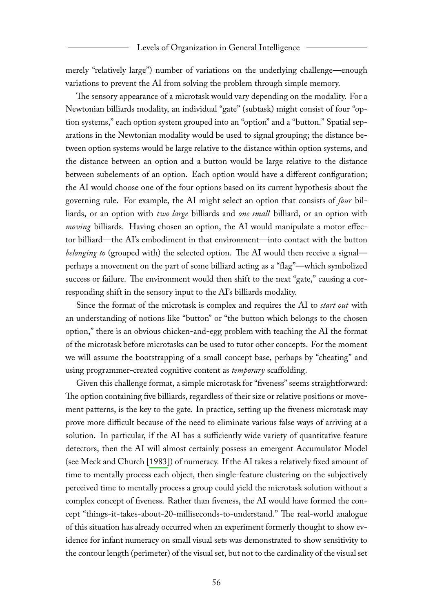# Levels of Organization in General Intelligence

merely "relatively large") number of variations on the underlying challenge—enough variations to prevent the AI from solving the problem through simple memory.

The sensory appearance of a microtask would vary depending on the modality. For a Newtonian billiards modality, an individual "gate" (subtask) might consist of four "option systems," each option system grouped into an "option" and a "button." Spatial separations in the Newtonian modality would be used to signal grouping; the distance between option systems would be large relative to the distance within option systems, and the distance between an option and a button would be large relative to the distance between subelements of an option. Each option would have a different configuration; the AI would choose one of the four options based on its current hypothesis about the governing rule. For example, the AI might select an option that consists of *four* billiards, or an option with *two large* billiards and *one small* billiard, or an option with *moving* billiards. Having chosen an option, the AI would manipulate a motor effector billiard—the AI's embodiment in that environment—into contact with the button *belonging to* (grouped with) the selected option. The AI would then receive a signal perhaps a movement on the part of some billiard acting as a "flag"—which symbolized success or failure. The environment would then shift to the next "gate," causing a corresponding shift in the sensory input to the AI's billiards modality.

Since the format of the microtask is complex and requires the AI to *start out* with an understanding of notions like "button" or "the button which belongs to the chosen option," there is an obvious chicken-and-egg problem with teaching the AI the format of the microtask before microtasks can be used to tutor other concepts. For the moment we will assume the bootstrapping of a small concept base, perhaps by "cheating" and using programmer-created cognitive content as *temporary* scaffolding.

Given this challenge format, a simple microtask for "fiveness" seems straightforward: The option containing five billiards, regardless of their size or relative positions or movement patterns, is the key to the gate. In practice, setting up the fiveness microtask may prove more difficult because of the need to eliminate various false ways of arriving at a solution. In particular, if the AI has a sufficiently wide variety of quantitative feature detectors, then the AI will almost certainly possess an emergent Accumulator Model (see Meck and Church [\[1983\]](#page-118-7)) of numeracy. If the AI takes a relatively fixed amount of time to mentally process each object, then single-feature clustering on the subjectively perceived time to mentally process a group could yield the microtask solution without a complex concept of fiveness. Rather than fiveness, the AI would have formed the concept "things-it-takes-about-20-milliseconds-to-understand." The real-world analogue of this situation has already occurred when an experiment formerly thought to show evidence for infant numeracy on small visual sets was demonstrated to show sensitivity to the contour length (perimeter) of the visual set, but not to the cardinality of the visual set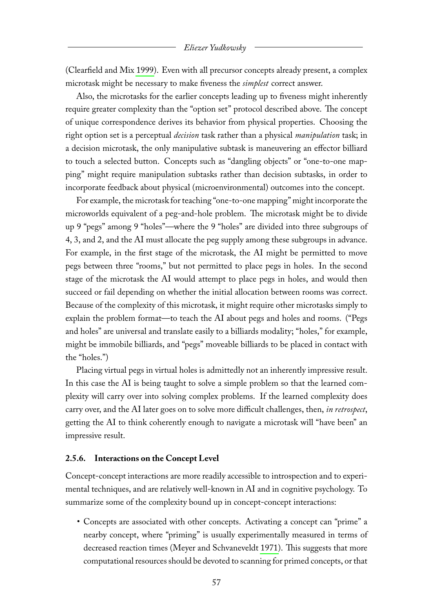(Clearfield and Mix [1999\)](#page-115-4). Even with all precursor concepts already present, a complex microtask might be necessary to make fiveness the *simplest* correct answer.

Also, the microtasks for the earlier concepts leading up to fiveness might inherently require greater complexity than the "option set" protocol described above. The concept of unique correspondence derives its behavior from physical properties. Choosing the right option set is a perceptual *decision* task rather than a physical *manipulation* task; in a decision microtask, the only manipulative subtask is maneuvering an effector billiard to touch a selected button. Concepts such as "dangling objects" or "one-to-one mapping" might require manipulation subtasks rather than decision subtasks, in order to incorporate feedback about physical (microenvironmental) outcomes into the concept.

For example, the microtask for teaching "one-to-one mapping" might incorporate the microworlds equivalent of a peg-and-hole problem. The microtask might be to divide up 9 "pegs" among 9 "holes"—where the 9 "holes" are divided into three subgroups of 4, 3, and 2, and the AI must allocate the peg supply among these subgroups in advance. For example, in the first stage of the microtask, the AI might be permitted to move pegs between three "rooms," but not permitted to place pegs in holes. In the second stage of the microtask the AI would attempt to place pegs in holes, and would then succeed or fail depending on whether the initial allocation between rooms was correct. Because of the complexity of this microtask, it might require other microtasks simply to explain the problem format—to teach the AI about pegs and holes and rooms. ("Pegs and holes" are universal and translate easily to a billiards modality; "holes," for example, might be immobile billiards, and "pegs" moveable billiards to be placed in contact with the "holes.")

Placing virtual pegs in virtual holes is admittedly not an inherently impressive result. In this case the AI is being taught to solve a simple problem so that the learned complexity will carry over into solving complex problems. If the learned complexity does carry over, and the AI later goes on to solve more difficult challenges, then, *in retrospect*, getting the AI to think coherently enough to navigate a microtask will "have been" an impressive result.

# **2.5.6. Interactions on the Concept Level**

Concept-concept interactions are more readily accessible to introspection and to experimental techniques, and are relatively well-known in AI and in cognitive psychology. To summarize some of the complexity bound up in concept-concept interactions:

• Concepts are associated with other concepts. Activating a concept can "prime" a nearby concept, where "priming" is usually experimentally measured in terms of decreased reaction times (Meyer and Schvaneveldt [1971\)](#page-118-3). This suggests that more computational resources should be devoted to scanning for primed concepts, or that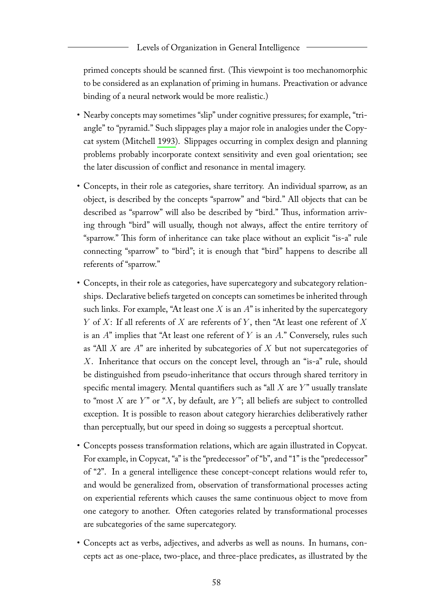# Levels of Organization in General Intelligence

primed concepts should be scanned first. (This viewpoint is too mechanomorphic to be considered as an explanation of priming in humans. Preactivation or advance binding of a neural network would be more realistic.)

- Nearby concepts may sometimes "slip" under cognitive pressures; for example, "triangle" to "pyramid." Such slippages play a major role in analogies under the Copycat system (Mitchell [1993\)](#page-118-4). Slippages occurring in complex design and planning problems probably incorporate context sensitivity and even goal orientation; see the later discussion of conflict and resonance in mental imagery.
- Concepts, in their role as categories, share territory. An individual sparrow, as an object, is described by the concepts "sparrow" and "bird." All objects that can be described as "sparrow" will also be described by "bird." Thus, information arriving through "bird" will usually, though not always, affect the entire territory of "sparrow." This form of inheritance can take place without an explicit "is-a" rule connecting "sparrow" to "bird"; it is enough that "bird" happens to describe all referents of "sparrow."
- Concepts, in their role as categories, have supercategory and subcategory relationships. Declarative beliefs targeted on concepts can sometimes be inherited through such links. For example, "At least one  $X$  is an  $A$ " is inherited by the supercategory Y of X: If all referents of X are referents of Y, then "At least one referent of X is an  $A$ " implies that "At least one referent of Y is an  $A$ ." Conversely, rules such as "All X are  $A$ " are inherited by subcategories of X but not supercategories of X. Inheritance that occurs on the concept level, through an "is-a" rule, should be distinguished from pseudo-inheritance that occurs through shared territory in specific mental imagery. Mental quantifiers such as "all  $X$  are  $Y$ " usually translate to "most X are Y" or "X, by default, are Y"; all beliefs are subject to controlled exception. It is possible to reason about category hierarchies deliberatively rather than perceptually, but our speed in doing so suggests a perceptual shortcut.
- Concepts possess transformation relations, which are again illustrated in Copycat. For example, in Copycat, "a" is the "predecessor" of "b", and "1" is the "predecessor" of "2". In a general intelligence these concept-concept relations would refer to, and would be generalized from, observation of transformational processes acting on experiential referents which causes the same continuous object to move from one category to another. Often categories related by transformational processes are subcategories of the same supercategory.
- Concepts act as verbs, adjectives, and adverbs as well as nouns. In humans, concepts act as one-place, two-place, and three-place predicates, as illustrated by the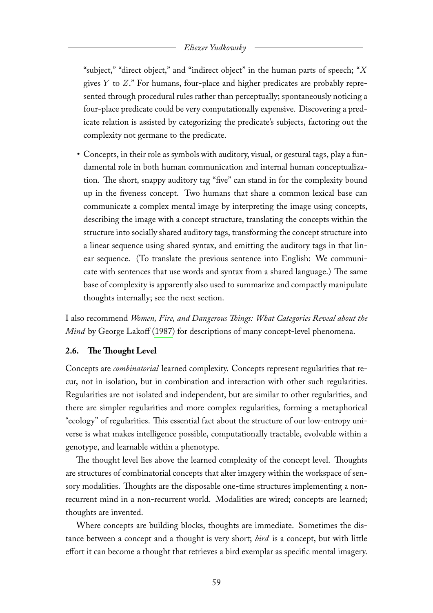"subject," "direct object," and "indirect object" in the human parts of speech; " $X$ gives Y to Z." For humans, four-place and higher predicates are probably represented through procedural rules rather than perceptually; spontaneously noticing a four-place predicate could be very computationally expensive. Discovering a predicate relation is assisted by categorizing the predicate's subjects, factoring out the complexity not germane to the predicate.

• Concepts, in their role as symbols with auditory, visual, or gestural tags, play a fundamental role in both human communication and internal human conceptualization. The short, snappy auditory tag "five" can stand in for the complexity bound up in the fiveness concept. Two humans that share a common lexical base can communicate a complex mental image by interpreting the image using concepts, describing the image with a concept structure, translating the concepts within the structure into socially shared auditory tags, transforming the concept structure into a linear sequence using shared syntax, and emitting the auditory tags in that linear sequence. (To translate the previous sentence into English: We communicate with sentences that use words and syntax from a shared language.) The same base of complexity is apparently also used to summarize and compactly manipulate thoughts internally; see the next section.

I also recommend *Women, Fire, and Dangerous Things: What Categories Reveal about the Mind* by George Lakoff [\(1987\)](#page-118-1) for descriptions of many concept-level phenomena.

# **2.6. The Thought Level**

Concepts are *combinatorial* learned complexity. Concepts represent regularities that recur, not in isolation, but in combination and interaction with other such regularities. Regularities are not isolated and independent, but are similar to other regularities, and there are simpler regularities and more complex regularities, forming a metaphorical "ecology" of regularities. This essential fact about the structure of our low-entropy universe is what makes intelligence possible, computationally tractable, evolvable within a genotype, and learnable within a phenotype.

The thought level lies above the learned complexity of the concept level. Thoughts are structures of combinatorial concepts that alter imagery within the workspace of sensory modalities. Thoughts are the disposable one-time structures implementing a nonrecurrent mind in a non-recurrent world. Modalities are wired; concepts are learned; thoughts are invented.

Where concepts are building blocks, thoughts are immediate. Sometimes the distance between a concept and a thought is very short; *bird* is a concept, but with little effort it can become a thought that retrieves a bird exemplar as specific mental imagery.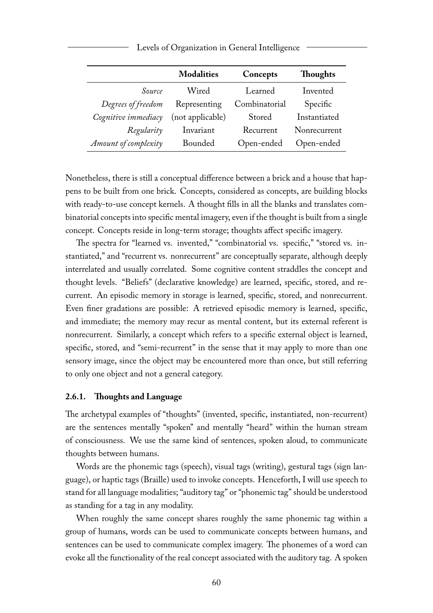|                      | <b>Modalities</b> | Concepts      | <b>Thoughts</b> |
|----------------------|-------------------|---------------|-----------------|
| Source               | Wired             | Learned       | Invented        |
| Degrees of freedom   | Representing      | Combinatorial | Specific        |
| Cognitive immediacy  | (not applicable)  | Stored        | Instantiated    |
| Regularity           | Invariant         | Recurrent     | Nonrecurrent    |
| Amount of complexity | Bounded           | Open-ended    | Open-ended      |

Levels of Organization in General Intelligence

Nonetheless, there is still a conceptual difference between a brick and a house that happens to be built from one brick. Concepts, considered as concepts, are building blocks with ready-to-use concept kernels. A thought fills in all the blanks and translates combinatorial concepts into specific mental imagery, even if the thought is built from a single concept. Concepts reside in long-term storage; thoughts affect specific imagery.

The spectra for "learned vs. invented," "combinatorial vs. specific," "stored vs. instantiated," and "recurrent vs. nonrecurrent" are conceptually separate, although deeply interrelated and usually correlated. Some cognitive content straddles the concept and thought levels. "Beliefs" (declarative knowledge) are learned, specific, stored, and recurrent. An episodic memory in storage is learned, specific, stored, and nonrecurrent. Even finer gradations are possible: A retrieved episodic memory is learned, specific, and immediate; the memory may recur as mental content, but its external referent is nonrecurrent. Similarly, a concept which refers to a specific external object is learned, specific, stored, and "semi-recurrent" in the sense that it may apply to more than one sensory image, since the object may be encountered more than once, but still referring to only one object and not a general category.

# **2.6.1. Thoughts and Language**

The archetypal examples of "thoughts" (invented, specific, instantiated, non-recurrent) are the sentences mentally "spoken" and mentally "heard" within the human stream of consciousness. We use the same kind of sentences, spoken aloud, to communicate thoughts between humans.

Words are the phonemic tags (speech), visual tags (writing), gestural tags (sign language), or haptic tags (Braille) used to invoke concepts. Henceforth, I will use speech to stand for all language modalities; "auditory tag" or "phonemic tag" should be understood as standing for a tag in any modality.

When roughly the same concept shares roughly the same phonemic tag within a group of humans, words can be used to communicate concepts between humans, and sentences can be used to communicate complex imagery. The phonemes of a word can evoke all the functionality of the real concept associated with the auditory tag. A spoken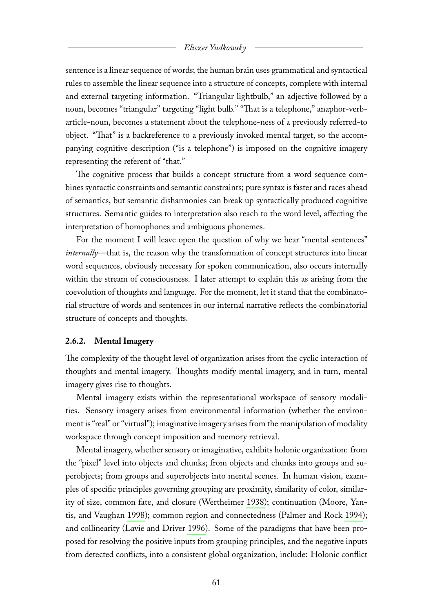sentence is a linear sequence of words; the human brain uses grammatical and syntactical rules to assemble the linear sequence into a structure of concepts, complete with internal and external targeting information. "Triangular lightbulb," an adjective followed by a noun, becomes "triangular" targeting "light bulb." "That is a telephone," anaphor-verbarticle-noun, becomes a statement about the telephone-ness of a previously referred-to object. "That" is a backreference to a previously invoked mental target, so the accompanying cognitive description ("is a telephone") is imposed on the cognitive imagery representing the referent of "that."

The cognitive process that builds a concept structure from a word sequence combines syntactic constraints and semantic constraints; pure syntax is faster and races ahead of semantics, but semantic disharmonies can break up syntactically produced cognitive structures. Semantic guides to interpretation also reach to the word level, affecting the interpretation of homophones and ambiguous phonemes.

For the moment I will leave open the question of why we hear "mental sentences" *internally*—that is, the reason why the transformation of concept structures into linear word sequences, obviously necessary for spoken communication, also occurs internally within the stream of consciousness. I later attempt to explain this as arising from the coevolution of thoughts and language. For the moment, let it stand that the combinatorial structure of words and sentences in our internal narrative reflects the combinatorial structure of concepts and thoughts.

## **2.6.2. Mental Imagery**

The complexity of the thought level of organization arises from the cyclic interaction of thoughts and mental imagery. Thoughts modify mental imagery, and in turn, mental imagery gives rise to thoughts.

Mental imagery exists within the representational workspace of sensory modalities. Sensory imagery arises from environmental information (whether the environment is "real" or "virtual"); imaginative imagery arises from the manipulation of modality workspace through concept imposition and memory retrieval.

Mental imagery, whether sensory or imaginative, exhibits holonic organization: from the "pixel" level into objects and chunks; from objects and chunks into groups and superobjects; from groups and superobjects into mental scenes. In human vision, examples of specific principles governing grouping are proximity, similarity of color, similarity of size, common fate, and closure (Wertheimer [1938\)](#page-121-0); continuation (Moore, Yantis, and Vaughan [1998\)](#page-119-2); common region and connectedness (Palmer and Rock [1994\)](#page-119-3); and collinearity (Lavie and Driver [1996\)](#page-118-8). Some of the paradigms that have been proposed for resolving the positive inputs from grouping principles, and the negative inputs from detected conflicts, into a consistent global organization, include: Holonic conflict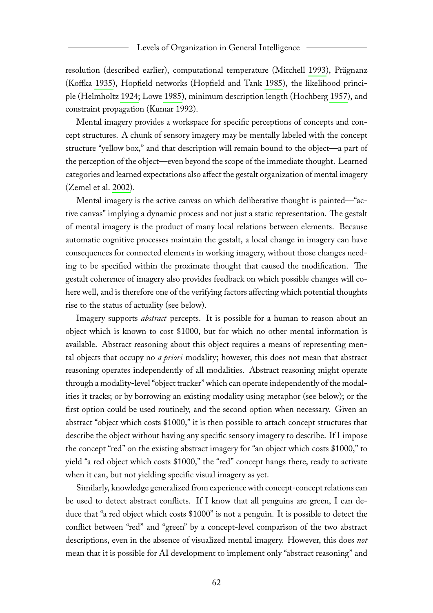resolution (described earlier), computational temperature (Mitchell [1993\)](#page-118-4), Prägnanz (Koffka [1935\)](#page-117-3), Hopfield networks (Hopfield and Tank [1985\)](#page-117-4), the likelihood principle (Helmholtz [1924;](#page-116-4) Lowe [1985\)](#page-118-9), minimum description length (Hochberg [1957\)](#page-116-5), and constraint propagation (Kumar [1992\)](#page-118-10).

Mental imagery provides a workspace for specific perceptions of concepts and concept structures. A chunk of sensory imagery may be mentally labeled with the concept structure "yellow box," and that description will remain bound to the object—a part of the perception of the object—even beyond the scope of the immediate thought. Learned categories and learned expectations also affect the gestalt organization of mental imagery (Zemel et al. [2002\)](#page-121-1).

Mental imagery is the active canvas on which deliberative thought is painted—"active canvas" implying a dynamic process and not just a static representation. The gestalt of mental imagery is the product of many local relations between elements. Because automatic cognitive processes maintain the gestalt, a local change in imagery can have consequences for connected elements in working imagery, without those changes needing to be specified within the proximate thought that caused the modification. The gestalt coherence of imagery also provides feedback on which possible changes will cohere well, and is therefore one of the verifying factors affecting which potential thoughts rise to the status of actuality (see below).

Imagery supports *abstract* percepts. It is possible for a human to reason about an object which is known to cost \$1000, but for which no other mental information is available. Abstract reasoning about this object requires a means of representing mental objects that occupy no *a priori* modality; however, this does not mean that abstract reasoning operates independently of all modalities. Abstract reasoning might operate through a modality-level "object tracker" which can operate independently of the modalities it tracks; or by borrowing an existing modality using metaphor (see below); or the first option could be used routinely, and the second option when necessary. Given an abstract "object which costs \$1000," it is then possible to attach concept structures that describe the object without having any specific sensory imagery to describe. If I impose the concept "red" on the existing abstract imagery for "an object which costs \$1000," to yield "a red object which costs \$1000," the "red" concept hangs there, ready to activate when it can, but not yielding specific visual imagery as yet.

Similarly, knowledge generalized from experience with concept-concept relations can be used to detect abstract conflicts. If I know that all penguins are green, I can deduce that "a red object which costs \$1000" is not a penguin. It is possible to detect the conflict between "red" and "green" by a concept-level comparison of the two abstract descriptions, even in the absence of visualized mental imagery. However, this does *not* mean that it is possible for AI development to implement only "abstract reasoning" and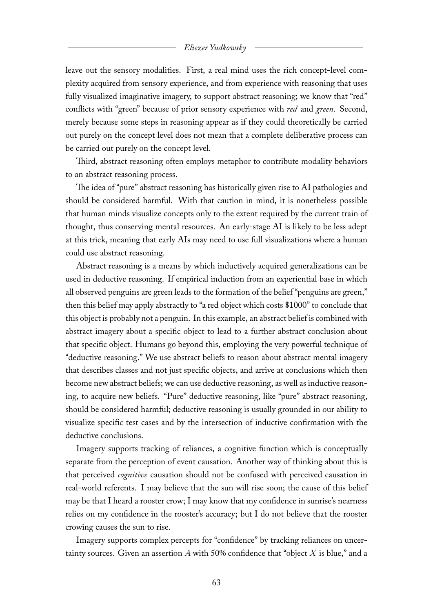leave out the sensory modalities. First, a real mind uses the rich concept-level complexity acquired from sensory experience, and from experience with reasoning that uses fully visualized imaginative imagery, to support abstract reasoning; we know that "red" conflicts with "green" because of prior sensory experience with *red* and *green*. Second, merely because some steps in reasoning appear as if they could theoretically be carried out purely on the concept level does not mean that a complete deliberative process can be carried out purely on the concept level.

Third, abstract reasoning often employs metaphor to contribute modality behaviors to an abstract reasoning process.

The idea of "pure" abstract reasoning has historically given rise to AI pathologies and should be considered harmful. With that caution in mind, it is nonetheless possible that human minds visualize concepts only to the extent required by the current train of thought, thus conserving mental resources. An early-stage AI is likely to be less adept at this trick, meaning that early AIs may need to use full visualizations where a human could use abstract reasoning.

Abstract reasoning is a means by which inductively acquired generalizations can be used in deductive reasoning. If empirical induction from an experiential base in which all observed penguins are green leads to the formation of the belief "penguins are green," then this belief may apply abstractly to "a red object which costs \$1000" to conclude that this object is probably not a penguin. In this example, an abstract belief is combined with abstract imagery about a specific object to lead to a further abstract conclusion about that specific object. Humans go beyond this, employing the very powerful technique of "deductive reasoning." We use abstract beliefs to reason about abstract mental imagery that describes classes and not just specific objects, and arrive at conclusions which then become new abstract beliefs; we can use deductive reasoning, as well as inductive reasoning, to acquire new beliefs. "Pure" deductive reasoning, like "pure" abstract reasoning, should be considered harmful; deductive reasoning is usually grounded in our ability to visualize specific test cases and by the intersection of inductive confirmation with the deductive conclusions.

Imagery supports tracking of reliances, a cognitive function which is conceptually separate from the perception of event causation. Another way of thinking about this is that perceived *cognitive* causation should not be confused with perceived causation in real-world referents. I may believe that the sun will rise soon; the cause of this belief may be that I heard a rooster crow; I may know that my confidence in sunrise's nearness relies on my confidence in the rooster's accuracy; but I do not believe that the rooster crowing causes the sun to rise.

Imagery supports complex percepts for "confidence" by tracking reliances on uncertainty sources. Given an assertion  $A$  with 50% confidence that "object  $X$  is blue," and a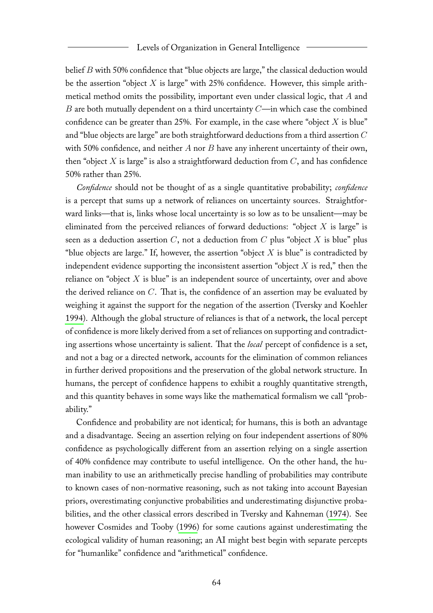belief B with 50% confidence that "blue objects are large," the classical deduction would be the assertion "object  $X$  is large" with 25% confidence. However, this simple arithmetical method omits the possibility, important even under classical logic, that A and  $B$  are both mutually dependent on a third uncertainty  $C$ —in which case the combined confidence can be greater than 25%. For example, in the case where "object  $X$  is blue" and "blue objects are large" are both straightforward deductions from a third assertion C with 50% confidence, and neither A nor B have any inherent uncertainty of their own, then "object X is large" is also a straightforward deduction from  $C$ , and has confidence 50% rather than 25%.

*Confidence* should not be thought of as a single quantitative probability; *confidence* is a percept that sums up a network of reliances on uncertainty sources. Straightforward links—that is, links whose local uncertainty is so low as to be unsalient—may be eliminated from the perceived reliances of forward deductions: "object  $X$  is large" is seen as a deduction assertion  $C$ , not a deduction from  $C$  plus "object  $X$  is blue" plus "blue objects are large." If, however, the assertion "object  $X$  is blue" is contradicted by independent evidence supporting the inconsistent assertion "object  $X$  is red," then the reliance on "object  $X$  is blue" is an independent source of uncertainty, over and above the derived reliance on C. That is, the confidence of an assertion may be evaluated by weighing it against the support for the negation of the assertion (Tversky and Koehler [1994\)](#page-120-7). Although the global structure of reliances is that of a network, the local percept of confidence is more likely derived from a set of reliances on supporting and contradicting assertions whose uncertainty is salient. That the *local* percept of confidence is a set, and not a bag or a directed network, accounts for the elimination of common reliances in further derived propositions and the preservation of the global network structure. In humans, the percept of confidence happens to exhibit a roughly quantitative strength, and this quantity behaves in some ways like the mathematical formalism we call "probability."

Confidence and probability are not identical; for humans, this is both an advantage and a disadvantage. Seeing an assertion relying on four independent assertions of 80% confidence as psychologically different from an assertion relying on a single assertion of 40% confidence may contribute to useful intelligence. On the other hand, the human inability to use an arithmetically precise handling of probabilities may contribute to known cases of non-normative reasoning, such as not taking into account Bayesian priors, overestimating conjunctive probabilities and underestimating disjunctive probabilities, and the other classical errors described in Tversky and Kahneman [\(1974\)](#page-120-8). See however Cosmides and Tooby [\(1996\)](#page-115-5) for some cautions against underestimating the ecological validity of human reasoning; an AI might best begin with separate percepts for "humanlike" confidence and "arithmetical" confidence.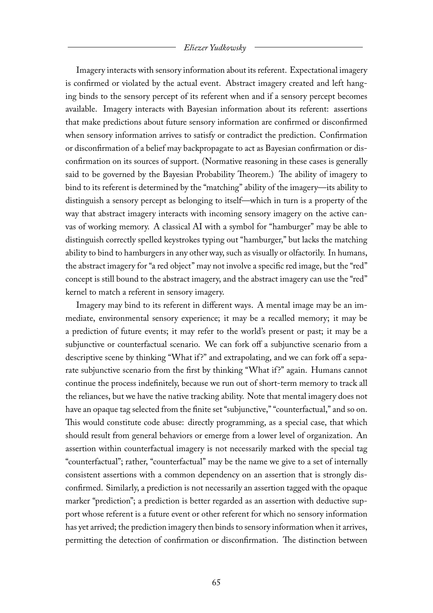Imagery interacts with sensory information about its referent. Expectational imagery is confirmed or violated by the actual event. Abstract imagery created and left hanging binds to the sensory percept of its referent when and if a sensory percept becomes available. Imagery interacts with Bayesian information about its referent: assertions that make predictions about future sensory information are confirmed or disconfirmed when sensory information arrives to satisfy or contradict the prediction. Confirmation or disconfirmation of a belief may backpropagate to act as Bayesian confirmation or disconfirmation on its sources of support. (Normative reasoning in these cases is generally said to be governed by the Bayesian Probability Theorem.) The ability of imagery to bind to its referent is determined by the "matching" ability of the imagery—its ability to distinguish a sensory percept as belonging to itself—which in turn is a property of the way that abstract imagery interacts with incoming sensory imagery on the active canvas of working memory. A classical AI with a symbol for "hamburger" may be able to distinguish correctly spelled keystrokes typing out "hamburger," but lacks the matching ability to bind to hamburgers in any other way, such as visually or olfactorily. In humans, the abstract imagery for "a red object" may not involve a specific red image, but the "red" concept is still bound to the abstract imagery, and the abstract imagery can use the "red" kernel to match a referent in sensory imagery.

Imagery may bind to its referent in different ways. A mental image may be an immediate, environmental sensory experience; it may be a recalled memory; it may be a prediction of future events; it may refer to the world's present or past; it may be a subjunctive or counterfactual scenario. We can fork off a subjunctive scenario from a descriptive scene by thinking "What if?" and extrapolating, and we can fork off a separate subjunctive scenario from the first by thinking "What if?" again. Humans cannot continue the process indefinitely, because we run out of short-term memory to track all the reliances, but we have the native tracking ability. Note that mental imagery does not have an opaque tag selected from the finite set "subjunctive," "counterfactual," and so on. This would constitute code abuse: directly programming, as a special case, that which should result from general behaviors or emerge from a lower level of organization. An assertion within counterfactual imagery is not necessarily marked with the special tag "counterfactual"; rather, "counterfactual" may be the name we give to a set of internally consistent assertions with a common dependency on an assertion that is strongly disconfirmed. Similarly, a prediction is not necessarily an assertion tagged with the opaque marker "prediction"; a prediction is better regarded as an assertion with deductive support whose referent is a future event or other referent for which no sensory information has yet arrived; the prediction imagery then binds to sensory information when it arrives, permitting the detection of confirmation or disconfirmation. The distinction between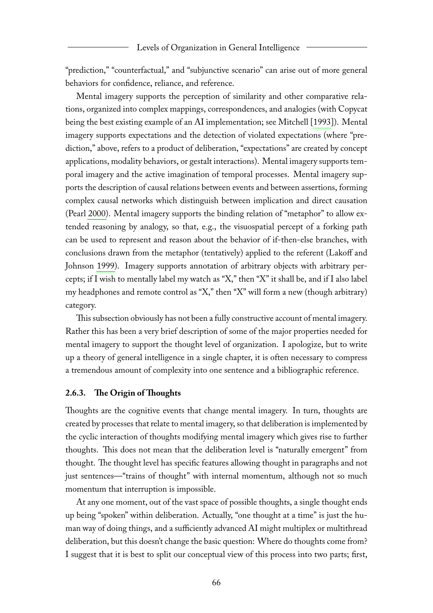"prediction," "counterfactual," and "subjunctive scenario" can arise out of more general behaviors for confidence, reliance, and reference.

Mental imagery supports the perception of similarity and other comparative relations, organized into complex mappings, correspondences, and analogies (with Copycat being the best existing example of an AI implementation; see Mitchell [\[1993\]](#page-118-4)). Mental imagery supports expectations and the detection of violated expectations (where "prediction," above, refers to a product of deliberation, "expectations" are created by concept applications, modality behaviors, or gestalt interactions). Mental imagery supports temporal imagery and the active imagination of temporal processes. Mental imagery supports the description of causal relations between events and between assertions, forming complex causal networks which distinguish between implication and direct causation (Pearl [2000\)](#page-119-4). Mental imagery supports the binding relation of "metaphor" to allow extended reasoning by analogy, so that, e.g., the visuospatial percept of a forking path can be used to represent and reason about the behavior of if-then-else branches, with conclusions drawn from the metaphor (tentatively) applied to the referent (Lakoff and Johnson [1999\)](#page-118-11). Imagery supports annotation of arbitrary objects with arbitrary percepts; if I wish to mentally label my watch as "X," then "X" it shall be, and if I also label my headphones and remote control as "X," then "X" will form a new (though arbitrary) category.

This subsection obviously has not been a fully constructive account of mental imagery. Rather this has been a very brief description of some of the major properties needed for mental imagery to support the thought level of organization. I apologize, but to write up a theory of general intelligence in a single chapter, it is often necessary to compress a tremendous amount of complexity into one sentence and a bibliographic reference.

# **2.6.3. The Origin of Thoughts**

Thoughts are the cognitive events that change mental imagery. In turn, thoughts are created by processes that relate to mental imagery, so that deliberation is implemented by the cyclic interaction of thoughts modifying mental imagery which gives rise to further thoughts. This does not mean that the deliberation level is "naturally emergent" from thought. The thought level has specific features allowing thought in paragraphs and not just sentences—"trains of thought" with internal momentum, although not so much momentum that interruption is impossible.

At any one moment, out of the vast space of possible thoughts, a single thought ends up being "spoken" within deliberation. Actually, "one thought at a time" is just the human way of doing things, and a sufficiently advanced AI might multiplex or multithread deliberation, but this doesn't change the basic question: Where do thoughts come from? I suggest that it is best to split our conceptual view of this process into two parts; first,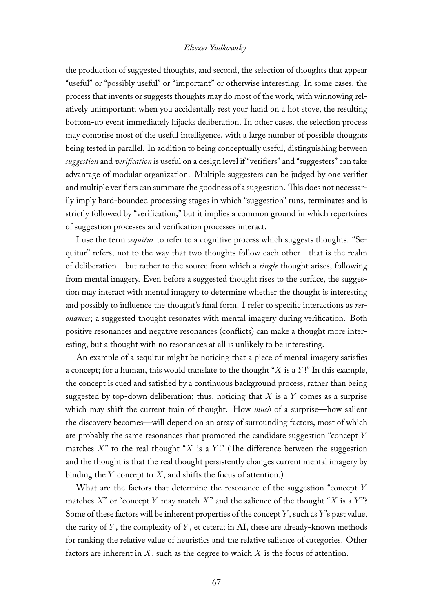the production of suggested thoughts, and second, the selection of thoughts that appear "useful" or "possibly useful" or "important" or otherwise interesting. In some cases, the process that invents or suggests thoughts may do most of the work, with winnowing relatively unimportant; when you accidentally rest your hand on a hot stove, the resulting bottom-up event immediately hijacks deliberation. In other cases, the selection process may comprise most of the useful intelligence, with a large number of possible thoughts being tested in parallel. In addition to being conceptually useful, distinguishing between *suggestion* and *verification* is useful on a design level if "verifiers" and "suggesters" can take advantage of modular organization. Multiple suggesters can be judged by one verifier and multiple verifiers can summate the goodness of a suggestion. This does not necessarily imply hard-bounded processing stages in which "suggestion" runs, terminates and is strictly followed by "verification," but it implies a common ground in which repertoires of suggestion processes and verification processes interact.

I use the term *sequitur* to refer to a cognitive process which suggests thoughts. "Sequitur" refers, not to the way that two thoughts follow each other—that is the realm of deliberation—but rather to the source from which a *single* thought arises, following from mental imagery. Even before a suggested thought rises to the surface, the suggestion may interact with mental imagery to determine whether the thought is interesting and possibly to influence the thought's final form. I refer to specific interactions as *resonances*; a suggested thought resonates with mental imagery during verification. Both positive resonances and negative resonances (conflicts) can make a thought more interesting, but a thought with no resonances at all is unlikely to be interesting.

An example of a sequitur might be noticing that a piece of mental imagery satisfies a concept; for a human, this would translate to the thought " $X$  is a  $Y$ !" In this example, the concept is cued and satisfied by a continuous background process, rather than being suggested by top-down deliberation; thus, noticing that  $X$  is a  $Y$  comes as a surprise which may shift the current train of thought. How *much* of a surprise—how salient the discovery becomes—will depend on an array of surrounding factors, most of which are probably the same resonances that promoted the candidate suggestion "concept Y matches  $X''$  to the real thought "X is a Y!" (The difference between the suggestion and the thought is that the real thought persistently changes current mental imagery by binding the  $Y$  concept to  $X$ , and shifts the focus of attention.)

What are the factors that determine the resonance of the suggestion "concept Y matches X" or "concept Y may match X" and the salience of the thought "X is a Y"? Some of these factors will be inherent properties of the concept  $Y$ , such as  $Y$ 's past value, the rarity of  $Y$ , the complexity of  $Y$ , et cetera; in AI, these are already-known methods for ranking the relative value of heuristics and the relative salience of categories. Other factors are inherent in X, such as the degree to which X is the focus of attention.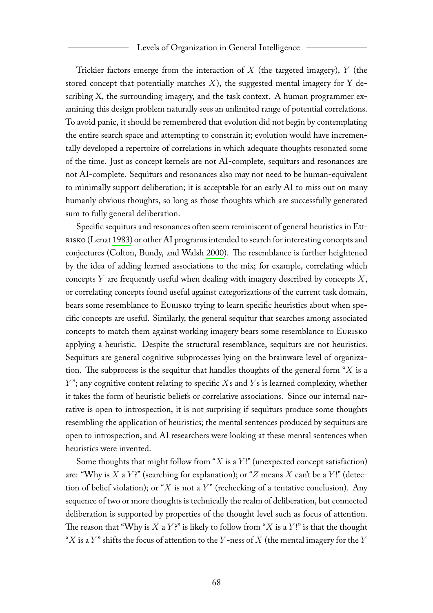Trickier factors emerge from the interaction of  $X$  (the targeted imagery),  $Y$  (the stored concept that potentially matches  $X$ ), the suggested mental imagery for Y describing X, the surrounding imagery, and the task context. A human programmer examining this design problem naturally sees an unlimited range of potential correlations. To avoid panic, it should be remembered that evolution did not begin by contemplating the entire search space and attempting to constrain it; evolution would have incrementally developed a repertoire of correlations in which adequate thoughts resonated some of the time. Just as concept kernels are not AI-complete, sequiturs and resonances are not AI-complete. Sequiturs and resonances also may not need to be human-equivalent to minimally support deliberation; it is acceptable for an early AI to miss out on many humanly obvious thoughts, so long as those thoughts which are successfully generated sum to fully general deliberation.

Specific sequiturs and resonances often seem reminiscent of general heuristics in Eurisko (Lenat [1983\)](#page-118-5) or other AI programs intended to search for interesting concepts and conjectures (Colton, Bundy, and Walsh [2000\)](#page-115-6). The resemblance is further heightened by the idea of adding learned associations to the mix; for example, correlating which concepts  $Y$  are frequently useful when dealing with imagery described by concepts  $X$ , or correlating concepts found useful against categorizations of the current task domain, bears some resemblance to Eurisko trying to learn specific heuristics about when specific concepts are useful. Similarly, the general sequitur that searches among associated concepts to match them against working imagery bears some resemblance to Eurisko applying a heuristic. Despite the structural resemblance, sequiturs are not heuristics. Sequiturs are general cognitive subprocesses lying on the brainware level of organization. The subprocess is the sequitur that handles thoughts of the general form " $X$  is a  $Y$ "; any cognitive content relating to specific  $X$ s and  $Y$ s is learned complexity, whether it takes the form of heuristic beliefs or correlative associations. Since our internal narrative is open to introspection, it is not surprising if sequiturs produce some thoughts resembling the application of heuristics; the mental sentences produced by sequiturs are open to introspection, and AI researchers were looking at these mental sentences when heuristics were invented.

Some thoughts that might follow from " $X$  is a  $Y$ !" (unexpected concept satisfaction) are: "Why is X a Y?" (searching for explanation); or "Z means X can't be a Y!" (detection of belief violation); or "X is not a  $Y$ " (rechecking of a tentative conclusion). Any sequence of two or more thoughts is technically the realm of deliberation, but connected deliberation is supported by properties of the thought level such as focus of attention. The reason that "Why is X a Y?" is likely to follow from "X is a Y!" is that the thought "X is a Y" shifts the focus of attention to the Y-ness of X (the mental imagery for the Y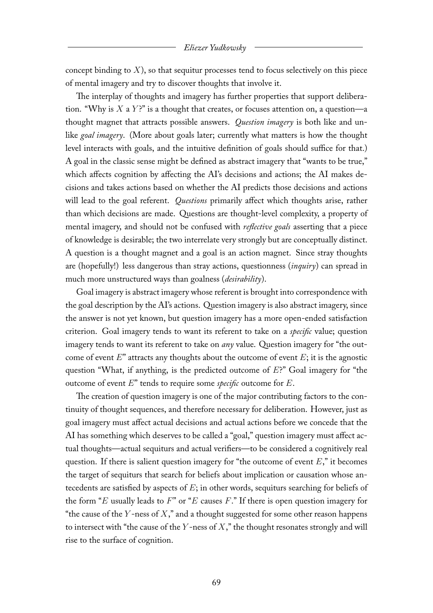concept binding to  $X$ ), so that sequitur processes tend to focus selectively on this piece of mental imagery and try to discover thoughts that involve it.

The interplay of thoughts and imagery has further properties that support deliberation. "Why is X a Y?" is a thought that creates, or focuses attention on, a question—a thought magnet that attracts possible answers. *Question imagery* is both like and unlike *goal imagery*. (More about goals later; currently what matters is how the thought level interacts with goals, and the intuitive definition of goals should suffice for that.) A goal in the classic sense might be defined as abstract imagery that "wants to be true," which affects cognition by affecting the AI's decisions and actions; the AI makes decisions and takes actions based on whether the AI predicts those decisions and actions will lead to the goal referent. *Questions* primarily affect which thoughts arise, rather than which decisions are made. Questions are thought-level complexity, a property of mental imagery, and should not be confused with *reflective goals* asserting that a piece of knowledge is desirable; the two interrelate very strongly but are conceptually distinct. A question is a thought magnet and a goal is an action magnet. Since stray thoughts are (hopefully!) less dangerous than stray actions, questionness (*inquiry*) can spread in much more unstructured ways than goalness (*desirability*).

Goal imagery is abstract imagery whose referent is brought into correspondence with the goal description by the AI's actions. Question imagery is also abstract imagery, since the answer is not yet known, but question imagery has a more open-ended satisfaction criterion. Goal imagery tends to want its referent to take on a *specific* value; question imagery tends to want its referent to take on *any* value. Question imagery for "the outcome of event  $E$ " attracts any thoughts about the outcome of event  $E$ ; it is the agnostic question "What, if anything, is the predicted outcome of E?" Goal imagery for "the outcome of event E" tends to require some *specific* outcome for E.

The creation of question imagery is one of the major contributing factors to the continuity of thought sequences, and therefore necessary for deliberation. However, just as goal imagery must affect actual decisions and actual actions before we concede that the AI has something which deserves to be called a "goal," question imagery must affect actual thoughts—actual sequiturs and actual verifiers—to be considered a cognitively real question. If there is salient question imagery for "the outcome of event  $E$ ," it becomes the target of sequiturs that search for beliefs about implication or causation whose antecedents are satisfied by aspects of  $E$ ; in other words, sequiturs searching for beliefs of the form "E usually leads to  $F$ " or "E causes F"." If there is open question imagery for "the cause of the Y-ness of X," and a thought suggested for some other reason happens to intersect with "the cause of the  $Y$ -ness of  $X$ ," the thought resonates strongly and will rise to the surface of cognition.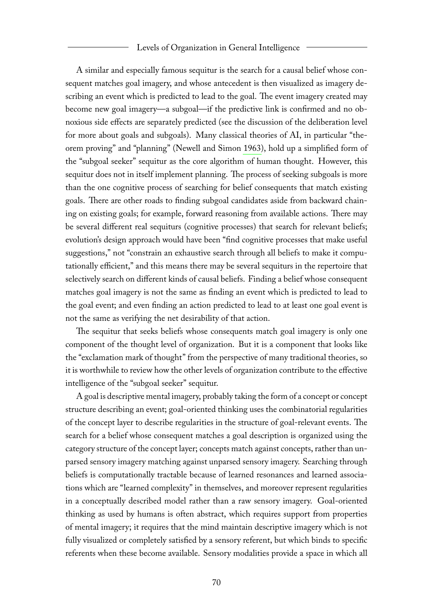# Levels of Organization in General Intelligence

A similar and especially famous sequitur is the search for a causal belief whose consequent matches goal imagery, and whose antecedent is then visualized as imagery describing an event which is predicted to lead to the goal. The event imagery created may become new goal imagery—a subgoal—if the predictive link is confirmed and no obnoxious side effects are separately predicted (see the discussion of the deliberation level for more about goals and subgoals). Many classical theories of AI, in particular "theorem proving" and "planning" (Newell and Simon [1963\)](#page-119-5), hold up a simplified form of the "subgoal seeker" sequitur as the core algorithm of human thought. However, this sequitur does not in itself implement planning. The process of seeking subgoals is more than the one cognitive process of searching for belief consequents that match existing goals. There are other roads to finding subgoal candidates aside from backward chaining on existing goals; for example, forward reasoning from available actions. There may be several different real sequiturs (cognitive processes) that search for relevant beliefs; evolution's design approach would have been "find cognitive processes that make useful suggestions," not "constrain an exhaustive search through all beliefs to make it computationally efficient," and this means there may be several sequiturs in the repertoire that selectively search on different kinds of causal beliefs. Finding a belief whose consequent matches goal imagery is not the same as finding an event which is predicted to lead to the goal event; and even finding an action predicted to lead to at least one goal event is not the same as verifying the net desirability of that action.

The sequitur that seeks beliefs whose consequents match goal imagery is only one component of the thought level of organization. But it is a component that looks like the "exclamation mark of thought" from the perspective of many traditional theories, so it is worthwhile to review how the other levels of organization contribute to the effective intelligence of the "subgoal seeker" sequitur.

A goal is descriptive mental imagery, probably taking the form of a concept or concept structure describing an event; goal-oriented thinking uses the combinatorial regularities of the concept layer to describe regularities in the structure of goal-relevant events. The search for a belief whose consequent matches a goal description is organized using the category structure of the concept layer; concepts match against concepts, rather than unparsed sensory imagery matching against unparsed sensory imagery. Searching through beliefs is computationally tractable because of learned resonances and learned associations which are "learned complexity" in themselves, and moreover represent regularities in a conceptually described model rather than a raw sensory imagery. Goal-oriented thinking as used by humans is often abstract, which requires support from properties of mental imagery; it requires that the mind maintain descriptive imagery which is not fully visualized or completely satisfied by a sensory referent, but which binds to specific referents when these become available. Sensory modalities provide a space in which all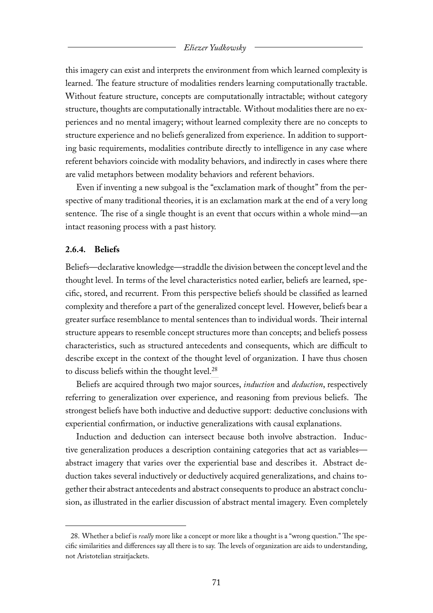this imagery can exist and interprets the environment from which learned complexity is learned. The feature structure of modalities renders learning computationally tractable. Without feature structure, concepts are computationally intractable; without category structure, thoughts are computationally intractable. Without modalities there are no experiences and no mental imagery; without learned complexity there are no concepts to structure experience and no beliefs generalized from experience. In addition to supporting basic requirements, modalities contribute directly to intelligence in any case where referent behaviors coincide with modality behaviors, and indirectly in cases where there are valid metaphors between modality behaviors and referent behaviors.

Even if inventing a new subgoal is the "exclamation mark of thought" from the perspective of many traditional theories, it is an exclamation mark at the end of a very long sentence. The rise of a single thought is an event that occurs within a whole mind—an intact reasoning process with a past history.

### **2.6.4. Beliefs**

Beliefs—declarative knowledge—straddle the division between the concept level and the thought level. In terms of the level characteristics noted earlier, beliefs are learned, specific, stored, and recurrent. From this perspective beliefs should be classified as learned complexity and therefore a part of the generalized concept level. However, beliefs bear a greater surface resemblance to mental sentences than to individual words. Their internal structure appears to resemble concept structures more than concepts; and beliefs possess characteristics, such as structured antecedents and consequents, which are difficult to describe except in the context of the thought level of organization. I have thus chosen to discuss beliefs within the thought level.<sup>[28](#page-71-0)</sup>

Beliefs are acquired through two major sources, *induction* and *deduction*, respectively referring to generalization over experience, and reasoning from previous beliefs. The strongest beliefs have both inductive and deductive support: deductive conclusions with experiential confirmation, or inductive generalizations with causal explanations.

Induction and deduction can intersect because both involve abstraction. Inductive generalization produces a description containing categories that act as variables abstract imagery that varies over the experiential base and describes it. Abstract deduction takes several inductively or deductively acquired generalizations, and chains together their abstract antecedents and abstract consequents to produce an abstract conclusion, as illustrated in the earlier discussion of abstract mental imagery. Even completely

<span id="page-71-0"></span><sup>28.</sup> Whether a belief is *really* more like a concept or more like a thought is a "wrong question." The specific similarities and differences say all there is to say. The levels of organization are aids to understanding, not Aristotelian straitjackets.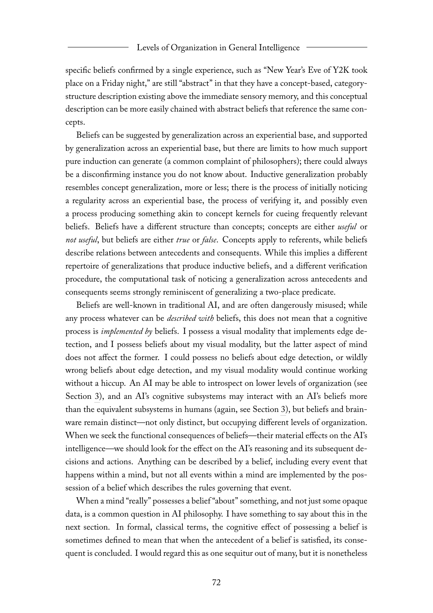specific beliefs confirmed by a single experience, such as "New Year's Eve of Y2K took place on a Friday night," are still "abstract" in that they have a concept-based, categorystructure description existing above the immediate sensory memory, and this conceptual description can be more easily chained with abstract beliefs that reference the same concepts.

Beliefs can be suggested by generalization across an experiential base, and supported by generalization across an experiential base, but there are limits to how much support pure induction can generate (a common complaint of philosophers); there could always be a disconfirming instance you do not know about. Inductive generalization probably resembles concept generalization, more or less; there is the process of initially noticing a regularity across an experiential base, the process of verifying it, and possibly even a process producing something akin to concept kernels for cueing frequently relevant beliefs. Beliefs have a different structure than concepts; concepts are either *useful* or *not useful*, but beliefs are either *true* or *false*. Concepts apply to referents, while beliefs describe relations between antecedents and consequents. While this implies a different repertoire of generalizations that produce inductive beliefs, and a different verification procedure, the computational task of noticing a generalization across antecedents and consequents seems strongly reminiscent of generalizing a two-place predicate.

Beliefs are well-known in traditional AI, and are often dangerously misused; while any process whatever can be *described with* beliefs, this does not mean that a cognitive process is *implemented by* beliefs. I possess a visual modality that implements edge detection, and I possess beliefs about my visual modality, but the latter aspect of mind does not affect the former. I could possess no beliefs about edge detection, or wildly wrong beliefs about edge detection, and my visual modality would continue working without a hiccup. An AI may be able to introspect on lower levels of organization (see Section [3\)](#page-93-0), and an AI's cognitive subsystems may interact with an AI's beliefs more than the equivalent subsystems in humans (again, see Section [3\)](#page-93-0), but beliefs and brainware remain distinct—not only distinct, but occupying different levels of organization. When we seek the functional consequences of beliefs—their material effects on the AI's intelligence—we should look for the effect on the AI's reasoning and its subsequent decisions and actions. Anything can be described by a belief, including every event that happens within a mind, but not all events within a mind are implemented by the possession of a belief which describes the rules governing that event.

When a mind "really" possesses a belief "about" something, and not just some opaque data, is a common question in AI philosophy. I have something to say about this in the next section. In formal, classical terms, the cognitive effect of possessing a belief is sometimes defined to mean that when the antecedent of a belief is satisfied, its consequent is concluded. I would regard this as one sequitur out of many, but it is nonetheless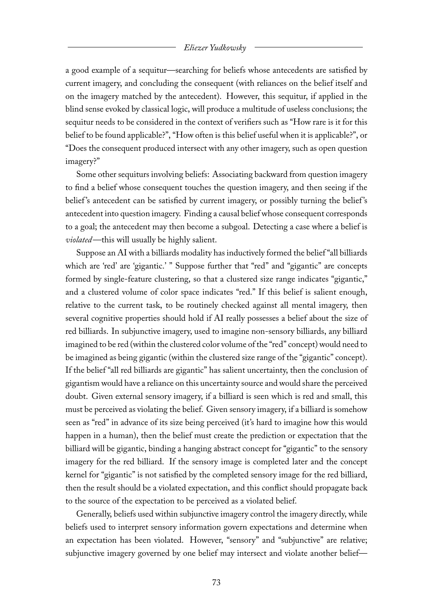#### *Eliezer Yudkowsky*

a good example of a sequitur—searching for beliefs whose antecedents are satisfied by current imagery, and concluding the consequent (with reliances on the belief itself and on the imagery matched by the antecedent). However, this sequitur, if applied in the blind sense evoked by classical logic, will produce a multitude of useless conclusions; the sequitur needs to be considered in the context of verifiers such as "How rare is it for this belief to be found applicable?", "How often is this belief useful when it is applicable?", or "Does the consequent produced intersect with any other imagery, such as open question imagery?"

Some other sequiturs involving beliefs: Associating backward from question imagery to find a belief whose consequent touches the question imagery, and then seeing if the belief's antecedent can be satisfied by current imagery, or possibly turning the belief's antecedent into question imagery. Finding a causal belief whose consequent corresponds to a goal; the antecedent may then become a subgoal. Detecting a case where a belief is *violated*—this will usually be highly salient.

Suppose an AI with a billiards modality has inductively formed the belief "all billiards which are 'red' are 'gigantic.' " Suppose further that "red" and "gigantic" are concepts formed by single-feature clustering, so that a clustered size range indicates "gigantic," and a clustered volume of color space indicates "red." If this belief is salient enough, relative to the current task, to be routinely checked against all mental imagery, then several cognitive properties should hold if AI really possesses a belief about the size of red billiards. In subjunctive imagery, used to imagine non-sensory billiards, any billiard imagined to be red (within the clustered color volume of the "red" concept) would need to be imagined as being gigantic (within the clustered size range of the "gigantic" concept). If the belief "all red billiards are gigantic" has salient uncertainty, then the conclusion of gigantism would have a reliance on this uncertainty source and would share the perceived doubt. Given external sensory imagery, if a billiard is seen which is red and small, this must be perceived as violating the belief. Given sensory imagery, if a billiard is somehow seen as "red" in advance of its size being perceived (it's hard to imagine how this would happen in a human), then the belief must create the prediction or expectation that the billiard will be gigantic, binding a hanging abstract concept for "gigantic" to the sensory imagery for the red billiard. If the sensory image is completed later and the concept kernel for "gigantic" is not satisfied by the completed sensory image for the red billiard, then the result should be a violated expectation, and this conflict should propagate back to the source of the expectation to be perceived as a violated belief.

Generally, beliefs used within subjunctive imagery control the imagery directly, while beliefs used to interpret sensory information govern expectations and determine when an expectation has been violated. However, "sensory" and "subjunctive" are relative; subjunctive imagery governed by one belief may intersect and violate another belief—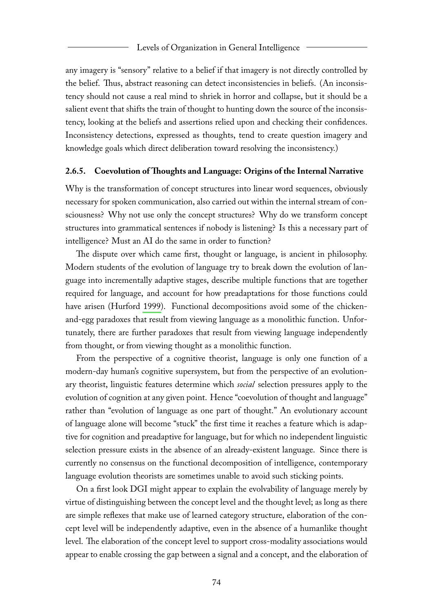any imagery is "sensory" relative to a belief if that imagery is not directly controlled by the belief. Thus, abstract reasoning can detect inconsistencies in beliefs. (An inconsistency should not cause a real mind to shriek in horror and collapse, but it should be a salient event that shifts the train of thought to hunting down the source of the inconsistency, looking at the beliefs and assertions relied upon and checking their confidences. Inconsistency detections, expressed as thoughts, tend to create question imagery and knowledge goals which direct deliberation toward resolving the inconsistency.)

#### **2.6.5. Coevolution of Thoughts and Language: Origins of the Internal Narrative**

Why is the transformation of concept structures into linear word sequences, obviously necessary for spoken communication, also carried out within the internal stream of consciousness? Why not use only the concept structures? Why do we transform concept structures into grammatical sentences if nobody is listening? Is this a necessary part of intelligence? Must an AI do the same in order to function?

The dispute over which came first, thought or language, is ancient in philosophy. Modern students of the evolution of language try to break down the evolution of language into incrementally adaptive stages, describe multiple functions that are together required for language, and account for how preadaptations for those functions could have arisen (Hurford [1999\)](#page-117-0). Functional decompositions avoid some of the chickenand-egg paradoxes that result from viewing language as a monolithic function. Unfortunately, there are further paradoxes that result from viewing language independently from thought, or from viewing thought as a monolithic function.

From the perspective of a cognitive theorist, language is only one function of a modern-day human's cognitive supersystem, but from the perspective of an evolutionary theorist, linguistic features determine which *social* selection pressures apply to the evolution of cognition at any given point. Hence "coevolution of thought and language" rather than "evolution of language as one part of thought." An evolutionary account of language alone will become "stuck" the first time it reaches a feature which is adaptive for cognition and preadaptive for language, but for which no independent linguistic selection pressure exists in the absence of an already-existent language. Since there is currently no consensus on the functional decomposition of intelligence, contemporary language evolution theorists are sometimes unable to avoid such sticking points.

On a first look DGI might appear to explain the evolvability of language merely by virtue of distinguishing between the concept level and the thought level; as long as there are simple reflexes that make use of learned category structure, elaboration of the concept level will be independently adaptive, even in the absence of a humanlike thought level. The elaboration of the concept level to support cross-modality associations would appear to enable crossing the gap between a signal and a concept, and the elaboration of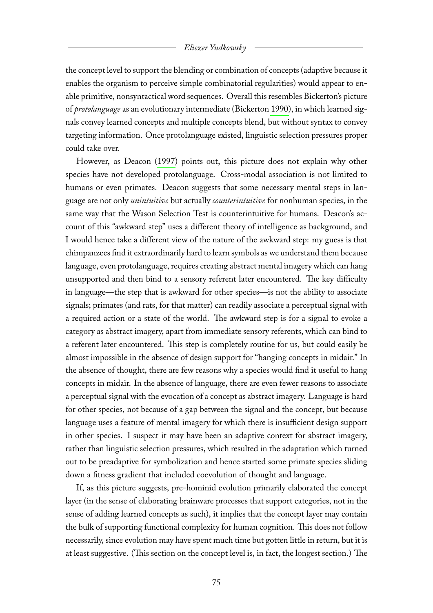#### *Eliezer Yudkowsky*

the concept level to support the blending or combination of concepts (adaptive because it enables the organism to perceive simple combinatorial regularities) would appear to enable primitive, nonsyntactical word sequences. Overall this resembles Bickerton's picture of *protolanguage* as an evolutionary intermediate (Bickerton [1990\)](#page-115-0), in which learned signals convey learned concepts and multiple concepts blend, but without syntax to convey targeting information. Once protolanguage existed, linguistic selection pressures proper could take over.

However, as Deacon [\(1997\)](#page-116-0) points out, this picture does not explain why other species have not developed protolanguage. Cross-modal association is not limited to humans or even primates. Deacon suggests that some necessary mental steps in language are not only *unintuitive* but actually *counterintuitive* for nonhuman species, in the same way that the Wason Selection Test is counterintuitive for humans. Deacon's account of this "awkward step" uses a different theory of intelligence as background, and I would hence take a different view of the nature of the awkward step: my guess is that chimpanzees find it extraordinarily hard to learn symbols as we understand them because language, even protolanguage, requires creating abstract mental imagery which can hang unsupported and then bind to a sensory referent later encountered. The key difficulty in language—the step that is awkward for other species—is not the ability to associate signals; primates (and rats, for that matter) can readily associate a perceptual signal with a required action or a state of the world. The awkward step is for a signal to evoke a category as abstract imagery, apart from immediate sensory referents, which can bind to a referent later encountered. This step is completely routine for us, but could easily be almost impossible in the absence of design support for "hanging concepts in midair." In the absence of thought, there are few reasons why a species would find it useful to hang concepts in midair. In the absence of language, there are even fewer reasons to associate a perceptual signal with the evocation of a concept as abstract imagery. Language is hard for other species, not because of a gap between the signal and the concept, but because language uses a feature of mental imagery for which there is insufficient design support in other species. I suspect it may have been an adaptive context for abstract imagery, rather than linguistic selection pressures, which resulted in the adaptation which turned out to be preadaptive for symbolization and hence started some primate species sliding down a fitness gradient that included coevolution of thought and language.

If, as this picture suggests, pre-hominid evolution primarily elaborated the concept layer (in the sense of elaborating brainware processes that support categories, not in the sense of adding learned concepts as such), it implies that the concept layer may contain the bulk of supporting functional complexity for human cognition. This does not follow necessarily, since evolution may have spent much time but gotten little in return, but it is at least suggestive. (This section on the concept level is, in fact, the longest section.) The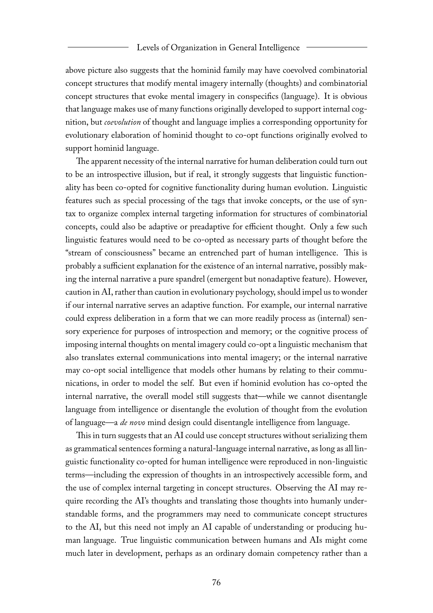above picture also suggests that the hominid family may have coevolved combinatorial concept structures that modify mental imagery internally (thoughts) and combinatorial concept structures that evoke mental imagery in conspecifics (language). It is obvious that language makes use of many functions originally developed to support internal cognition, but *coevolution* of thought and language implies a corresponding opportunity for evolutionary elaboration of hominid thought to co-opt functions originally evolved to support hominid language.

The apparent necessity of the internal narrative for human deliberation could turn out to be an introspective illusion, but if real, it strongly suggests that linguistic functionality has been co-opted for cognitive functionality during human evolution. Linguistic features such as special processing of the tags that invoke concepts, or the use of syntax to organize complex internal targeting information for structures of combinatorial concepts, could also be adaptive or preadaptive for efficient thought. Only a few such linguistic features would need to be co-opted as necessary parts of thought before the "stream of consciousness" became an entrenched part of human intelligence. This is probably a sufficient explanation for the existence of an internal narrative, possibly making the internal narrative a pure spandrel (emergent but nonadaptive feature). However, caution in AI, rather than caution in evolutionary psychology, should impel us to wonder if our internal narrative serves an adaptive function. For example, our internal narrative could express deliberation in a form that we can more readily process as (internal) sensory experience for purposes of introspection and memory; or the cognitive process of imposing internal thoughts on mental imagery could co-opt a linguistic mechanism that also translates external communications into mental imagery; or the internal narrative may co-opt social intelligence that models other humans by relating to their communications, in order to model the self. But even if hominid evolution has co-opted the internal narrative, the overall model still suggests that—while we cannot disentangle language from intelligence or disentangle the evolution of thought from the evolution of language—a *de novo* mind design could disentangle intelligence from language.

This in turn suggests that an AI could use concept structures without serializing them as grammatical sentences forming a natural-language internal narrative, as long as all linguistic functionality co-opted for human intelligence were reproduced in non-linguistic terms—including the expression of thoughts in an introspectively accessible form, and the use of complex internal targeting in concept structures. Observing the AI may require recording the AI's thoughts and translating those thoughts into humanly understandable forms, and the programmers may need to communicate concept structures to the AI, but this need not imply an AI capable of understanding or producing human language. True linguistic communication between humans and AIs might come much later in development, perhaps as an ordinary domain competency rather than a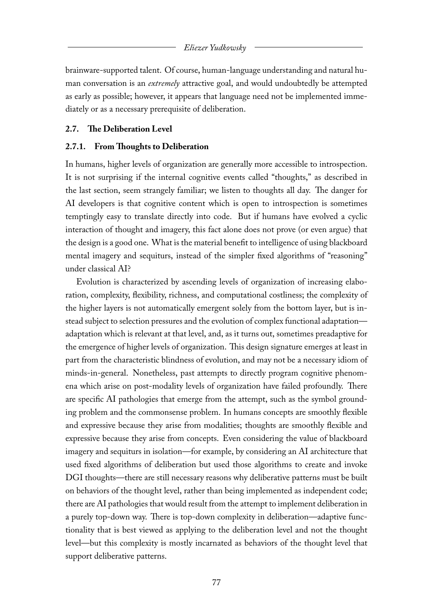brainware-supported talent. Of course, human-language understanding and natural human conversation is an *extremely* attractive goal, and would undoubtedly be attempted as early as possible; however, it appears that language need not be implemented immediately or as a necessary prerequisite of deliberation.

#### **2.7. The Deliberation Level**

#### **2.7.1. From Thoughts to Deliberation**

In humans, higher levels of organization are generally more accessible to introspection. It is not surprising if the internal cognitive events called "thoughts," as described in the last section, seem strangely familiar; we listen to thoughts all day. The danger for AI developers is that cognitive content which is open to introspection is sometimes temptingly easy to translate directly into code. But if humans have evolved a cyclic interaction of thought and imagery, this fact alone does not prove (or even argue) that the design is a good one. What is the material benefit to intelligence of using blackboard mental imagery and sequiturs, instead of the simpler fixed algorithms of "reasoning" under classical AI?

Evolution is characterized by ascending levels of organization of increasing elaboration, complexity, flexibility, richness, and computational costliness; the complexity of the higher layers is not automatically emergent solely from the bottom layer, but is instead subject to selection pressures and the evolution of complex functional adaptation adaptation which is relevant at that level, and, as it turns out, sometimes preadaptive for the emergence of higher levels of organization. This design signature emerges at least in part from the characteristic blindness of evolution, and may not be a necessary idiom of minds-in-general. Nonetheless, past attempts to directly program cognitive phenomena which arise on post-modality levels of organization have failed profoundly. There are specific AI pathologies that emerge from the attempt, such as the symbol grounding problem and the commonsense problem. In humans concepts are smoothly flexible and expressive because they arise from modalities; thoughts are smoothly flexible and expressive because they arise from concepts. Even considering the value of blackboard imagery and sequiturs in isolation—for example, by considering an AI architecture that used fixed algorithms of deliberation but used those algorithms to create and invoke DGI thoughts—there are still necessary reasons why deliberative patterns must be built on behaviors of the thought level, rather than being implemented as independent code; there are AI pathologies that would result from the attempt to implement deliberation in a purely top-down way. There is top-down complexity in deliberation—adaptive functionality that is best viewed as applying to the deliberation level and not the thought level—but this complexity is mostly incarnated as behaviors of the thought level that support deliberative patterns.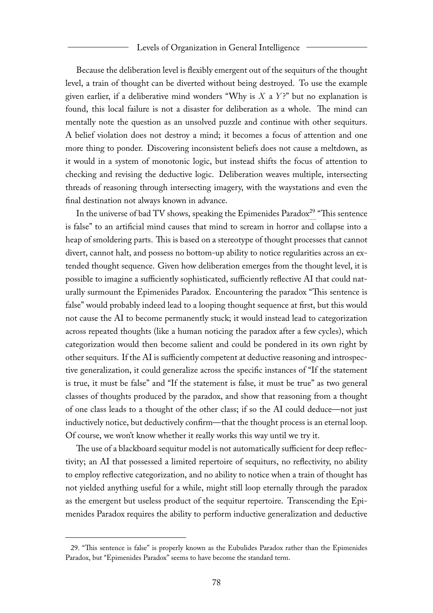Because the deliberation level is flexibly emergent out of the sequiturs of the thought level, a train of thought can be diverted without being destroyed. To use the example given earlier, if a deliberative mind wonders "Why is  $X$  a  $Y$ ?" but no explanation is found, this local failure is not a disaster for deliberation as a whole. The mind can mentally note the question as an unsolved puzzle and continue with other sequiturs. A belief violation does not destroy a mind; it becomes a focus of attention and one more thing to ponder. Discovering inconsistent beliefs does not cause a meltdown, as it would in a system of monotonic logic, but instead shifts the focus of attention to checking and revising the deductive logic. Deliberation weaves multiple, intersecting threads of reasoning through intersecting imagery, with the waystations and even the final destination not always known in advance.

In the universe of bad TV shows, speaking the Epimenides Paradox<sup>[29](#page-78-0)</sup> "This sentence" is false" to an artificial mind causes that mind to scream in horror and collapse into a heap of smoldering parts. This is based on a stereotype of thought processes that cannot divert, cannot halt, and possess no bottom-up ability to notice regularities across an extended thought sequence. Given how deliberation emerges from the thought level, it is possible to imagine a sufficiently sophisticated, sufficiently reflective AI that could naturally surmount the Epimenides Paradox. Encountering the paradox "This sentence is false" would probably indeed lead to a looping thought sequence at first, but this would not cause the AI to become permanently stuck; it would instead lead to categorization across repeated thoughts (like a human noticing the paradox after a few cycles), which categorization would then become salient and could be pondered in its own right by other sequiturs. If the AI is sufficiently competent at deductive reasoning and introspective generalization, it could generalize across the specific instances of "If the statement is true, it must be false" and "If the statement is false, it must be true" as two general classes of thoughts produced by the paradox, and show that reasoning from a thought of one class leads to a thought of the other class; if so the AI could deduce—not just inductively notice, but deductively confirm—that the thought process is an eternal loop. Of course, we won't know whether it really works this way until we try it.

The use of a blackboard sequitur model is not automatically sufficient for deep reflectivity; an AI that possessed a limited repertoire of sequiturs, no reflectivity, no ability to employ reflective categorization, and no ability to notice when a train of thought has not yielded anything useful for a while, might still loop eternally through the paradox as the emergent but useless product of the sequitur repertoire. Transcending the Epimenides Paradox requires the ability to perform inductive generalization and deductive

<span id="page-78-0"></span><sup>29. &</sup>quot;This sentence is false" is properly known as the Eubulides Paradox rather than the Epimenides Paradox, but "Epimenides Paradox" seems to have become the standard term.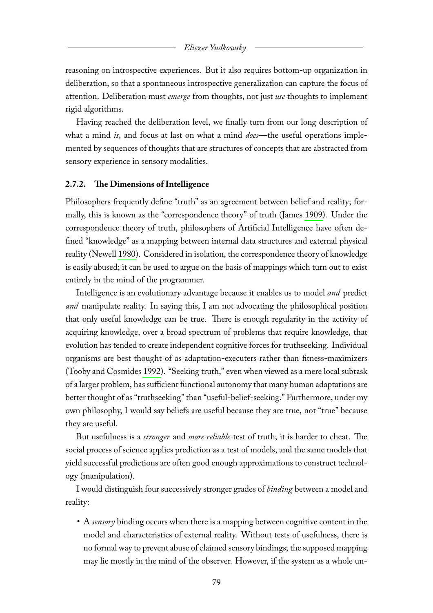#### *Eliezer Yudkowsky*

reasoning on introspective experiences. But it also requires bottom-up organization in deliberation, so that a spontaneous introspective generalization can capture the focus of attention. Deliberation must *emerge* from thoughts, not just *use* thoughts to implement rigid algorithms.

Having reached the deliberation level, we finally turn from our long description of what a mind *is*, and focus at last on what a mind *does*—the useful operations implemented by sequences of thoughts that are structures of concepts that are abstracted from sensory experience in sensory modalities.

#### **2.7.2. The Dimensions of Intelligence**

Philosophers frequently define "truth" as an agreement between belief and reality; formally, this is known as the "correspondence theory" of truth (James [1909\)](#page-117-1). Under the correspondence theory of truth, philosophers of Artificial Intelligence have often defined "knowledge" as a mapping between internal data structures and external physical reality (Newell [1980\)](#page-119-0). Considered in isolation, the correspondence theory of knowledge is easily abused; it can be used to argue on the basis of mappings which turn out to exist entirely in the mind of the programmer.

Intelligence is an evolutionary advantage because it enables us to model *and* predict *and* manipulate reality. In saying this, I am not advocating the philosophical position that only useful knowledge can be true. There is enough regularity in the activity of acquiring knowledge, over a broad spectrum of problems that require knowledge, that evolution has tended to create independent cognitive forces for truthseeking. Individual organisms are best thought of as adaptation-executers rather than fitness-maximizers (Tooby and Cosmides [1992\)](#page-120-0). "Seeking truth," even when viewed as a mere local subtask of a larger problem, has sufficient functional autonomy that many human adaptations are better thought of as "truthseeking" than "useful-belief-seeking." Furthermore, under my own philosophy, I would say beliefs are useful because they are true, not "true" because they are useful.

But usefulness is a *stronger* and *more reliable* test of truth; it is harder to cheat. The social process of science applies prediction as a test of models, and the same models that yield successful predictions are often good enough approximations to construct technology (manipulation).

I would distinguish four successively stronger grades of *binding* between a model and reality:

• A *sensory* binding occurs when there is a mapping between cognitive content in the model and characteristics of external reality. Without tests of usefulness, there is no formal way to prevent abuse of claimed sensory bindings; the supposed mapping may lie mostly in the mind of the observer. However, if the system as a whole un-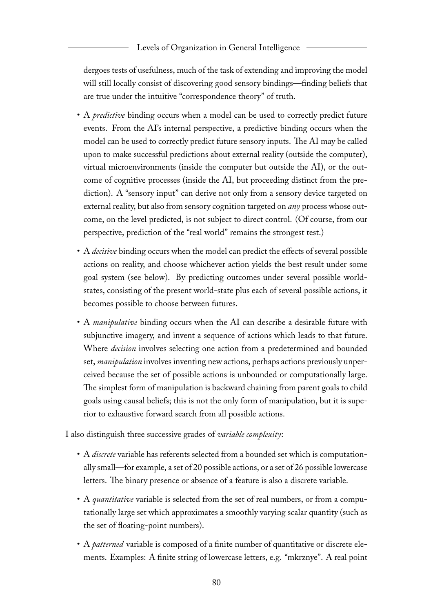# Levels of Organization in General Intelligence

dergoes tests of usefulness, much of the task of extending and improving the model will still locally consist of discovering good sensory bindings—finding beliefs that are true under the intuitive "correspondence theory" of truth.

- A *predictive* binding occurs when a model can be used to correctly predict future events. From the AI's internal perspective, a predictive binding occurs when the model can be used to correctly predict future sensory inputs. The AI may be called upon to make successful predictions about external reality (outside the computer), virtual microenvironments (inside the computer but outside the AI), or the outcome of cognitive processes (inside the AI, but proceeding distinct from the prediction). A "sensory input" can derive not only from a sensory device targeted on external reality, but also from sensory cognition targeted on *any* process whose outcome, on the level predicted, is not subject to direct control. (Of course, from our perspective, prediction of the "real world" remains the strongest test.)
- A *decisive* binding occurs when the model can predict the effects of several possible actions on reality, and choose whichever action yields the best result under some goal system (see below). By predicting outcomes under several possible worldstates, consisting of the present world-state plus each of several possible actions, it becomes possible to choose between futures.
- A *manipulative* binding occurs when the AI can describe a desirable future with subjunctive imagery, and invent a sequence of actions which leads to that future. Where *decision* involves selecting one action from a predetermined and bounded set, *manipulation* involves inventing new actions, perhaps actions previously unperceived because the set of possible actions is unbounded or computationally large. The simplest form of manipulation is backward chaining from parent goals to child goals using causal beliefs; this is not the only form of manipulation, but it is superior to exhaustive forward search from all possible actions.

I also distinguish three successive grades of *variable complexity*:

- A *discrete* variable has referents selected from a bounded set which is computationally small—for example, a set of 20 possible actions, or a set of 26 possible lowercase letters. The binary presence or absence of a feature is also a discrete variable.
- A *quantitative* variable is selected from the set of real numbers, or from a computationally large set which approximates a smoothly varying scalar quantity (such as the set of floating-point numbers).
- A *patterned* variable is composed of a finite number of quantitative or discrete elements. Examples: A finite string of lowercase letters, e.g. "mkrznye". A real point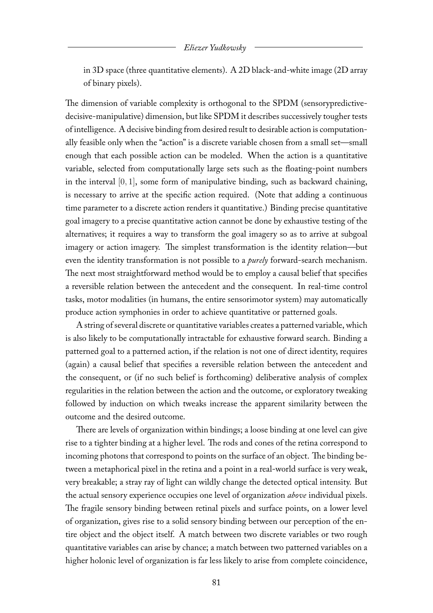in 3D space (three quantitative elements). A 2D black-and-white image (2D array of binary pixels).

The dimension of variable complexity is orthogonal to the SPDM (sensorypredictivedecisive-manipulative) dimension, but like SPDM it describes successively tougher tests of intelligence. A decisive binding from desired result to desirable action is computationally feasible only when the "action" is a discrete variable chosen from a small set—small enough that each possible action can be modeled. When the action is a quantitative variable, selected from computationally large sets such as the floating-point numbers in the interval [0, 1], some form of manipulative binding, such as backward chaining, is necessary to arrive at the specific action required. (Note that adding a continuous time parameter to a discrete action renders it quantitative.) Binding precise quantitative goal imagery to a precise quantitative action cannot be done by exhaustive testing of the alternatives; it requires a way to transform the goal imagery so as to arrive at subgoal imagery or action imagery. The simplest transformation is the identity relation—but even the identity transformation is not possible to a *purely* forward-search mechanism. The next most straightforward method would be to employ a causal belief that specifies a reversible relation between the antecedent and the consequent. In real-time control tasks, motor modalities (in humans, the entire sensorimotor system) may automatically produce action symphonies in order to achieve quantitative or patterned goals.

A string of several discrete or quantitative variables creates a patterned variable, which is also likely to be computationally intractable for exhaustive forward search. Binding a patterned goal to a patterned action, if the relation is not one of direct identity, requires (again) a causal belief that specifies a reversible relation between the antecedent and the consequent, or (if no such belief is forthcoming) deliberative analysis of complex regularities in the relation between the action and the outcome, or exploratory tweaking followed by induction on which tweaks increase the apparent similarity between the outcome and the desired outcome.

There are levels of organization within bindings; a loose binding at one level can give rise to a tighter binding at a higher level. The rods and cones of the retina correspond to incoming photons that correspond to points on the surface of an object. The binding between a metaphorical pixel in the retina and a point in a real-world surface is very weak, very breakable; a stray ray of light can wildly change the detected optical intensity. But the actual sensory experience occupies one level of organization *above* individual pixels. The fragile sensory binding between retinal pixels and surface points, on a lower level of organization, gives rise to a solid sensory binding between our perception of the entire object and the object itself. A match between two discrete variables or two rough quantitative variables can arise by chance; a match between two patterned variables on a higher holonic level of organization is far less likely to arise from complete coincidence,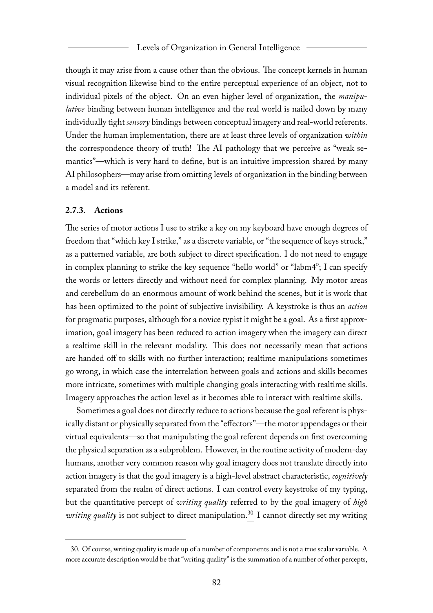## Levels of Organization in General Intelligence

though it may arise from a cause other than the obvious. The concept kernels in human visual recognition likewise bind to the entire perceptual experience of an object, not to individual pixels of the object. On an even higher level of organization, the *manipulative* binding between human intelligence and the real world is nailed down by many individually tight *sensory* bindings between conceptual imagery and real-world referents. Under the human implementation, there are at least three levels of organization *within* the correspondence theory of truth! The AI pathology that we perceive as "weak semantics"—which is very hard to define, but is an intuitive impression shared by many AI philosophers—may arise from omitting levels of organization in the binding between a model and its referent.

#### **2.7.3. Actions**

The series of motor actions I use to strike a key on my keyboard have enough degrees of freedom that "which key I strike," as a discrete variable, or "the sequence of keys struck," as a patterned variable, are both subject to direct specification. I do not need to engage in complex planning to strike the key sequence "hello world" or "labm4"; I can specify the words or letters directly and without need for complex planning. My motor areas and cerebellum do an enormous amount of work behind the scenes, but it is work that has been optimized to the point of subjective invisibility. A keystroke is thus an *action* for pragmatic purposes, although for a novice typist it might be a goal. As a first approximation, goal imagery has been reduced to action imagery when the imagery can direct a realtime skill in the relevant modality. This does not necessarily mean that actions are handed off to skills with no further interaction; realtime manipulations sometimes go wrong, in which case the interrelation between goals and actions and skills becomes more intricate, sometimes with multiple changing goals interacting with realtime skills. Imagery approaches the action level as it becomes able to interact with realtime skills.

Sometimes a goal does not directly reduce to actions because the goal referent is physically distant or physically separated from the "effectors"—the motor appendages or their virtual equivalents—so that manipulating the goal referent depends on first overcoming the physical separation as a subproblem. However, in the routine activity of modern-day humans, another very common reason why goal imagery does not translate directly into action imagery is that the goal imagery is a high-level abstract characteristic, *cognitively* separated from the realm of direct actions. I can control every keystroke of my typing, but the quantitative percept of *writing quality* referred to by the goal imagery of *high writing quality* is not subject to direct manipulation.<sup>[30](#page-82-0)</sup> I cannot directly set my writing

<span id="page-82-0"></span><sup>30.</sup> Of course, writing quality is made up of a number of components and is not a true scalar variable. A more accurate description would be that "writing quality" is the summation of a number of other percepts,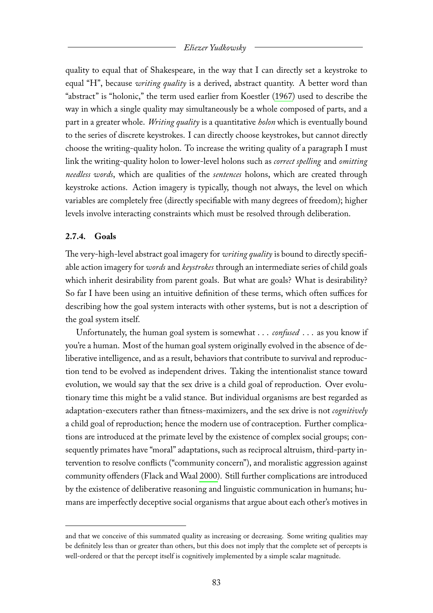quality to equal that of Shakespeare, in the way that I can directly set a keystroke to equal "H", because *writing quality* is a derived, abstract quantity. A better word than "abstract" is "holonic," the term used earlier from Koestler [\(1967\)](#page-117-2) used to describe the way in which a single quality may simultaneously be a whole composed of parts, and a part in a greater whole. *Writing quality* is a quantitative *holon* which is eventually bound to the series of discrete keystrokes. I can directly choose keystrokes, but cannot directly choose the writing-quality holon. To increase the writing quality of a paragraph I must link the writing-quality holon to lower-level holons such as *correct spelling* and *omitting needless words*, which are qualities of the *sentences* holons, which are created through keystroke actions. Action imagery is typically, though not always, the level on which variables are completely free (directly specifiable with many degrees of freedom); higher levels involve interacting constraints which must be resolved through deliberation.

# **2.7.4. Goals**

The very-high-level abstract goal imagery for *writing quality* is bound to directly specifiable action imagery for *words* and *keystrokes* through an intermediate series of child goals which inherit desirability from parent goals. But what are goals? What is desirability? So far I have been using an intuitive definition of these terms, which often suffices for describing how the goal system interacts with other systems, but is not a description of the goal system itself.

Unfortunately, the human goal system is somewhat . . . *confused* . . . as you know if you're a human. Most of the human goal system originally evolved in the absence of deliberative intelligence, and as a result, behaviors that contribute to survival and reproduction tend to be evolved as independent drives. Taking the intentionalist stance toward evolution, we would say that the sex drive is a child goal of reproduction. Over evolutionary time this might be a valid stance. But individual organisms are best regarded as adaptation-executers rather than fitness-maximizers, and the sex drive is not *cognitively* a child goal of reproduction; hence the modern use of contraception. Further complications are introduced at the primate level by the existence of complex social groups; consequently primates have "moral" adaptations, such as reciprocal altruism, third-party intervention to resolve conflicts ("community concern"), and moralistic aggression against community offenders (Flack and Waal [2000\)](#page-116-1). Still further complications are introduced by the existence of deliberative reasoning and linguistic communication in humans; humans are imperfectly deceptive social organisms that argue about each other's motives in

and that we conceive of this summated quality as increasing or decreasing. Some writing qualities may be definitely less than or greater than others, but this does not imply that the complete set of percepts is well-ordered or that the percept itself is cognitively implemented by a simple scalar magnitude.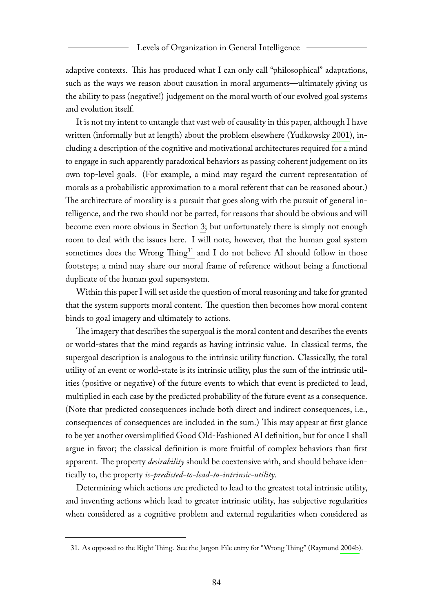adaptive contexts. This has produced what I can only call "philosophical" adaptations, such as the ways we reason about causation in moral arguments—ultimately giving us the ability to pass (negative!) judgement on the moral worth of our evolved goal systems and evolution itself.

It is not my intent to untangle that vast web of causality in this paper, although I have written (informally but at length) about the problem elsewhere (Yudkowsky [2001\)](#page-121-0), including a description of the cognitive and motivational architectures required for a mind to engage in such apparently paradoxical behaviors as passing coherent judgement on its own top-level goals. (For example, a mind may regard the current representation of morals as a probabilistic approximation to a moral referent that can be reasoned about.) The architecture of morality is a pursuit that goes along with the pursuit of general intelligence, and the two should not be parted, for reasons that should be obvious and will become even more obvious in Section [3;](#page-93-0) but unfortunately there is simply not enough room to deal with the issues here. I will note, however, that the human goal system sometimes does the Wrong Thing $31$  and I do not believe AI should follow in those footsteps; a mind may share our moral frame of reference without being a functional duplicate of the human goal supersystem.

Within this paper I will set aside the question of moral reasoning and take for granted that the system supports moral content. The question then becomes how moral content binds to goal imagery and ultimately to actions.

The imagery that describes the supergoal is the moral content and describes the events or world-states that the mind regards as having intrinsic value. In classical terms, the supergoal description is analogous to the intrinsic utility function. Classically, the total utility of an event or world-state is its intrinsic utility, plus the sum of the intrinsic utilities (positive or negative) of the future events to which that event is predicted to lead, multiplied in each case by the predicted probability of the future event as a consequence. (Note that predicted consequences include both direct and indirect consequences, i.e., consequences of consequences are included in the sum.) This may appear at first glance to be yet another oversimplified Good Old-Fashioned AI definition, but for once I shall argue in favor; the classical definition is more fruitful of complex behaviors than first apparent. The property *desirability* should be coextensive with, and should behave identically to, the property *is-predicted-to-lead-to-intrinsic-utility*.

Determining which actions are predicted to lead to the greatest total intrinsic utility, and inventing actions which lead to greater intrinsic utility, has subjective regularities when considered as a cognitive problem and external regularities when considered as

<span id="page-84-0"></span><sup>31.</sup> As opposed to the Right Thing. See the Jargon File entry for "Wrong Thing" (Raymond [2004b\)](#page-119-1).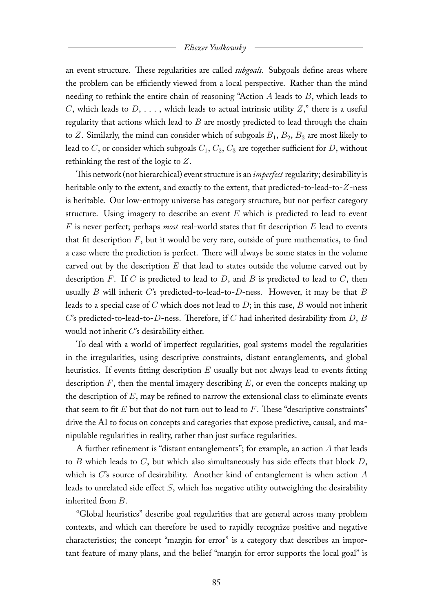an event structure. These regularities are called *subgoals*. Subgoals define areas where the problem can be efficiently viewed from a local perspective. Rather than the mind needing to rethink the entire chain of reasoning "Action A leads to B, which leads to C, which leads to  $D, \ldots$ , which leads to actual intrinsic utility  $Z$ ," there is a useful regularity that actions which lead to  $B$  are mostly predicted to lead through the chain to Z. Similarly, the mind can consider which of subgoals  $B_1$ ,  $B_2$ ,  $B_3$  are most likely to lead to C, or consider which subgoals  $C_1$ ,  $C_2$ ,  $C_3$  are together sufficient for D, without rethinking the rest of the logic to Z.

This network (not hierarchical) event structure is an *imperfect* regularity; desirability is heritable only to the extent, and exactly to the extent, that predicted-to-lead-to-Z-ness is heritable. Our low-entropy universe has category structure, but not perfect category structure. Using imagery to describe an event  $E$  which is predicted to lead to event F is never perfect; perhaps *most* real-world states that fit description E lead to events that fit description  $F$ , but it would be very rare, outside of pure mathematics, to find a case where the prediction is perfect. There will always be some states in the volume carved out by the description  $E$  that lead to states outside the volume carved out by description F. If C is predicted to lead to D, and B is predicted to lead to C, then usually  $B$  will inherit  $C$ 's predicted-to-lead-to- $D$ -ness. However, it may be that  $B$ leads to a special case of  $C$  which does not lead to  $D$ ; in this case,  $B$  would not inherit  $C$ 's predicted-to-lead-to-D-ness. Therefore, if  $C$  had inherited desirability from  $D, B$ would not inherit C's desirability either.

To deal with a world of imperfect regularities, goal systems model the regularities in the irregularities, using descriptive constraints, distant entanglements, and global heuristics. If events fitting description  $E$  usually but not always lead to events fitting description  $F$ , then the mental imagery describing  $E$ , or even the concepts making up the description of  $E$ , may be refined to narrow the extensional class to eliminate events that seem to fit  $E$  but that do not turn out to lead to  $F$ . These "descriptive constraints" drive the AI to focus on concepts and categories that expose predictive, causal, and manipulable regularities in reality, rather than just surface regularities.

A further refinement is "distant entanglements"; for example, an action A that leads to  $B$  which leads to  $C$ , but which also simultaneously has side effects that block  $D$ , which is C's source of desirability. Another kind of entanglement is when action A leads to unrelated side effect S, which has negative utility outweighing the desirability inherited from B.

"Global heuristics" describe goal regularities that are general across many problem contexts, and which can therefore be used to rapidly recognize positive and negative characteristics; the concept "margin for error" is a category that describes an important feature of many plans, and the belief "margin for error supports the local goal" is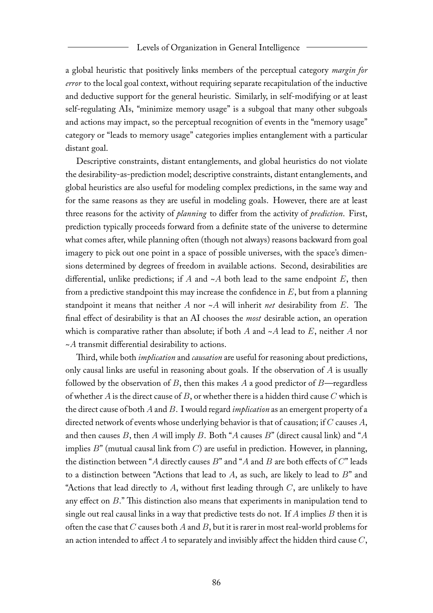a global heuristic that positively links members of the perceptual category *margin for error* to the local goal context, without requiring separate recapitulation of the inductive and deductive support for the general heuristic. Similarly, in self-modifying or at least self-regulating AIs, "minimize memory usage" is a subgoal that many other subgoals and actions may impact, so the perceptual recognition of events in the "memory usage" category or "leads to memory usage" categories implies entanglement with a particular distant goal.

Descriptive constraints, distant entanglements, and global heuristics do not violate the desirability-as-prediction model; descriptive constraints, distant entanglements, and global heuristics are also useful for modeling complex predictions, in the same way and for the same reasons as they are useful in modeling goals. However, there are at least three reasons for the activity of *planning* to differ from the activity of *prediction*. First, prediction typically proceeds forward from a definite state of the universe to determine what comes after, while planning often (though not always) reasons backward from goal imagery to pick out one point in a space of possible universes, with the space's dimensions determined by degrees of freedom in available actions. Second, desirabilities are differential, unlike predictions; if A and  $~\sim$ A both lead to the same endpoint E, then from a predictive standpoint this may increase the confidence in  $E$ , but from a planning standpoint it means that neither A nor ~A will inherit *net* desirability from E. The final effect of desirability is that an AI chooses the *most* desirable action, an operation which is comparative rather than absolute; if both A and  $\sim$  A lead to E, neither A nor  $~\sim$ A transmit differential desirability to actions.

Third, while both *implication* and *causation* are useful for reasoning about predictions, only causal links are useful in reasoning about goals. If the observation of A is usually followed by the observation of  $B$ , then this makes  $A$  a good predictor of  $B$ —regardless of whether  $A$  is the direct cause of  $B$ , or whether there is a hidden third cause  $C$  which is the direct cause of both A and B. I would regard *implication* as an emergent property of a directed network of events whose underlying behavior is that of causation; if  $C$  causes  $A$ , and then causes B, then A will imply B. Both "A causes  $B$ " (direct causal link) and "A implies  $B$ " (mutual causal link from  $C$ ) are useful in prediction. However, in planning, the distinction between "A directly causes  $B$ " and "A and B are both effects of  $C$ " leads to a distinction between "Actions that lead to  $A$ , as such, are likely to lead to  $B$ " and "Actions that lead directly to A, without first leading through  $C$ , are unlikely to have any effect on B." This distinction also means that experiments in manipulation tend to single out real causal links in a way that predictive tests do not. If  $A$  implies  $B$  then it is often the case that  $C$  causes both  $A$  and  $B$ , but it is rarer in most real-world problems for an action intended to affect  $A$  to separately and invisibly affect the hidden third cause  $C$ ,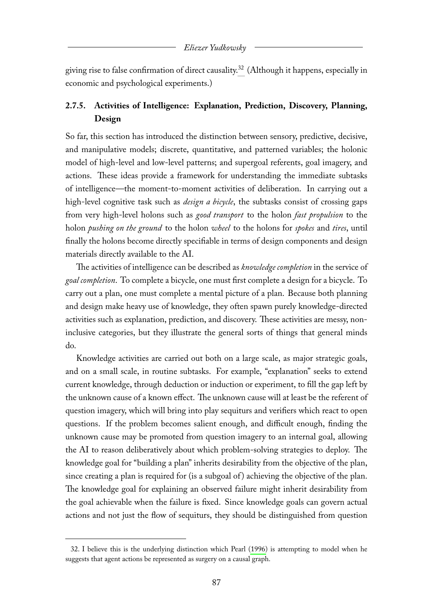giving rise to false confirmation of direct causality.[32](#page-87-0) (Although it happens, especially in economic and psychological experiments.)

# **2.7.5. Activities of Intelligence: Explanation, Prediction, Discovery, Planning, Design**

So far, this section has introduced the distinction between sensory, predictive, decisive, and manipulative models; discrete, quantitative, and patterned variables; the holonic model of high-level and low-level patterns; and supergoal referents, goal imagery, and actions. These ideas provide a framework for understanding the immediate subtasks of intelligence—the moment-to-moment activities of deliberation. In carrying out a high-level cognitive task such as *design a bicycle*, the subtasks consist of crossing gaps from very high-level holons such as *good transport* to the holon *fast propulsion* to the holon *pushing on the ground* to the holon *wheel* to the holons for *spokes* and *tires*, until finally the holons become directly specifiable in terms of design components and design materials directly available to the AI.

The activities of intelligence can be described as *knowledge completion* in the service of *goal completion*. To complete a bicycle, one must first complete a design for a bicycle. To carry out a plan, one must complete a mental picture of a plan. Because both planning and design make heavy use of knowledge, they often spawn purely knowledge-directed activities such as explanation, prediction, and discovery. These activities are messy, noninclusive categories, but they illustrate the general sorts of things that general minds do.

Knowledge activities are carried out both on a large scale, as major strategic goals, and on a small scale, in routine subtasks. For example, "explanation" seeks to extend current knowledge, through deduction or induction or experiment, to fill the gap left by the unknown cause of a known effect. The unknown cause will at least be the referent of question imagery, which will bring into play sequiturs and verifiers which react to open questions. If the problem becomes salient enough, and difficult enough, finding the unknown cause may be promoted from question imagery to an internal goal, allowing the AI to reason deliberatively about which problem-solving strategies to deploy. The knowledge goal for "building a plan" inherits desirability from the objective of the plan, since creating a plan is required for (is a subgoal of) achieving the objective of the plan. The knowledge goal for explaining an observed failure might inherit desirability from the goal achievable when the failure is fixed. Since knowledge goals can govern actual actions and not just the flow of sequiturs, they should be distinguished from question

<span id="page-87-0"></span><sup>32.</sup> I believe this is the underlying distinction which Pearl [\(1996\)](#page-119-2) is attempting to model when he suggests that agent actions be represented as surgery on a causal graph.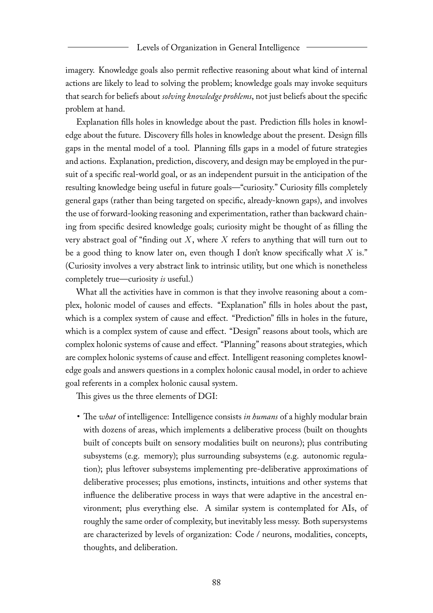imagery. Knowledge goals also permit reflective reasoning about what kind of internal actions are likely to lead to solving the problem; knowledge goals may invoke sequiturs that search for beliefs about *solving knowledge problems*, not just beliefs about the specific problem at hand.

Explanation fills holes in knowledge about the past. Prediction fills holes in knowledge about the future. Discovery fills holes in knowledge about the present. Design fills gaps in the mental model of a tool. Planning fills gaps in a model of future strategies and actions. Explanation, prediction, discovery, and design may be employed in the pursuit of a specific real-world goal, or as an independent pursuit in the anticipation of the resulting knowledge being useful in future goals—"curiosity." Curiosity fills completely general gaps (rather than being targeted on specific, already-known gaps), and involves the use of forward-looking reasoning and experimentation, rather than backward chaining from specific desired knowledge goals; curiosity might be thought of as filling the very abstract goal of "finding out  $X$ , where  $X$  refers to anything that will turn out to be a good thing to know later on, even though I don't know specifically what  $X$  is." (Curiosity involves a very abstract link to intrinsic utility, but one which is nonetheless completely true—curiosity *is* useful.)

What all the activities have in common is that they involve reasoning about a complex, holonic model of causes and effects. "Explanation" fills in holes about the past, which is a complex system of cause and effect. "Prediction" fills in holes in the future, which is a complex system of cause and effect. "Design" reasons about tools, which are complex holonic systems of cause and effect. "Planning" reasons about strategies, which are complex holonic systems of cause and effect. Intelligent reasoning completes knowledge goals and answers questions in a complex holonic causal model, in order to achieve goal referents in a complex holonic causal system.

This gives us the three elements of DGI:

• The *what* of intelligence: Intelligence consists *in humans* of a highly modular brain with dozens of areas, which implements a deliberative process (built on thoughts built of concepts built on sensory modalities built on neurons); plus contributing subsystems (e.g. memory); plus surrounding subsystems (e.g. autonomic regulation); plus leftover subsystems implementing pre-deliberative approximations of deliberative processes; plus emotions, instincts, intuitions and other systems that influence the deliberative process in ways that were adaptive in the ancestral environment; plus everything else. A similar system is contemplated for AIs, of roughly the same order of complexity, but inevitably less messy. Both supersystems are characterized by levels of organization: Code / neurons, modalities, concepts, thoughts, and deliberation.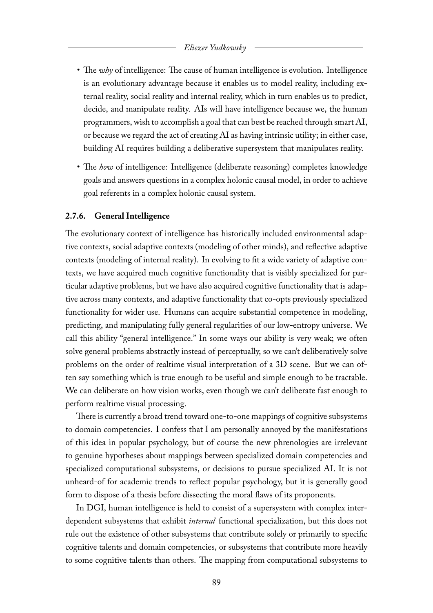- The *why* of intelligence: The cause of human intelligence is evolution. Intelligence is an evolutionary advantage because it enables us to model reality, including external reality, social reality and internal reality, which in turn enables us to predict, decide, and manipulate reality. AIs will have intelligence because we, the human programmers, wish to accomplish a goal that can best be reached through smart AI, or because we regard the act of creating AI as having intrinsic utility; in either case, building AI requires building a deliberative supersystem that manipulates reality.
- The *how* of intelligence: Intelligence (deliberate reasoning) completes knowledge goals and answers questions in a complex holonic causal model, in order to achieve goal referents in a complex holonic causal system.

## **2.7.6. General Intelligence**

The evolutionary context of intelligence has historically included environmental adaptive contexts, social adaptive contexts (modeling of other minds), and reflective adaptive contexts (modeling of internal reality). In evolving to fit a wide variety of adaptive contexts, we have acquired much cognitive functionality that is visibly specialized for particular adaptive problems, but we have also acquired cognitive functionality that is adaptive across many contexts, and adaptive functionality that co-opts previously specialized functionality for wider use. Humans can acquire substantial competence in modeling, predicting, and manipulating fully general regularities of our low-entropy universe. We call this ability "general intelligence." In some ways our ability is very weak; we often solve general problems abstractly instead of perceptually, so we can't deliberatively solve problems on the order of realtime visual interpretation of a 3D scene. But we can often say something which is true enough to be useful and simple enough to be tractable. We can deliberate on how vision works, even though we can't deliberate fast enough to perform realtime visual processing.

There is currently a broad trend toward one-to-one mappings of cognitive subsystems to domain competencies. I confess that I am personally annoyed by the manifestations of this idea in popular psychology, but of course the new phrenologies are irrelevant to genuine hypotheses about mappings between specialized domain competencies and specialized computational subsystems, or decisions to pursue specialized AI. It is not unheard-of for academic trends to reflect popular psychology, but it is generally good form to dispose of a thesis before dissecting the moral flaws of its proponents.

In DGI, human intelligence is held to consist of a supersystem with complex interdependent subsystems that exhibit *internal* functional specialization, but this does not rule out the existence of other subsystems that contribute solely or primarily to specific cognitive talents and domain competencies, or subsystems that contribute more heavily to some cognitive talents than others. The mapping from computational subsystems to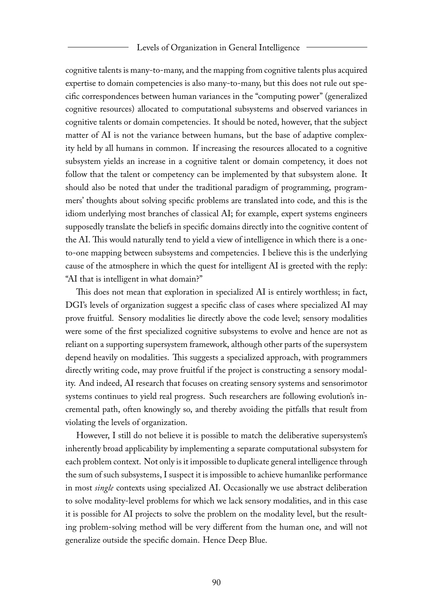#### Levels of Organization in General Intelligence

cognitive talents is many-to-many, and the mapping from cognitive talents plus acquired expertise to domain competencies is also many-to-many, but this does not rule out specific correspondences between human variances in the "computing power" (generalized cognitive resources) allocated to computational subsystems and observed variances in cognitive talents or domain competencies. It should be noted, however, that the subject matter of AI is not the variance between humans, but the base of adaptive complexity held by all humans in common. If increasing the resources allocated to a cognitive subsystem yields an increase in a cognitive talent or domain competency, it does not follow that the talent or competency can be implemented by that subsystem alone. It should also be noted that under the traditional paradigm of programming, programmers' thoughts about solving specific problems are translated into code, and this is the idiom underlying most branches of classical AI; for example, expert systems engineers supposedly translate the beliefs in specific domains directly into the cognitive content of the AI. This would naturally tend to yield a view of intelligence in which there is a oneto-one mapping between subsystems and competencies. I believe this is the underlying cause of the atmosphere in which the quest for intelligent AI is greeted with the reply: "AI that is intelligent in what domain?"

This does not mean that exploration in specialized AI is entirely worthless; in fact, DGI's levels of organization suggest a specific class of cases where specialized AI may prove fruitful. Sensory modalities lie directly above the code level; sensory modalities were some of the first specialized cognitive subsystems to evolve and hence are not as reliant on a supporting supersystem framework, although other parts of the supersystem depend heavily on modalities. This suggests a specialized approach, with programmers directly writing code, may prove fruitful if the project is constructing a sensory modality. And indeed, AI research that focuses on creating sensory systems and sensorimotor systems continues to yield real progress. Such researchers are following evolution's incremental path, often knowingly so, and thereby avoiding the pitfalls that result from violating the levels of organization.

However, I still do not believe it is possible to match the deliberative supersystem's inherently broad applicability by implementing a separate computational subsystem for each problem context. Not only is it impossible to duplicate general intelligence through the sum of such subsystems, I suspect it is impossible to achieve humanlike performance in most *single* contexts using specialized AI. Occasionally we use abstract deliberation to solve modality-level problems for which we lack sensory modalities, and in this case it is possible for AI projects to solve the problem on the modality level, but the resulting problem-solving method will be very different from the human one, and will not generalize outside the specific domain. Hence Deep Blue.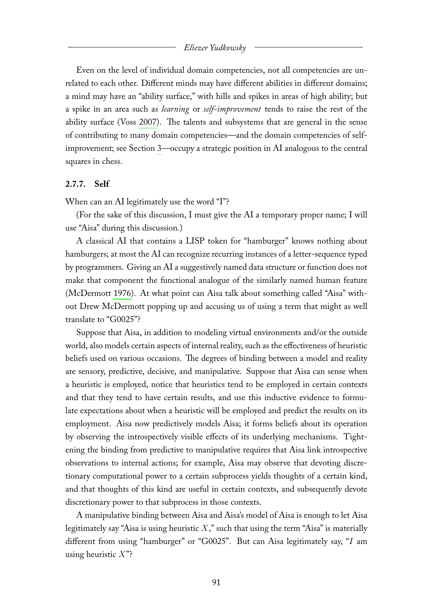Even on the level of individual domain competencies, not all competencies are unrelated to each other. Different minds may have different abilities in different domains; a mind may have an "ability surface," with hills and spikes in areas of high ability; but a spike in an area such as *learning* or *self-improvement* tends to raise the rest of the ability surface (Voss [2007\)](#page-120-1). The talents and subsystems that are general in the sense of contributing to many domain competencies—and the domain competencies of selfimprovement; see Section [3—](#page-93-0)occupy a strategic position in AI analogous to the central squares in chess.

## **2.7.7. Self**

When can an AI legitimately use the word "I"?

(For the sake of this discussion, I must give the AI a temporary proper name; I will use "Aisa" during this discussion.)

A classical AI that contains a LISP token for "hamburger" knows nothing about hamburgers; at most the AI can recognize recurring instances of a letter-sequence typed by programmers. Giving an AI a suggestively named data structure or function does not make that component the functional analogue of the similarly named human feature (McDermott [1976\)](#page-118-0). At what point can Aisa talk about something called "Aisa" without Drew McDermott popping up and accusing us of using a term that might as well translate to "G0025"?

Suppose that Aisa, in addition to modeling virtual environments and/or the outside world, also models certain aspects of internal reality, such as the effectiveness of heuristic beliefs used on various occasions. The degrees of binding between a model and reality are sensory, predictive, decisive, and manipulative. Suppose that Aisa can sense when a heuristic is employed, notice that heuristics tend to be employed in certain contexts and that they tend to have certain results, and use this inductive evidence to formulate expectations about when a heuristic will be employed and predict the results on its employment. Aisa now predictively models Aisa; it forms beliefs about its operation by observing the introspectively visible effects of its underlying mechanisms. Tightening the binding from predictive to manipulative requires that Aisa link introspective observations to internal actions; for example, Aisa may observe that devoting discretionary computational power to a certain subprocess yields thoughts of a certain kind, and that thoughts of this kind are useful in certain contexts, and subsequently devote discretionary power to that subprocess in those contexts.

A manipulative binding between Aisa and Aisa's model of Aisa is enough to let Aisa legitimately say "Aisa is using heuristic  $X$ ," such that using the term "Aisa" is materially different from using "hamburger" or "G0025". But can Aisa legitimately say, "*I* am using heuristic  $X$ "?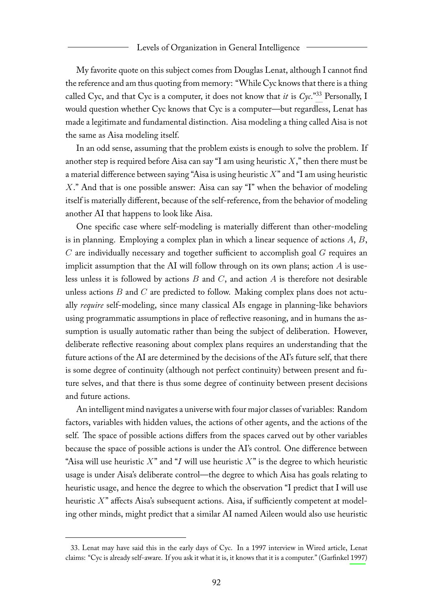My favorite quote on this subject comes from Douglas Lenat, although I cannot find the reference and am thus quoting from memory: "While Cyc knows that there is a thing called Cyc, and that Cyc is a computer, it does not know that *it* is *Cyc*."[33](#page-92-0) Personally, I would question whether Cyc knows that Cyc is a computer—but regardless, Lenat has made a legitimate and fundamental distinction. Aisa modeling a thing called Aisa is not the same as Aisa modeling itself.

In an odd sense, assuming that the problem exists is enough to solve the problem. If another step is required before Aisa can say "I am using heuristic  $X$ ," then there must be a material difference between saying "Aisa is using heuristic  $X$ " and "I am using heuristic X." And that is one possible answer: Aisa can say "I" when the behavior of modeling itself is materially different, because of the self-reference, from the behavior of modeling another AI that happens to look like Aisa.

One specific case where self-modeling is materially different than other-modeling is in planning. Employing a complex plan in which a linear sequence of actions A, B,  $C$  are individually necessary and together sufficient to accomplish goal  $G$  requires an implicit assumption that the AI will follow through on its own plans; action  $A$  is useless unless it is followed by actions  $B$  and  $C$ , and action  $A$  is therefore not desirable unless actions  $B$  and  $C$  are predicted to follow. Making complex plans does not actually *require* self-modeling, since many classical AIs engage in planning-like behaviors using programmatic assumptions in place of reflective reasoning, and in humans the assumption is usually automatic rather than being the subject of deliberation. However, deliberate reflective reasoning about complex plans requires an understanding that the future actions of the AI are determined by the decisions of the AI's future self, that there is some degree of continuity (although not perfect continuity) between present and future selves, and that there is thus some degree of continuity between present decisions and future actions.

An intelligent mind navigates a universe with four major classes of variables: Random factors, variables with hidden values, the actions of other agents, and the actions of the self. The space of possible actions differs from the spaces carved out by other variables because the space of possible actions is under the AI's control. One difference between "Aisa will use heuristic  $X$ " and "*I* will use heuristic  $X$ " is the degree to which heuristic usage is under Aisa's deliberate control—the degree to which Aisa has goals relating to heuristic usage, and hence the degree to which the observation "I predict that I will use heuristic  $X$ " affects Aisa's subsequent actions. Aisa, if sufficiently competent at modeling other minds, might predict that a similar AI named Aileen would also use heuristic

<span id="page-92-0"></span><sup>33.</sup> Lenat may have said this in the early days of Cyc. In a 1997 interview in Wired article, Lenat claims: "Cyc is already self-aware. If you ask it what it is, it knows that it is a computer." (Garfinkel [1997\)](#page-116-2)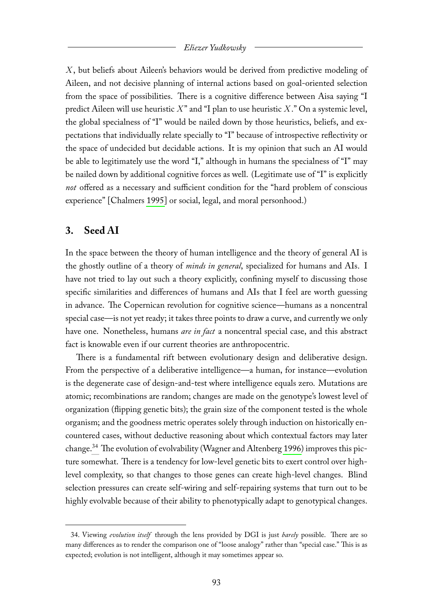X, but beliefs about Aileen's behaviors would be derived from predictive modeling of Aileen, and not decisive planning of internal actions based on goal-oriented selection from the space of possibilities. There is a cognitive difference between Aisa saying "I predict Aileen will use heuristic  $X$ " and "I plan to use heuristic  $X$ ." On a systemic level, the global specialness of "I" would be nailed down by those heuristics, beliefs, and expectations that individually relate specially to "I" because of introspective reflectivity or the space of undecided but decidable actions. It is my opinion that such an AI would be able to legitimately use the word "I," although in humans the specialness of "I" may be nailed down by additional cognitive forces as well. (Legitimate use of "I" is explicitly *not* offered as a necessary and sufficient condition for the "hard problem of conscious experience" [Chalmers [1995\]](#page-115-1) or social, legal, and moral personhood.)

# <span id="page-93-0"></span>**3. Seed AI**

In the space between the theory of human intelligence and the theory of general AI is the ghostly outline of a theory of *minds in general*, specialized for humans and AIs. I have not tried to lay out such a theory explicitly, confining myself to discussing those specific similarities and differences of humans and AIs that I feel are worth guessing in advance. The Copernican revolution for cognitive science—humans as a noncentral special case—is not yet ready; it takes three points to draw a curve, and currently we only have one. Nonetheless, humans *are in fact* a noncentral special case, and this abstract fact is knowable even if our current theories are anthropocentric.

There is a fundamental rift between evolutionary design and deliberative design. From the perspective of a deliberative intelligence—a human, for instance—evolution is the degenerate case of design-and-test where intelligence equals zero. Mutations are atomic; recombinations are random; changes are made on the genotype's lowest level of organization (flipping genetic bits); the grain size of the component tested is the whole organism; and the goodness metric operates solely through induction on historically encountered cases, without deductive reasoning about which contextual factors may later change.[34](#page-93-1) The evolution of evolvability (Wagner and Altenberg [1996\)](#page-121-1) improves this picture somewhat. There is a tendency for low-level genetic bits to exert control over highlevel complexity, so that changes to those genes can create high-level changes. Blind selection pressures can create self-wiring and self-repairing systems that turn out to be highly evolvable because of their ability to phenotypically adapt to genotypical changes.

<span id="page-93-1"></span><sup>34.</sup> Viewing *evolution itself* through the lens provided by DGI is just *barely* possible. There are so many differences as to render the comparison one of "loose analogy" rather than "special case." This is as expected; evolution is not intelligent, although it may sometimes appear so.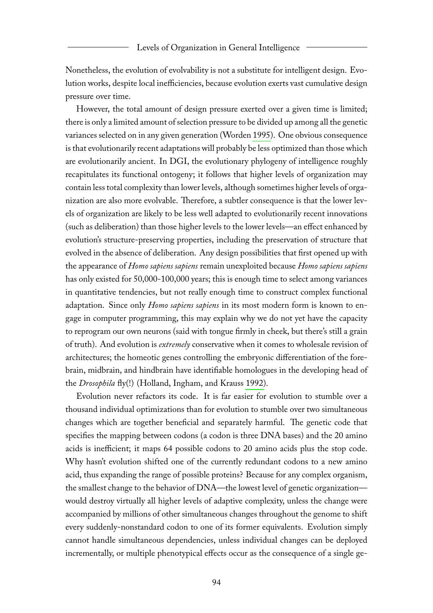Nonetheless, the evolution of evolvability is not a substitute for intelligent design. Evolution works, despite local inefficiencies, because evolution exerts vast cumulative design pressure over time.

However, the total amount of design pressure exerted over a given time is limited; there is only a limited amount of selection pressure to be divided up among all the genetic variances selected on in any given generation (Worden [1995\)](#page-121-2). One obvious consequence is that evolutionarily recent adaptations will probably be less optimized than those which are evolutionarily ancient. In DGI, the evolutionary phylogeny of intelligence roughly recapitulates its functional ontogeny; it follows that higher levels of organization may contain less total complexity than lower levels, although sometimes higher levels of organization are also more evolvable. Therefore, a subtler consequence is that the lower levels of organization are likely to be less well adapted to evolutionarily recent innovations (such as deliberation) than those higher levels to the lower levels—an effect enhanced by evolution's structure-preserving properties, including the preservation of structure that evolved in the absence of deliberation. Any design possibilities that first opened up with the appearance of *Homo sapiens sapiens* remain unexploited because *Homo sapiens sapiens* has only existed for 50,000-100,000 years; this is enough time to select among variances in quantitative tendencies, but not really enough time to construct complex functional adaptation. Since only *Homo sapiens sapiens* in its most modern form is known to engage in computer programming, this may explain why we do not yet have the capacity to reprogram our own neurons (said with tongue firmly in cheek, but there's still a grain of truth). And evolution is *extremely* conservative when it comes to wholesale revision of architectures; the homeotic genes controlling the embryonic differentiation of the forebrain, midbrain, and hindbrain have identifiable homologues in the developing head of the *Drosophila* fly(!) (Holland, Ingham, and Krauss [1992\)](#page-117-3).

Evolution never refactors its code. It is far easier for evolution to stumble over a thousand individual optimizations than for evolution to stumble over two simultaneous changes which are together beneficial and separately harmful. The genetic code that specifies the mapping between codons (a codon is three DNA bases) and the 20 amino acids is inefficient; it maps 64 possible codons to 20 amino acids plus the stop code. Why hasn't evolution shifted one of the currently redundant codons to a new amino acid, thus expanding the range of possible proteins? Because for any complex organism, the smallest change to the behavior of DNA—the lowest level of genetic organization would destroy virtually all higher levels of adaptive complexity, unless the change were accompanied by millions of other simultaneous changes throughout the genome to shift every suddenly-nonstandard codon to one of its former equivalents. Evolution simply cannot handle simultaneous dependencies, unless individual changes can be deployed incrementally, or multiple phenotypical effects occur as the consequence of a single ge-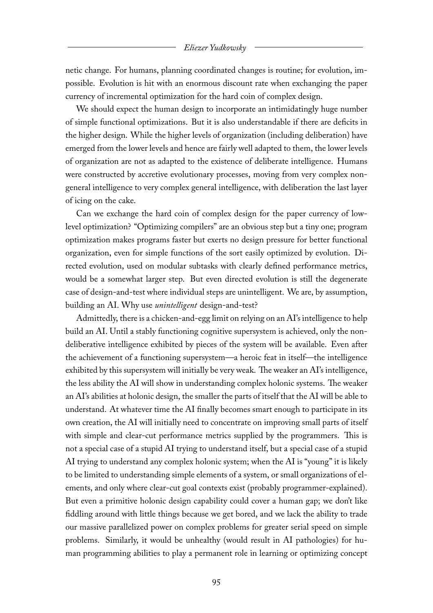#### *Eliezer Yudkowsky*

netic change. For humans, planning coordinated changes is routine; for evolution, impossible. Evolution is hit with an enormous discount rate when exchanging the paper currency of incremental optimization for the hard coin of complex design.

We should expect the human design to incorporate an intimidatingly huge number of simple functional optimizations. But it is also understandable if there are deficits in the higher design. While the higher levels of organization (including deliberation) have emerged from the lower levels and hence are fairly well adapted to them, the lower levels of organization are not as adapted to the existence of deliberate intelligence. Humans were constructed by accretive evolutionary processes, moving from very complex nongeneral intelligence to very complex general intelligence, with deliberation the last layer of icing on the cake.

Can we exchange the hard coin of complex design for the paper currency of lowlevel optimization? "Optimizing compilers" are an obvious step but a tiny one; program optimization makes programs faster but exerts no design pressure for better functional organization, even for simple functions of the sort easily optimized by evolution. Directed evolution, used on modular subtasks with clearly defined performance metrics, would be a somewhat larger step. But even directed evolution is still the degenerate case of design-and-test where individual steps are unintelligent. We are, by assumption, building an AI. Why use *unintelligent* design-and-test?

Admittedly, there is a chicken-and-egg limit on relying on an AI's intelligence to help build an AI. Until a stably functioning cognitive supersystem is achieved, only the nondeliberative intelligence exhibited by pieces of the system will be available. Even after the achievement of a functioning supersystem—a heroic feat in itself—the intelligence exhibited by this supersystem will initially be very weak. The weaker an AI's intelligence, the less ability the AI will show in understanding complex holonic systems. The weaker an AI's abilities at holonic design, the smaller the parts of itself that the AI will be able to understand. At whatever time the AI finally becomes smart enough to participate in its own creation, the AI will initially need to concentrate on improving small parts of itself with simple and clear-cut performance metrics supplied by the programmers. This is not a special case of a stupid AI trying to understand itself, but a special case of a stupid AI trying to understand any complex holonic system; when the AI is "young" it is likely to be limited to understanding simple elements of a system, or small organizations of elements, and only where clear-cut goal contexts exist (probably programmer-explained). But even a primitive holonic design capability could cover a human gap; we don't like fiddling around with little things because we get bored, and we lack the ability to trade our massive parallelized power on complex problems for greater serial speed on simple problems. Similarly, it would be unhealthy (would result in AI pathologies) for human programming abilities to play a permanent role in learning or optimizing concept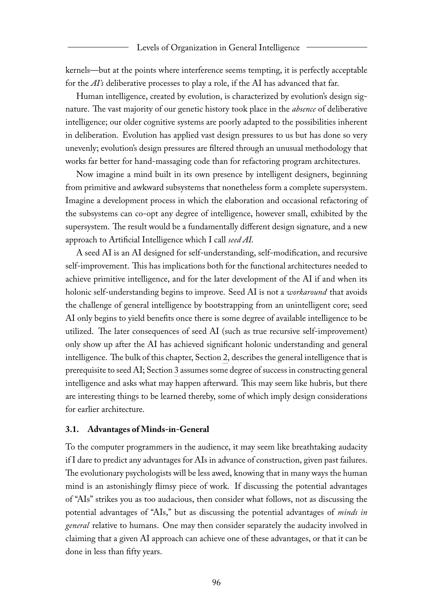kernels—but at the points where interference seems tempting, it is perfectly acceptable for the *AI's* deliberative processes to play a role, if the AI has advanced that far.

Human intelligence, created by evolution, is characterized by evolution's design signature. The vast majority of our genetic history took place in the *absence* of deliberative intelligence; our older cognitive systems are poorly adapted to the possibilities inherent in deliberation. Evolution has applied vast design pressures to us but has done so very unevenly; evolution's design pressures are filtered through an unusual methodology that works far better for hand-massaging code than for refactoring program architectures.

Now imagine a mind built in its own presence by intelligent designers, beginning from primitive and awkward subsystems that nonetheless form a complete supersystem. Imagine a development process in which the elaboration and occasional refactoring of the subsystems can co-opt any degree of intelligence, however small, exhibited by the supersystem. The result would be a fundamentally different design signature, and a new approach to Artificial Intelligence which I call *seed AI*.

A seed AI is an AI designed for self-understanding, self-modification, and recursive self-improvement. This has implications both for the functional architectures needed to achieve primitive intelligence, and for the later development of the AI if and when its holonic self-understanding begins to improve. Seed AI is not a *workaround* that avoids the challenge of general intelligence by bootstrapping from an unintelligent core; seed AI only begins to yield benefits once there is some degree of available intelligence to be utilized. The later consequences of seed AI (such as true recursive self-improvement) only show up after the AI has achieved significant holonic understanding and general intelligence. The bulk of this chapter, Section [2,](#page-8-0) describes the general intelligence that is prerequisite to seed AI; Section [3](#page-93-0) assumes some degree of success in constructing general intelligence and asks what may happen afterward. This may seem like hubris, but there are interesting things to be learned thereby, some of which imply design considerations for earlier architecture.

## **3.1. Advantages of Minds-in-General**

To the computer programmers in the audience, it may seem like breathtaking audacity if I dare to predict any advantages for AIs in advance of construction, given past failures. The evolutionary psychologists will be less awed, knowing that in many ways the human mind is an astonishingly flimsy piece of work. If discussing the potential advantages of "AIs" strikes you as too audacious, then consider what follows, not as discussing the potential advantages of "AIs," but as discussing the potential advantages of *minds in general* relative to humans. One may then consider separately the audacity involved in claiming that a given AI approach can achieve one of these advantages, or that it can be done in less than fifty years.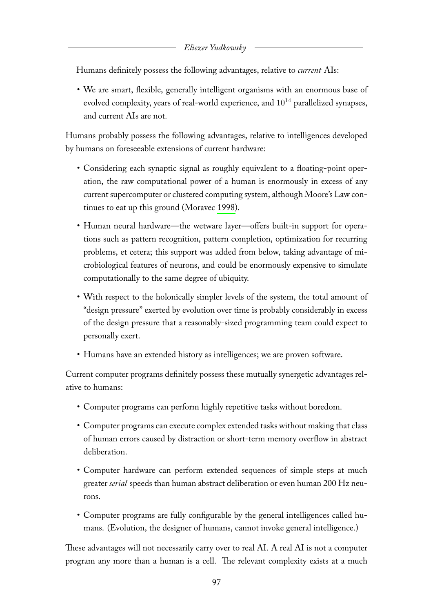Humans definitely possess the following advantages, relative to *current* AIs:

• We are smart, flexible, generally intelligent organisms with an enormous base of evolved complexity, years of real-world experience, and  $10^{14}$  parallelized synapses, and current AIs are not.

Humans probably possess the following advantages, relative to intelligences developed by humans on foreseeable extensions of current hardware:

- Considering each synaptic signal as roughly equivalent to a floating-point operation, the raw computational power of a human is enormously in excess of any current supercomputer or clustered computing system, although Moore's Law continues to eat up this ground (Moravec [1998\)](#page-119-3).
- Human neural hardware—the wetware layer—offers built-in support for operations such as pattern recognition, pattern completion, optimization for recurring problems, et cetera; this support was added from below, taking advantage of microbiological features of neurons, and could be enormously expensive to simulate computationally to the same degree of ubiquity.
- With respect to the holonically simpler levels of the system, the total amount of "design pressure" exerted by evolution over time is probably considerably in excess of the design pressure that a reasonably-sized programming team could expect to personally exert.
- Humans have an extended history as intelligences; we are proven software.

Current computer programs definitely possess these mutually synergetic advantages relative to humans:

- Computer programs can perform highly repetitive tasks without boredom.
- Computer programs can execute complex extended tasks without making that class of human errors caused by distraction or short-term memory overflow in abstract deliberation.
- Computer hardware can perform extended sequences of simple steps at much greater *serial* speeds than human abstract deliberation or even human 200 Hz neurons.
- Computer programs are fully configurable by the general intelligences called humans. (Evolution, the designer of humans, cannot invoke general intelligence.)

These advantages will not necessarily carry over to real AI. A real AI is not a computer program any more than a human is a cell. The relevant complexity exists at a much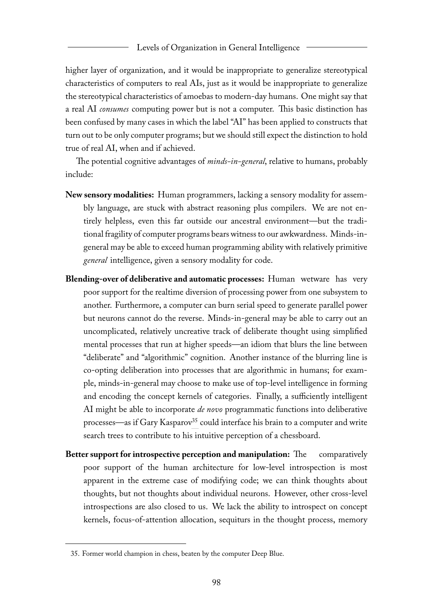higher layer of organization, and it would be inappropriate to generalize stereotypical characteristics of computers to real AIs, just as it would be inappropriate to generalize the stereotypical characteristics of amoebas to modern-day humans. One might say that a real AI *consumes* computing power but is not a computer. This basic distinction has been confused by many cases in which the label "AI" has been applied to constructs that turn out to be only computer programs; but we should still expect the distinction to hold true of real AI, when and if achieved.

The potential cognitive advantages of *minds-in-general*, relative to humans, probably include:

- **New sensory modalities:** Human programmers, lacking a sensory modality for assembly language, are stuck with abstract reasoning plus compilers. We are not entirely helpless, even this far outside our ancestral environment—but the traditional fragility of computer programs bears witness to our awkwardness. Minds-ingeneral may be able to exceed human programming ability with relatively primitive *general* intelligence, given a sensory modality for code.
- **Blending-over of deliberative and automatic processes:** Human wetware has very poor support for the realtime diversion of processing power from one subsystem to another. Furthermore, a computer can burn serial speed to generate parallel power but neurons cannot do the reverse. Minds-in-general may be able to carry out an uncomplicated, relatively uncreative track of deliberate thought using simplified mental processes that run at higher speeds—an idiom that blurs the line between "deliberate" and "algorithmic" cognition. Another instance of the blurring line is co-opting deliberation into processes that are algorithmic in humans; for example, minds-in-general may choose to make use of top-level intelligence in forming and encoding the concept kernels of categories. Finally, a sufficiently intelligent AI might be able to incorporate *de novo* programmatic functions into deliberative processes—as if Gary Kasparov<sup>[35](#page-98-0)</sup> could interface his brain to a computer and write search trees to contribute to his intuitive perception of a chessboard.
- **Better support for introspective perception and manipulation:** The comparatively poor support of the human architecture for low-level introspection is most apparent in the extreme case of modifying code; we can think thoughts about thoughts, but not thoughts about individual neurons. However, other cross-level introspections are also closed to us. We lack the ability to introspect on concept kernels, focus-of-attention allocation, sequiturs in the thought process, memory

<span id="page-98-0"></span><sup>35.</sup> Former world champion in chess, beaten by the computer Deep Blue.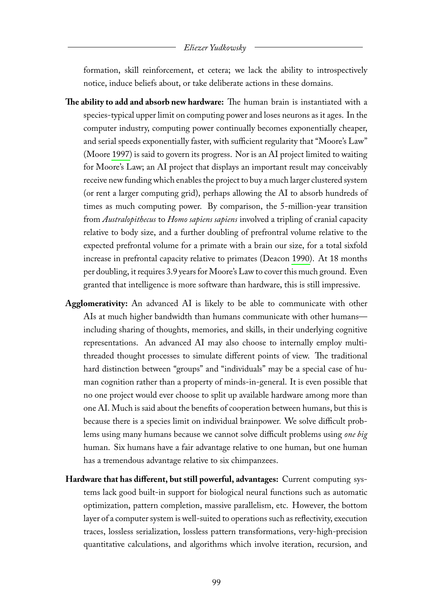#### *Eliezer Yudkowsky*

formation, skill reinforcement, et cetera; we lack the ability to introspectively notice, induce beliefs about, or take deliberate actions in these domains.

- **The ability to add and absorb new hardware:** The human brain is instantiated with a species-typical upper limit on computing power and loses neurons as it ages. In the computer industry, computing power continually becomes exponentially cheaper, and serial speeds exponentially faster, with sufficient regularity that "Moore's Law" (Moore [1997\)](#page-119-4) is said to govern its progress. Nor is an AI project limited to waiting for Moore's Law; an AI project that displays an important result may conceivably receive new funding which enables the project to buy a much larger clustered system (or rent a larger computing grid), perhaps allowing the AI to absorb hundreds of times as much computing power. By comparison, the 5-million-year transition from *Australopithecus* to *Homo sapiens sapiens* involved a tripling of cranial capacity relative to body size, and a further doubling of prefrontral volume relative to the expected prefrontal volume for a primate with a brain our size, for a total sixfold increase in prefrontal capacity relative to primates (Deacon [1990\)](#page-115-2). At 18 months per doubling, it requires 3.9 years for Moore's Law to cover this much ground. Even granted that intelligence is more software than hardware, this is still impressive.
- **Agglomerativity:** An advanced AI is likely to be able to communicate with other AIs at much higher bandwidth than humans communicate with other humans including sharing of thoughts, memories, and skills, in their underlying cognitive representations. An advanced AI may also choose to internally employ multithreaded thought processes to simulate different points of view. The traditional hard distinction between "groups" and "individuals" may be a special case of human cognition rather than a property of minds-in-general. It is even possible that no one project would ever choose to split up available hardware among more than one AI. Much is said about the benefits of cooperation between humans, but this is because there is a species limit on individual brainpower. We solve difficult problems using many humans because we cannot solve difficult problems using *one big* human. Six humans have a fair advantage relative to one human, but one human has a tremendous advantage relative to six chimpanzees.
- **Hardware that has different, but still powerful, advantages:** Current computing systems lack good built-in support for biological neural functions such as automatic optimization, pattern completion, massive parallelism, etc. However, the bottom layer of a computer system is well-suited to operations such as reflectivity, execution traces, lossless serialization, lossless pattern transformations, very-high-precision quantitative calculations, and algorithms which involve iteration, recursion, and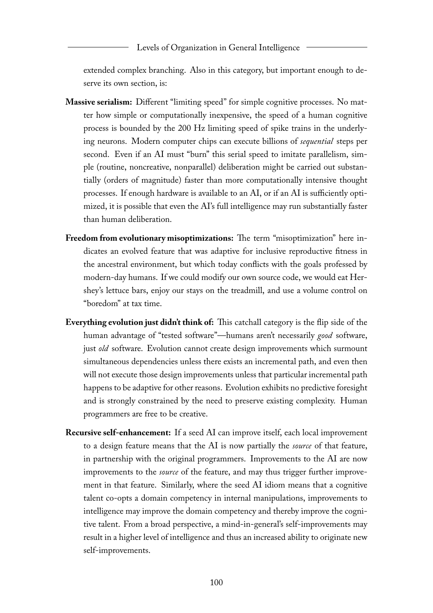## Levels of Organization in General Intelligence

extended complex branching. Also in this category, but important enough to deserve its own section, is:

- **Massive serialism:** Different "limiting speed" for simple cognitive processes. No matter how simple or computationally inexpensive, the speed of a human cognitive process is bounded by the 200 Hz limiting speed of spike trains in the underlying neurons. Modern computer chips can execute billions of *sequential* steps per second. Even if an AI must "burn" this serial speed to imitate parallelism, simple (routine, noncreative, nonparallel) deliberation might be carried out substantially (orders of magnitude) faster than more computationally intensive thought processes. If enough hardware is available to an AI, or if an AI is sufficiently optimized, it is possible that even the AI's full intelligence may run substantially faster than human deliberation.
- **Freedom from evolutionary misoptimizations:** The term "misoptimization" here indicates an evolved feature that was adaptive for inclusive reproductive fitness in the ancestral environment, but which today conflicts with the goals professed by modern-day humans. If we could modify our own source code, we would eat Hershey's lettuce bars, enjoy our stays on the treadmill, and use a volume control on "boredom" at tax time.
- **Everything evolution just didn't think of:** This catchall category is the flip side of the human advantage of "tested software"—humans aren't necessarily *good* software, just *old* software. Evolution cannot create design improvements which surmount simultaneous dependencies unless there exists an incremental path, and even then will not execute those design improvements unless that particular incremental path happens to be adaptive for other reasons. Evolution exhibits no predictive foresight and is strongly constrained by the need to preserve existing complexity. Human programmers are free to be creative.
- **Recursive self-enhancement:** If a seed AI can improve itself, each local improvement to a design feature means that the AI is now partially the *source* of that feature, in partnership with the original programmers. Improvements to the AI are now improvements to the *source* of the feature, and may thus trigger further improvement in that feature. Similarly, where the seed AI idiom means that a cognitive talent co-opts a domain competency in internal manipulations, improvements to intelligence may improve the domain competency and thereby improve the cognitive talent. From a broad perspective, a mind-in-general's self-improvements may result in a higher level of intelligence and thus an increased ability to originate new self-improvements.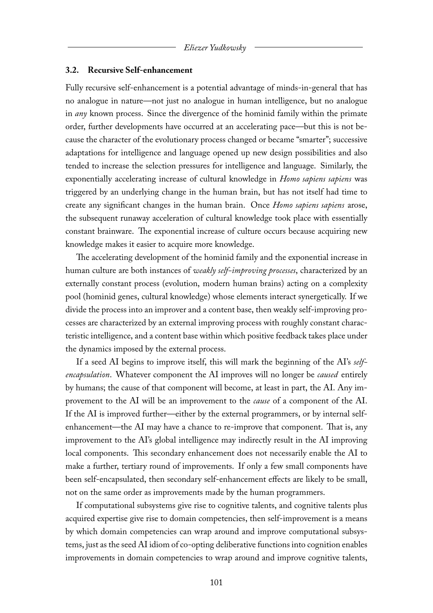#### **3.2. Recursive Self-enhancement**

Fully recursive self-enhancement is a potential advantage of minds-in-general that has no analogue in nature—not just no analogue in human intelligence, but no analogue in *any* known process. Since the divergence of the hominid family within the primate order, further developments have occurred at an accelerating pace—but this is not because the character of the evolutionary process changed or became "smarter"; successive adaptations for intelligence and language opened up new design possibilities and also tended to increase the selection pressures for intelligence and language. Similarly, the exponentially accelerating increase of cultural knowledge in *Homo sapiens sapiens* was triggered by an underlying change in the human brain, but has not itself had time to create any significant changes in the human brain. Once *Homo sapiens sapiens* arose, the subsequent runaway acceleration of cultural knowledge took place with essentially constant brainware. The exponential increase of culture occurs because acquiring new knowledge makes it easier to acquire more knowledge.

The accelerating development of the hominid family and the exponential increase in human culture are both instances of *weakly self-improving processes*, characterized by an externally constant process (evolution, modern human brains) acting on a complexity pool (hominid genes, cultural knowledge) whose elements interact synergetically. If we divide the process into an improver and a content base, then weakly self-improving processes are characterized by an external improving process with roughly constant characteristic intelligence, and a content base within which positive feedback takes place under the dynamics imposed by the external process.

If a seed AI begins to improve itself, this will mark the beginning of the AI's *selfencapsulation*. Whatever component the AI improves will no longer be *caused* entirely by humans; the cause of that component will become, at least in part, the AI. Any improvement to the AI will be an improvement to the *cause* of a component of the AI. If the AI is improved further—either by the external programmers, or by internal selfenhancement—the AI may have a chance to re-improve that component. That is, any improvement to the AI's global intelligence may indirectly result in the AI improving local components. This secondary enhancement does not necessarily enable the AI to make a further, tertiary round of improvements. If only a few small components have been self-encapsulated, then secondary self-enhancement effects are likely to be small, not on the same order as improvements made by the human programmers.

If computational subsystems give rise to cognitive talents, and cognitive talents plus acquired expertise give rise to domain competencies, then self-improvement is a means by which domain competencies can wrap around and improve computational subsystems, just as the seed AI idiom of co-opting deliberative functions into cognition enables improvements in domain competencies to wrap around and improve cognitive talents,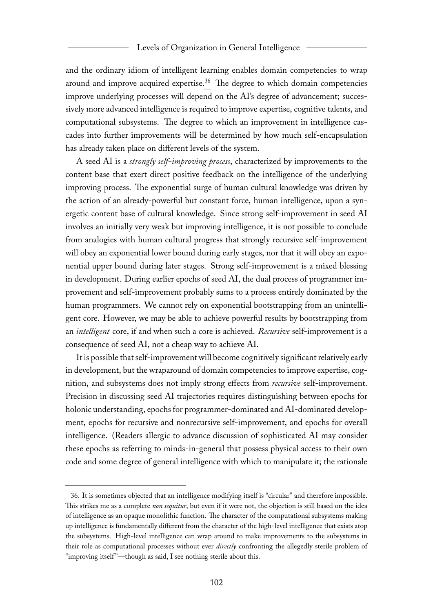and the ordinary idiom of intelligent learning enables domain competencies to wrap around and improve acquired expertise.<sup>[36](#page-102-0)</sup> The degree to which domain competencies improve underlying processes will depend on the AI's degree of advancement; successively more advanced intelligence is required to improve expertise, cognitive talents, and computational subsystems. The degree to which an improvement in intelligence cascades into further improvements will be determined by how much self-encapsulation has already taken place on different levels of the system.

A seed AI is a *strongly self-improving process*, characterized by improvements to the content base that exert direct positive feedback on the intelligence of the underlying improving process. The exponential surge of human cultural knowledge was driven by the action of an already-powerful but constant force, human intelligence, upon a synergetic content base of cultural knowledge. Since strong self-improvement in seed AI involves an initially very weak but improving intelligence, it is not possible to conclude from analogies with human cultural progress that strongly recursive self-improvement will obey an exponential lower bound during early stages, nor that it will obey an exponential upper bound during later stages. Strong self-improvement is a mixed blessing in development. During earlier epochs of seed AI, the dual process of programmer improvement and self-improvement probably sums to a process entirely dominated by the human programmers. We cannot rely on exponential bootstrapping from an unintelligent core. However, we may be able to achieve powerful results by bootstrapping from an *intelligent* core, if and when such a core is achieved. *Recursive* self-improvement is a consequence of seed AI, not a cheap way to achieve AI.

It is possible that self-improvement will become cognitively significant relatively early in development, but the wraparound of domain competencies to improve expertise, cognition, and subsystems does not imply strong effects from *recursive* self-improvement. Precision in discussing seed AI trajectories requires distinguishing between epochs for holonic understanding, epochs for programmer-dominated and AI-dominated development, epochs for recursive and nonrecursive self-improvement, and epochs for overall intelligence. (Readers allergic to advance discussion of sophisticated AI may consider these epochs as referring to minds-in-general that possess physical access to their own code and some degree of general intelligence with which to manipulate it; the rationale

<span id="page-102-0"></span><sup>36.</sup> It is sometimes objected that an intelligence modifying itself is "circular" and therefore impossible. This strikes me as a complete *non sequitur*, but even if it were not, the objection is still based on the idea of intelligence as an opaque monolithic function. The character of the computational subsystems making up intelligence is fundamentally different from the character of the high-level intelligence that exists atop the subsystems. High-level intelligence can wrap around to make improvements to the subsystems in their role as computational processes without ever *directly* confronting the allegedly sterile problem of "improving itself"—though as said, I see nothing sterile about this.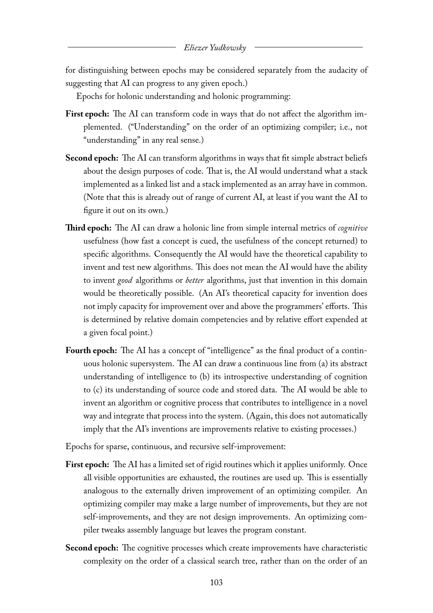for distinguishing between epochs may be considered separately from the audacity of suggesting that AI can progress to any given epoch.)

Epochs for holonic understanding and holonic programming:

- First epoch: The AI can transform code in ways that do not affect the algorithm implemented. ("Understanding" on the order of an optimizing compiler; i.e., not "understanding" in any real sense.)
- **Second epoch:** The AI can transform algorithms in ways that fit simple abstract beliefs about the design purposes of code. That is, the AI would understand what a stack implemented as a linked list and a stack implemented as an array have in common. (Note that this is already out of range of current AI, at least if you want the AI to figure it out on its own.)
- **Third epoch:** The AI can draw a holonic line from simple internal metrics of *cognitive* usefulness (how fast a concept is cued, the usefulness of the concept returned) to specific algorithms. Consequently the AI would have the theoretical capability to invent and test new algorithms. This does not mean the AI would have the ability to invent *good* algorithms or *better* algorithms, just that invention in this domain would be theoretically possible. (An AI's theoretical capacity for invention does not imply capacity for improvement over and above the programmers' efforts. This is determined by relative domain competencies and by relative effort expended at a given focal point.)
- Fourth epoch: The AI has a concept of "intelligence" as the final product of a continuous holonic supersystem. The AI can draw a continuous line from (a) its abstract understanding of intelligence to (b) its introspective understanding of cognition to (c) its understanding of source code and stored data. The AI would be able to invent an algorithm or cognitive process that contributes to intelligence in a novel way and integrate that process into the system. (Again, this does not automatically imply that the AI's inventions are improvements relative to existing processes.)

Epochs for sparse, continuous, and recursive self-improvement:

- First epoch: The AI has a limited set of rigid routines which it applies uniformly. Once all visible opportunities are exhausted, the routines are used up. This is essentially analogous to the externally driven improvement of an optimizing compiler. An optimizing compiler may make a large number of improvements, but they are not self-improvements, and they are not design improvements. An optimizing compiler tweaks assembly language but leaves the program constant.
- **Second epoch:** The cognitive processes which create improvements have characteristic complexity on the order of a classical search tree, rather than on the order of an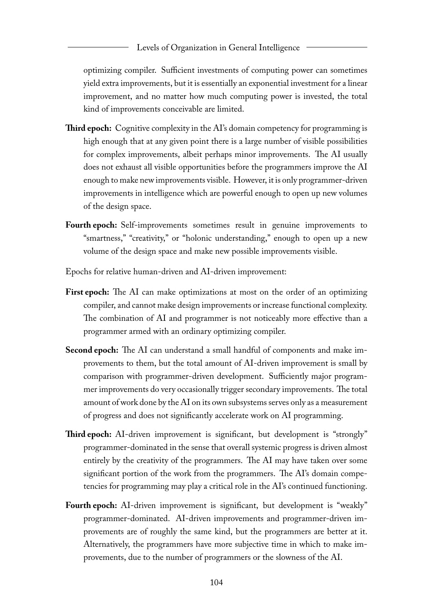## Levels of Organization in General Intelligence

optimizing compiler. Sufficient investments of computing power can sometimes yield extra improvements, but it is essentially an exponential investment for a linear improvement, and no matter how much computing power is invested, the total kind of improvements conceivable are limited.

- **Third epoch:** Cognitive complexity in the AI's domain competency for programming is high enough that at any given point there is a large number of visible possibilities for complex improvements, albeit perhaps minor improvements. The AI usually does not exhaust all visible opportunities before the programmers improve the AI enough to make new improvements visible. However, it is only programmer-driven improvements in intelligence which are powerful enough to open up new volumes of the design space.
- **Fourth epoch:** Self-improvements sometimes result in genuine improvements to "smartness," "creativity," or "holonic understanding," enough to open up a new volume of the design space and make new possible improvements visible.
- Epochs for relative human-driven and AI-driven improvement:
- **First epoch:** The AI can make optimizations at most on the order of an optimizing compiler, and cannot make design improvements or increase functional complexity. The combination of AI and programmer is not noticeably more effective than a programmer armed with an ordinary optimizing compiler.
- **Second epoch:** The AI can understand a small handful of components and make improvements to them, but the total amount of AI-driven improvement is small by comparison with programmer-driven development. Sufficiently major programmer improvements do very occasionally trigger secondary improvements. The total amount of work done by the AI on its own subsystems serves only as a measurement of progress and does not significantly accelerate work on AI programming.
- **Third epoch:** AI-driven improvement is significant, but development is "strongly" programmer-dominated in the sense that overall systemic progress is driven almost entirely by the creativity of the programmers. The AI may have taken over some significant portion of the work from the programmers. The AI's domain competencies for programming may play a critical role in the AI's continued functioning.
- **Fourth epoch:** AI-driven improvement is significant, but development is "weakly" programmer-dominated. AI-driven improvements and programmer-driven improvements are of roughly the same kind, but the programmers are better at it. Alternatively, the programmers have more subjective time in which to make improvements, due to the number of programmers or the slowness of the AI.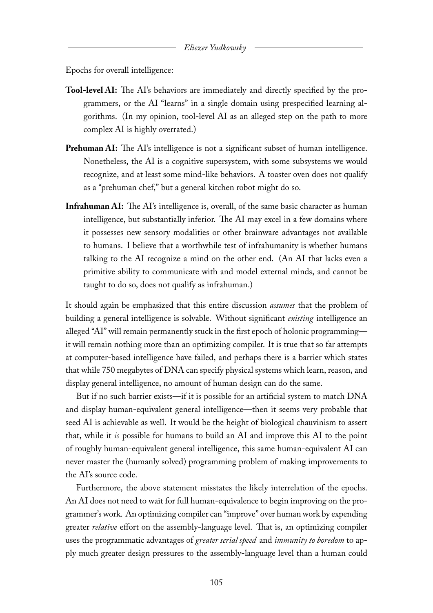Epochs for overall intelligence:

- **Tool-level AI:** The AI's behaviors are immediately and directly specified by the programmers, or the AI "learns" in a single domain using prespecified learning algorithms. (In my opinion, tool-level AI as an alleged step on the path to more complex AI is highly overrated.)
- **Prehuman AI:** The AI's intelligence is not a significant subset of human intelligence. Nonetheless, the AI is a cognitive supersystem, with some subsystems we would recognize, and at least some mind-like behaviors. A toaster oven does not qualify as a "prehuman chef," but a general kitchen robot might do so.
- **Infrahuman AI:** The AI's intelligence is, overall, of the same basic character as human intelligence, but substantially inferior. The AI may excel in a few domains where it possesses new sensory modalities or other brainware advantages not available to humans. I believe that a worthwhile test of infrahumanity is whether humans talking to the AI recognize a mind on the other end. (An AI that lacks even a primitive ability to communicate with and model external minds, and cannot be taught to do so, does not qualify as infrahuman.)

It should again be emphasized that this entire discussion *assumes* that the problem of building a general intelligence is solvable. Without significant *existing* intelligence an alleged "AI" will remain permanently stuck in the first epoch of holonic programming it will remain nothing more than an optimizing compiler. It is true that so far attempts at computer-based intelligence have failed, and perhaps there is a barrier which states that while 750 megabytes of DNA can specify physical systems which learn, reason, and display general intelligence, no amount of human design can do the same.

But if no such barrier exists—if it is possible for an artificial system to match DNA and display human-equivalent general intelligence—then it seems very probable that seed AI is achievable as well. It would be the height of biological chauvinism to assert that, while it *is* possible for humans to build an AI and improve this AI to the point of roughly human-equivalent general intelligence, this same human-equivalent AI can never master the (humanly solved) programming problem of making improvements to the AI's source code.

Furthermore, the above statement misstates the likely interrelation of the epochs. An AI does not need to wait for full human-equivalence to begin improving on the programmer's work. An optimizing compiler can "improve" over human work by expending greater *relative* effort on the assembly-language level. That is, an optimizing compiler uses the programmatic advantages of *greater serial speed* and *immunity to boredom* to apply much greater design pressures to the assembly-language level than a human could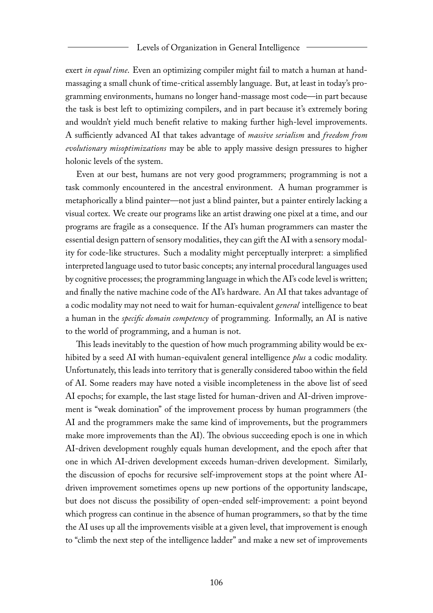exert *in equal time*. Even an optimizing compiler might fail to match a human at handmassaging a small chunk of time-critical assembly language. But, at least in today's programming environments, humans no longer hand-massage most code—in part because the task is best left to optimizing compilers, and in part because it's extremely boring and wouldn't yield much benefit relative to making further high-level improvements. A sufficiently advanced AI that takes advantage of *massive serialism* and *freedom from evolutionary misoptimizations* may be able to apply massive design pressures to higher holonic levels of the system.

Even at our best, humans are not very good programmers; programming is not a task commonly encountered in the ancestral environment. A human programmer is metaphorically a blind painter—not just a blind painter, but a painter entirely lacking a visual cortex. We create our programs like an artist drawing one pixel at a time, and our programs are fragile as a consequence. If the AI's human programmers can master the essential design pattern of sensory modalities, they can gift the AI with a sensory modality for code-like structures. Such a modality might perceptually interpret: a simplified interpreted language used to tutor basic concepts; any internal procedural languages used by cognitive processes; the programming language in which the AI's code level is written; and finally the native machine code of the AI's hardware. An AI that takes advantage of a codic modality may not need to wait for human-equivalent *general* intelligence to beat a human in the *specific domain competency* of programming. Informally, an AI is native to the world of programming, and a human is not.

This leads inevitably to the question of how much programming ability would be exhibited by a seed AI with human-equivalent general intelligence *plus* a codic modality. Unfortunately, this leads into territory that is generally considered taboo within the field of AI. Some readers may have noted a visible incompleteness in the above list of seed AI epochs; for example, the last stage listed for human-driven and AI-driven improvement is "weak domination" of the improvement process by human programmers (the AI and the programmers make the same kind of improvements, but the programmers make more improvements than the AI). The obvious succeeding epoch is one in which AI-driven development roughly equals human development, and the epoch after that one in which AI-driven development exceeds human-driven development. Similarly, the discussion of epochs for recursive self-improvement stops at the point where AIdriven improvement sometimes opens up new portions of the opportunity landscape, but does not discuss the possibility of open-ended self-improvement: a point beyond which progress can continue in the absence of human programmers, so that by the time the AI uses up all the improvements visible at a given level, that improvement is enough to "climb the next step of the intelligence ladder" and make a new set of improvements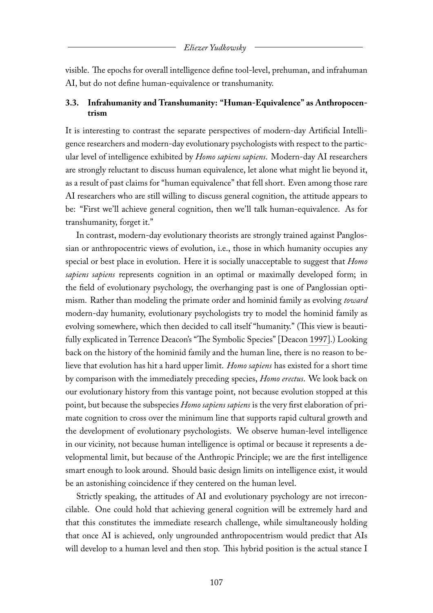visible. The epochs for overall intelligence define tool-level, prehuman, and infrahuman AI, but do not define human-equivalence or transhumanity.

# **3.3. Infrahumanity and Transhumanity: "Human-Equivalence" as Anthropocentrism**

It is interesting to contrast the separate perspectives of modern-day Artificial Intelligence researchers and modern-day evolutionary psychologists with respect to the particular level of intelligence exhibited by *Homo sapiens sapiens*. Modern-day AI researchers are strongly reluctant to discuss human equivalence, let alone what might lie beyond it, as a result of past claims for "human equivalence" that fell short. Even among those rare AI researchers who are still willing to discuss general cognition, the attitude appears to be: "First we'll achieve general cognition, then we'll talk human-equivalence. As for transhumanity, forget it."

In contrast, modern-day evolutionary theorists are strongly trained against Panglossian or anthropocentric views of evolution, i.e., those in which humanity occupies any special or best place in evolution. Here it is socially unacceptable to suggest that *Homo sapiens sapiens* represents cognition in an optimal or maximally developed form; in the field of evolutionary psychology, the overhanging past is one of Panglossian optimism. Rather than modeling the primate order and hominid family as evolving *toward* modern-day humanity, evolutionary psychologists try to model the hominid family as evolving somewhere, which then decided to call itself "humanity." (This view is beautifully explicated in Terrence Deacon's "The Symbolic Species" [Deacon [1997\]](#page-116-0).) Looking back on the history of the hominid family and the human line, there is no reason to believe that evolution has hit a hard upper limit. *Homo sapiens* has existed for a short time by comparison with the immediately preceding species, *Homo erectus*. We look back on our evolutionary history from this vantage point, not because evolution stopped at this point, but because the subspecies *Homo sapiens sapiens* is the very first elaboration of primate cognition to cross over the minimum line that supports rapid cultural growth and the development of evolutionary psychologists. We observe human-level intelligence in our vicinity, not because human intelligence is optimal or because it represents a developmental limit, but because of the Anthropic Principle; we are the first intelligence smart enough to look around. Should basic design limits on intelligence exist, it would be an astonishing coincidence if they centered on the human level.

Strictly speaking, the attitudes of AI and evolutionary psychology are not irreconcilable. One could hold that achieving general cognition will be extremely hard and that this constitutes the immediate research challenge, while simultaneously holding that once AI is achieved, only ungrounded anthropocentrism would predict that AIs will develop to a human level and then stop. This hybrid position is the actual stance I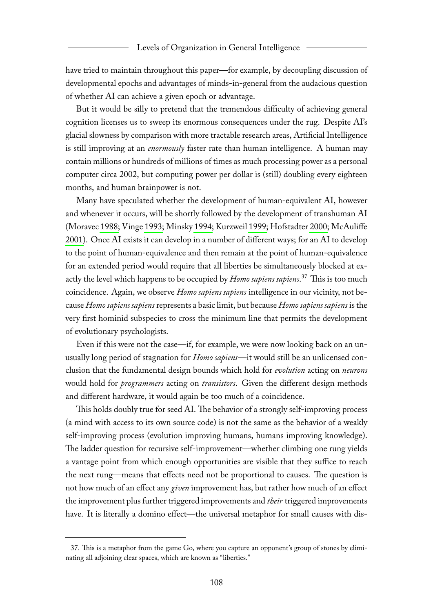have tried to maintain throughout this paper—for example, by decoupling discussion of developmental epochs and advantages of minds-in-general from the audacious question of whether AI can achieve a given epoch or advantage.

But it would be silly to pretend that the tremendous difficulty of achieving general cognition licenses us to sweep its enormous consequences under the rug. Despite AI's glacial slowness by comparison with more tractable research areas, Artificial Intelligence is still improving at an *enormously* faster rate than human intelligence. A human may contain millions or hundreds of millions of times as much processing power as a personal computer circa 2002, but computing power per dollar is (still) doubling every eighteen months, and human brainpower is not.

Many have speculated whether the development of human-equivalent AI, however and whenever it occurs, will be shortly followed by the development of transhuman AI (Moravec [1988;](#page-119-0) Vinge [1993;](#page-120-0) Minsky [1994;](#page-118-0) Kurzweil [1999;](#page-118-1) Hofstadter [2000;](#page-117-0) McAuliffe [2001\)](#page-118-2). Once AI exists it can develop in a number of different ways; for an AI to develop to the point of human-equivalence and then remain at the point of human-equivalence for an extended period would require that all liberties be simultaneously blocked at exactly the level which happens to be occupied by *Homo sapiens sapiens*. [37](#page-108-0) This is too much coincidence. Again, we observe *Homo sapiens sapiens* intelligence in our vicinity, not because *Homo sapiens sapiens* represents a basic limit, but because *Homo sapiens sapiens* is the very first hominid subspecies to cross the minimum line that permits the development of evolutionary psychologists.

Even if this were not the case—if, for example, we were now looking back on an unusually long period of stagnation for *Homo sapiens*—it would still be an unlicensed conclusion that the fundamental design bounds which hold for *evolution* acting on *neurons* would hold for *programmers* acting on *transistors*. Given the different design methods and different hardware, it would again be too much of a coincidence.

This holds doubly true for seed AI. The behavior of a strongly self-improving process (a mind with access to its own source code) is not the same as the behavior of a weakly self-improving process (evolution improving humans, humans improving knowledge). The ladder question for recursive self-improvement—whether climbing one rung yields a vantage point from which enough opportunities are visible that they suffice to reach the next rung—means that effects need not be proportional to causes. The question is not how much of an effect any *given* improvement has, but rather how much of an effect the improvement plus further triggered improvements and *their* triggered improvements have. It is literally a domino effect—the universal metaphor for small causes with dis-

<span id="page-108-0"></span><sup>37.</sup> This is a metaphor from the game Go, where you capture an opponent's group of stones by eliminating all adjoining clear spaces, which are known as "liberties."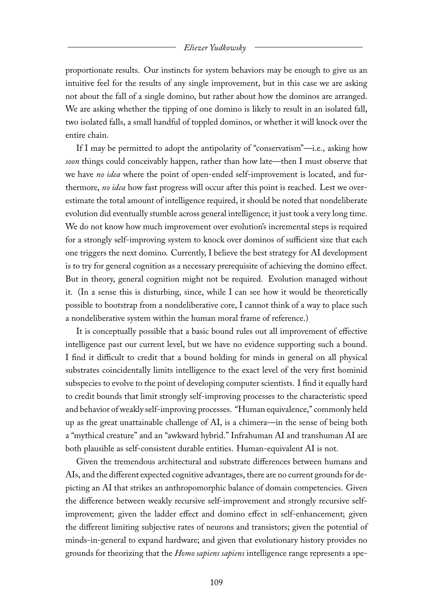#### *Eliezer Yudkowsky*

proportionate results. Our instincts for system behaviors may be enough to give us an intuitive feel for the results of any single improvement, but in this case we are asking not about the fall of a single domino, but rather about how the dominos are arranged. We are asking whether the tipping of one domino is likely to result in an isolated fall, two isolated falls, a small handful of toppled dominos, or whether it will knock over the entire chain.

If I may be permitted to adopt the antipolarity of "conservatism"—i.e., asking how *soon* things could conceivably happen, rather than how late—then I must observe that we have *no idea* where the point of open-ended self-improvement is located, and furthermore, *no idea* how fast progress will occur after this point is reached. Lest we overestimate the total amount of intelligence required, it should be noted that nondeliberate evolution did eventually stumble across general intelligence; it just took a very long time. We do not know how much improvement over evolution's incremental steps is required for a strongly self-improving system to knock over dominos of sufficient size that each one triggers the next domino. Currently, I believe the best strategy for AI development is to try for general cognition as a necessary prerequisite of achieving the domino effect. But in theory, general cognition might not be required. Evolution managed without it. (In a sense this is disturbing, since, while I can see how it would be theoretically possible to bootstrap from a nondeliberative core, I cannot think of a way to place such a nondeliberative system within the human moral frame of reference.)

It is conceptually possible that a basic bound rules out all improvement of effective intelligence past our current level, but we have no evidence supporting such a bound. I find it difficult to credit that a bound holding for minds in general on all physical substrates coincidentally limits intelligence to the exact level of the very first hominid subspecies to evolve to the point of developing computer scientists. I find it equally hard to credit bounds that limit strongly self-improving processes to the characteristic speed and behavior of weakly self-improving processes. "Human equivalence," commonly held up as the great unattainable challenge of AI, is a chimera—in the sense of being both a "mythical creature" and an "awkward hybrid." Infrahuman AI and transhuman AI are both plausible as self-consistent durable entities. Human-equivalent AI is not.

Given the tremendous architectural and substrate differences between humans and AIs, and the different expected cognitive advantages, there are no current grounds for depicting an AI that strikes an anthropomorphic balance of domain competencies. Given the difference between weakly recursive self-improvement and strongly recursive selfimprovement; given the ladder effect and domino effect in self-enhancement; given the different limiting subjective rates of neurons and transistors; given the potential of minds-in-general to expand hardware; and given that evolutionary history provides no grounds for theorizing that the *Homo sapiens sapiens* intelligence range represents a spe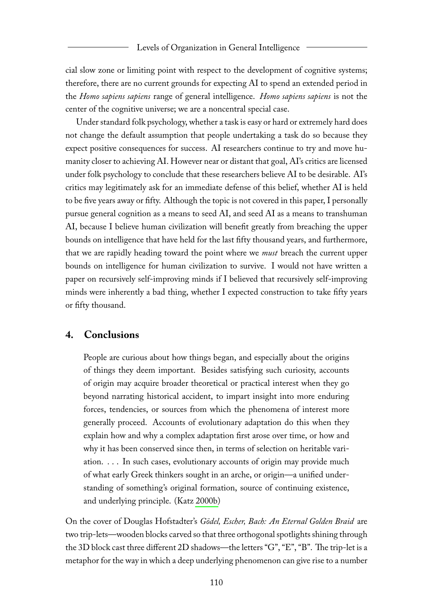cial slow zone or limiting point with respect to the development of cognitive systems; therefore, there are no current grounds for expecting AI to spend an extended period in the *Homo sapiens sapiens* range of general intelligence. *Homo sapiens sapiens* is not the center of the cognitive universe; we are a noncentral special case.

Under standard folk psychology, whether a task is easy or hard or extremely hard does not change the default assumption that people undertaking a task do so because they expect positive consequences for success. AI researchers continue to try and move humanity closer to achieving AI. However near or distant that goal, AI's critics are licensed under folk psychology to conclude that these researchers believe AI to be desirable. AI's critics may legitimately ask for an immediate defense of this belief, whether AI is held to be five years away or fifty. Although the topic is not covered in this paper, I personally pursue general cognition as a means to seed AI, and seed AI as a means to transhuman AI, because I believe human civilization will benefit greatly from breaching the upper bounds on intelligence that have held for the last fifty thousand years, and furthermore, that we are rapidly heading toward the point where we *must* breach the current upper bounds on intelligence for human civilization to survive. I would not have written a paper on recursively self-improving minds if I believed that recursively self-improving minds were inherently a bad thing, whether I expected construction to take fifty years or fifty thousand.

## **4. Conclusions**

People are curious about how things began, and especially about the origins of things they deem important. Besides satisfying such curiosity, accounts of origin may acquire broader theoretical or practical interest when they go beyond narrating historical accident, to impart insight into more enduring forces, tendencies, or sources from which the phenomena of interest more generally proceed. Accounts of evolutionary adaptation do this when they explain how and why a complex adaptation first arose over time, or how and why it has been conserved since then, in terms of selection on heritable variation. . . . In such cases, evolutionary accounts of origin may provide much of what early Greek thinkers sought in an arche, or origin—a unified understanding of something's original formation, source of continuing existence, and underlying principle. (Katz [2000b\)](#page-117-1)

On the cover of Douglas Hofstadter's *Gödel, Escher, Bach: An Eternal Golden Braid* are two trip-lets—wooden blocks carved so that three orthogonal spotlights shining through the 3D block cast three different 2D shadows—the letters "G", "E", "B". The trip-let is a metaphor for the way in which a deep underlying phenomenon can give rise to a number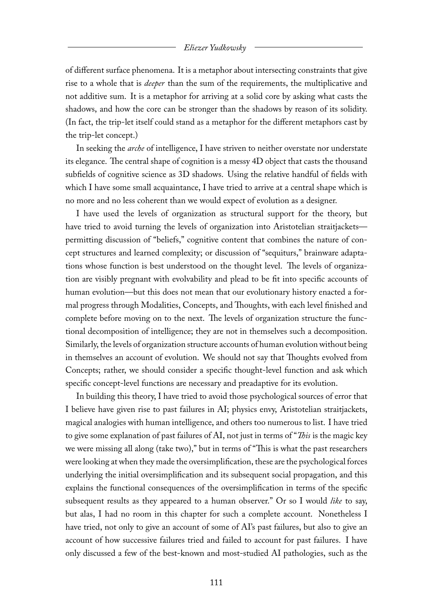#### *Eliezer Yudkowsky*

of different surface phenomena. It is a metaphor about intersecting constraints that give rise to a whole that is *deeper* than the sum of the requirements, the multiplicative and not additive sum. It is a metaphor for arriving at a solid core by asking what casts the shadows, and how the core can be stronger than the shadows by reason of its solidity. (In fact, the trip-let itself could stand as a metaphor for the different metaphors cast by the trip-let concept.)

In seeking the *arche* of intelligence, I have striven to neither overstate nor understate its elegance. The central shape of cognition is a messy 4D object that casts the thousand subfields of cognitive science as 3D shadows. Using the relative handful of fields with which I have some small acquaintance, I have tried to arrive at a central shape which is no more and no less coherent than we would expect of evolution as a designer.

I have used the levels of organization as structural support for the theory, but have tried to avoid turning the levels of organization into Aristotelian straitjackets permitting discussion of "beliefs," cognitive content that combines the nature of concept structures and learned complexity; or discussion of "sequiturs," brainware adaptations whose function is best understood on the thought level. The levels of organization are visibly pregnant with evolvability and plead to be fit into specific accounts of human evolution—but this does not mean that our evolutionary history enacted a formal progress through Modalities, Concepts, and Thoughts, with each level finished and complete before moving on to the next. The levels of organization structure the functional decomposition of intelligence; they are not in themselves such a decomposition. Similarly, the levels of organization structure accounts of human evolution without being in themselves an account of evolution. We should not say that Thoughts evolved from Concepts; rather, we should consider a specific thought-level function and ask which specific concept-level functions are necessary and preadaptive for its evolution.

In building this theory, I have tried to avoid those psychological sources of error that I believe have given rise to past failures in AI; physics envy, Aristotelian straitjackets, magical analogies with human intelligence, and others too numerous to list. I have tried to give some explanation of past failures of AI, not just in terms of "*This* is the magic key we were missing all along (take two)," but in terms of "This is what the past researchers were looking at when they made the oversimplification, these are the psychological forces underlying the initial oversimplification and its subsequent social propagation, and this explains the functional consequences of the oversimplification in terms of the specific subsequent results as they appeared to a human observer." Or so I would *like* to say, but alas, I had no room in this chapter for such a complete account. Nonetheless I have tried, not only to give an account of some of AI's past failures, but also to give an account of how successive failures tried and failed to account for past failures. I have only discussed a few of the best-known and most-studied AI pathologies, such as the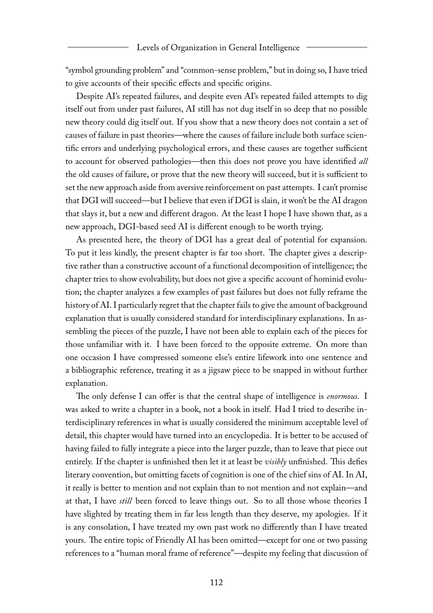"symbol grounding problem" and "common-sense problem," but in doing so, I have tried to give accounts of their specific effects and specific origins.

Despite AI's repeated failures, and despite even AI's repeated failed attempts to dig itself out from under past failures, AI still has not dug itself in so deep that no possible new theory could dig itself out. If you show that a new theory does not contain a set of causes of failure in past theories—where the causes of failure include both surface scientific errors and underlying psychological errors, and these causes are together sufficient to account for observed pathologies—then this does not prove you have identified *all* the old causes of failure, or prove that the new theory will succeed, but it is sufficient to set the new approach aside from aversive reinforcement on past attempts. I can't promise that DGI will succeed—but I believe that even if DGI is slain, it won't be the AI dragon that slays it, but a new and different dragon. At the least I hope I have shown that, as a new approach, DGI-based seed AI is different enough to be worth trying.

As presented here, the theory of DGI has a great deal of potential for expansion. To put it less kindly, the present chapter is far too short. The chapter gives a descriptive rather than a constructive account of a functional decomposition of intelligence; the chapter tries to show evolvability, but does not give a specific account of hominid evolution; the chapter analyzes a few examples of past failures but does not fully reframe the history of AI. I particularly regret that the chapter fails to give the amount of background explanation that is usually considered standard for interdisciplinary explanations. In assembling the pieces of the puzzle, I have not been able to explain each of the pieces for those unfamiliar with it. I have been forced to the opposite extreme. On more than one occasion I have compressed someone else's entire lifework into one sentence and a bibliographic reference, treating it as a jigsaw piece to be snapped in without further explanation.

The only defense I can offer is that the central shape of intelligence is *enormous*. I was asked to write a chapter in a book, not a book in itself. Had I tried to describe interdisciplinary references in what is usually considered the minimum acceptable level of detail, this chapter would have turned into an encyclopedia. It is better to be accused of having failed to fully integrate a piece into the larger puzzle, than to leave that piece out entirely. If the chapter is unfinished then let it at least be *visibly* unfinished. This defies literary convention, but omitting facets of cognition is one of the chief sins of AI. In AI, it really is better to mention and not explain than to not mention and not explain—and at that, I have *still* been forced to leave things out. So to all those whose theories I have slighted by treating them in far less length than they deserve, my apologies. If it is any consolation, I have treated my own past work no differently than I have treated yours. The entire topic of Friendly AI has been omitted—except for one or two passing references to a "human moral frame of reference"—despite my feeling that discussion of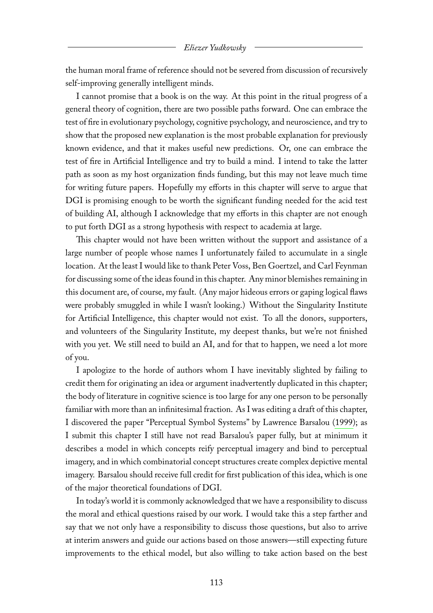the human moral frame of reference should not be severed from discussion of recursively self-improving generally intelligent minds.

I cannot promise that a book is on the way. At this point in the ritual progress of a general theory of cognition, there are two possible paths forward. One can embrace the test of fire in evolutionary psychology, cognitive psychology, and neuroscience, and try to show that the proposed new explanation is the most probable explanation for previously known evidence, and that it makes useful new predictions. Or, one can embrace the test of fire in Artificial Intelligence and try to build a mind. I intend to take the latter path as soon as my host organization finds funding, but this may not leave much time for writing future papers. Hopefully my efforts in this chapter will serve to argue that DGI is promising enough to be worth the significant funding needed for the acid test of building AI, although I acknowledge that my efforts in this chapter are not enough to put forth DGI as a strong hypothesis with respect to academia at large.

This chapter would not have been written without the support and assistance of a large number of people whose names I unfortunately failed to accumulate in a single location. At the least I would like to thank Peter Voss, Ben Goertzel, and Carl Feynman for discussing some of the ideas found in this chapter. Any minor blemishes remaining in this document are, of course, my fault. (Any major hideous errors or gaping logical flaws were probably smuggled in while I wasn't looking.) Without the Singularity Institute for Artificial Intelligence, this chapter would not exist. To all the donors, supporters, and volunteers of the Singularity Institute, my deepest thanks, but we're not finished with you yet. We still need to build an AI, and for that to happen, we need a lot more of you.

I apologize to the horde of authors whom I have inevitably slighted by failing to credit them for originating an idea or argument inadvertently duplicated in this chapter; the body of literature in cognitive science is too large for any one person to be personally familiar with more than an infinitesimal fraction. As I was editing a draft of this chapter, I discovered the paper "Perceptual Symbol Systems" by Lawrence Barsalou [\(1999\)](#page-115-0); as I submit this chapter I still have not read Barsalou's paper fully, but at minimum it describes a model in which concepts reify perceptual imagery and bind to perceptual imagery, and in which combinatorial concept structures create complex depictive mental imagery. Barsalou should receive full credit for first publication of this idea, which is one of the major theoretical foundations of DGI.

In today's world it is commonly acknowledged that we have a responsibility to discuss the moral and ethical questions raised by our work. I would take this a step farther and say that we not only have a responsibility to discuss those questions, but also to arrive at interim answers and guide our actions based on those answers—still expecting future improvements to the ethical model, but also willing to take action based on the best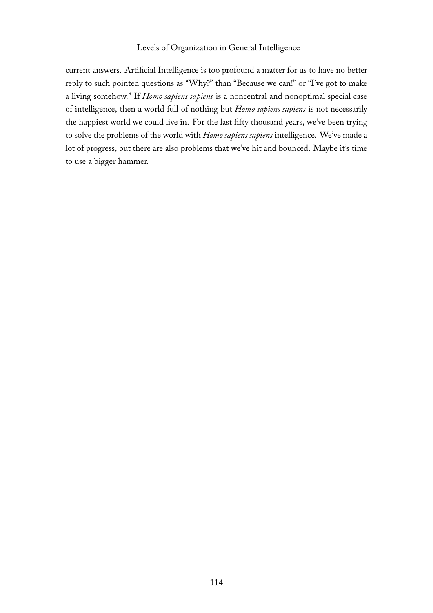### Levels of Organization in General Intelligence

current answers. Artificial Intelligence is too profound a matter for us to have no better reply to such pointed questions as "Why?" than "Because we can!" or "I've got to make a living somehow." If *Homo sapiens sapiens* is a noncentral and nonoptimal special case of intelligence, then a world full of nothing but *Homo sapiens sapiens* is not necessarily the happiest world we could live in. For the last fifty thousand years, we've been trying to solve the problems of the world with *Homo sapiens sapiens* intelligence. We've made a lot of progress, but there are also problems that we've hit and bounced. Maybe it's time to use a bigger hammer.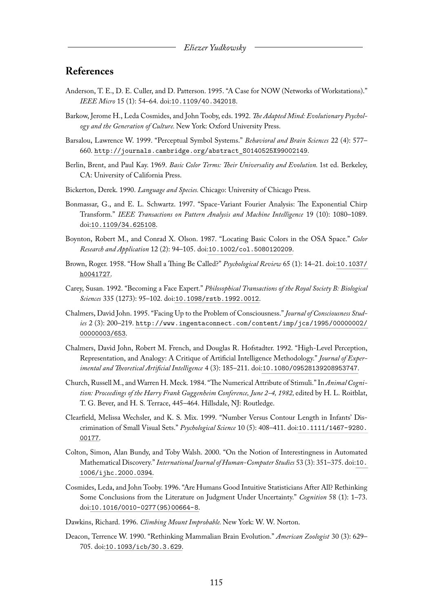# **References**

- Anderson, T. E., D. E. Culler, and D. Patterson. 1995. "A Case for NOW (Networks of Workstations)." *IEEE Micro* 15 (1): 54–64. doi:[10.1109/40.342018](http://dx.doi.org/10.1109/40.342018).
- <span id="page-115-1"></span>Barkow, Jerome H., Leda Cosmides, and John Tooby, eds. 1992. *The Adapted Mind: Evolutionary Psychology and the Generation of Culture.* New York: Oxford University Press.
- <span id="page-115-0"></span>Barsalou, Lawrence W. 1999. "Perceptual Symbol Systems." *Behavioral and Brain Sciences* 22 (4): 577– 660. [http://journals.cambridge.org/abstract\\_S0140525X99002149](http://journals.cambridge.org/abstract_S0140525X99002149).
- Berlin, Brent, and Paul Kay. 1969. *Basic Color Terms: Their Universality and Evolution.* 1st ed. Berkeley, CA: University of California Press.
- Bickerton, Derek. 1990. *Language and Species.* Chicago: University of Chicago Press.
- Bonmassar, G., and E. L. Schwartz. 1997. "Space-Variant Fourier Analysis: The Exponential Chirp Transform." *IEEE Transactions on Pattern Analysis and Machine Intelligence* 19 (10): 1080–1089. doi:[10.1109/34.625108](http://dx.doi.org/10.1109/34.625108).
- Boynton, Robert M., and Conrad X. Olson. 1987. "Locating Basic Colors in the OSA Space." *Color Research and Application* 12 (2): 94–105. doi:[10.1002/col.5080120209](http://dx.doi.org/10.1002/col.5080120209).
- Brown, Roger. 1958. "How Shall a Thing Be Called?" *Psychological Review* 65 (1): 14–21. doi:[10.1037/](http://dx.doi.org/10.1037/h0041727) [h0041727](http://dx.doi.org/10.1037/h0041727).
- Carey, Susan. 1992. "Becoming a Face Expert." *Philosophical Transactions of the Royal Society B: Biological Sciences* 335 (1273): 95–102. doi:[10.1098/rstb.1992.0012](http://dx.doi.org/10.1098/rstb.1992.0012).
- Chalmers, David John. 1995. "Facing Up to the Problem of Consciousness." *Journal of Consciousness Studies* 2 (3): 200–219. [http://www.ingentaconnect.com/content/imp/jcs/1995/00000002/](http://www.ingentaconnect.com/content/imp/jcs/1995/00000002/00000003/653) [00000003/653](http://www.ingentaconnect.com/content/imp/jcs/1995/00000002/00000003/653).
- Chalmers, David John, Robert M. French, and Douglas R. Hofstadter. 1992. "High-Level Perception, Representation, and Analogy: A Critique of Artificial Intelligence Methodology." *Journal of Experimental and Theoretical Artificial Intelligence* 4 (3): 185–211. doi:[10.1080/09528139208953747](http://dx.doi.org/10.1080/09528139208953747).
- Church, Russell M., and Warren H. Meck. 1984. "The Numerical Attribute of Stimuli." In *Animal Cognition: Proceedings of the Harry Frank Guggenheim Conference, June 2-4, 1982,* edited by H. L. Roitblat, T. G. Bever, and H. S. Terrace, 445–464. Hillsdale, NJ: Routledge.
- Clearfield, Melissa Wechsler, and K. S. Mix. 1999. "Number Versus Contour Length in Infants' Discrimination of Small Visual Sets." *Psychological Science* 10 (5): 408–411. doi:[10.1111/1467-9280.](http://dx.doi.org/10.1111/1467-9280.00177) [00177](http://dx.doi.org/10.1111/1467-9280.00177).
- Colton, Simon, Alan Bundy, and Toby Walsh. 2000. "On the Notion of Interestingness in Automated Mathematical Discovery." *International Journal of Human-Computer Studies* 53 (3): 351–375. doi:[10.](http://dx.doi.org/10.1006/ijhc.2000.0394) [1006/ijhc.2000.0394](http://dx.doi.org/10.1006/ijhc.2000.0394).
- Cosmides, Leda, and John Tooby. 1996. "Are Humans Good Intuitive Statisticians After All? Rethinking Some Conclusions from the Literature on Judgment Under Uncertainty." *Cognition* 58 (1): 1–73. doi:[10.1016/0010-0277\(95\)00664-8](http://dx.doi.org/10.1016/0010-0277(95)00664-8).
- Dawkins, Richard. 1996. *Climbing Mount Improbable.* New York: W. W. Norton.
- Deacon, Terrence W. 1990. "Rethinking Mammalian Brain Evolution." *American Zoologist* 30 (3): 629– 705. doi:[10.1093/icb/30.3.629](http://dx.doi.org/10.1093/icb/30.3.629).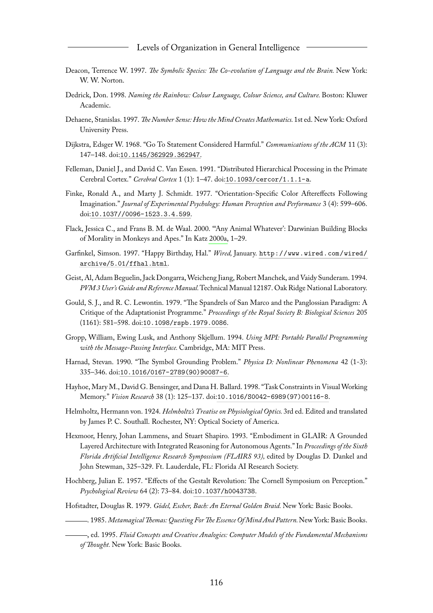- Deacon, Terrence W. 1997. *The Symbolic Species: The Co-evolution of Language and the Brain.* New York: W. W. Norton.
- Dedrick, Don. 1998. *Naming the Rainbow: Colour Language, Colour Science, and Culture.* Boston: Kluwer Academic.
- Dehaene, Stanislas. 1997. *The Number Sense: How the Mind Creates Mathematics.*1st ed. New York: Oxford University Press.
- Dijkstra, Edsger W. 1968. "Go To Statement Considered Harmful." *Communications of the ACM* 11 (3): 147–148. doi:[10.1145/362929.362947](http://dx.doi.org/10.1145/362929.362947).
- Felleman, Daniel J., and David C. Van Essen. 1991. "Distributed Hierarchical Processing in the Primate Cerebral Cortex." *Cerebral Cortex* 1 (1): 1–47. doi:[10.1093/cercor/1.1.1-a](http://dx.doi.org/10.1093/cercor/1.1.1-a).
- Finke, Ronald A., and Marty J. Schmidt. 1977. "Orientation-Specific Color Aftereffects Following Imagination." *Journal of Experimental Psychology: Human Perception and Performance* 3 (4): 599–606. doi:[10.1037//0096-1523.3.4.599](http://dx.doi.org/10.1037//0096-1523.3.4.599).
- Flack, Jessica C., and Frans B. M. de Waal. 2000. "'Any Animal Whatever': Darwinian Building Blocks of Morality in Monkeys and Apes." In Katz [2000a,](#page-117-2) 1–29.
- Garfinkel, Simson. 1997. "Happy Birthday, Hal." *Wired,* January. [http://www.wired.com/wired/](http://www.wired.com/wired/archive/5.01/ffhal.html) [archive/5.01/ffhal.html](http://www.wired.com/wired/archive/5.01/ffhal.html).
- Geist, Al, Adam Beguelin, Jack Dongarra, Weicheng Jiang, Robert Manchek, and Vaidy Sunderam. 1994. *PVM 3 User's Guide and Reference Manual.*Technical Manual 12187. Oak Ridge National Laboratory.
- Gould, S. J., and R. C. Lewontin. 1979. "The Spandrels of San Marco and the Panglossian Paradigm: A Critique of the Adaptationist Programme." *Proceedings of the Royal Society B: Biological Sciences* 205 (1161): 581–598. doi:[10.1098/rspb.1979.0086](http://dx.doi.org/10.1098/rspb.1979.0086).
- Gropp, William, Ewing Lusk, and Anthony Skjellum. 1994. *Using MPI: Portable Parallel Programming with the Message-Passing Interface.* Cambridge, MA: MIT Press.
- Harnad, Stevan. 1990. "The Symbol Grounding Problem." *Physica D: Nonlinear Phenomena* 42 (1-3): 335–346. doi:[10.1016/0167-2789\(90\)90087-6](http://dx.doi.org/10.1016/0167-2789(90)90087-6).
- Hayhoe, Mary M., David G. Bensinger, and Dana H. Ballard. 1998. "Task Constraints in Visual Working Memory." *Vision Research* 38 (1): 125–137. doi:[10.1016/S0042-6989\(97\)00116-8](http://dx.doi.org/10.1016/S0042-6989(97)00116-8).
- Helmholtz, Hermann von. 1924. *Helmholtz's Treatise on Physiological Optics.* 3rd ed. Edited and translated by James P. C. Southall. Rochester, NY: Optical Society of America.
- Hexmoor, Henry, Johan Lammens, and Stuart Shapiro. 1993. "Embodiment in GLAIR: A Grounded Layered Architecture with Integrated Reasoning for Autonomous Agents." In *Proceedings of the Sixth Florida Artificial Intelligence Research Sympossium (FLAIRS 93),* edited by Douglas D. Dankel and John Stewman, 325–329. Ft. Lauderdale, FL: Florida AI Research Society.
- Hochberg, Julian E. 1957. "Effects of the Gestalt Revolution: The Cornell Symposium on Perception." *Psychological Review* 64 (2): 73–84. doi:[10.1037/h0043738](http://dx.doi.org/10.1037/h0043738).
- Hofstadter, Douglas R. 1979. *Gödel, Escher, Bach: An Eternal Golden Braid.* New York: Basic Books.
- . 1985. *Metamagical Themas: Questing For The Essence Of Mind And Pattern.*New York: Basic Books.
	- , ed. 1995. *Fluid Concepts and Creative Analogies: Computer Models of the Fundamental Mechanisms of Thought.* New York: Basic Books.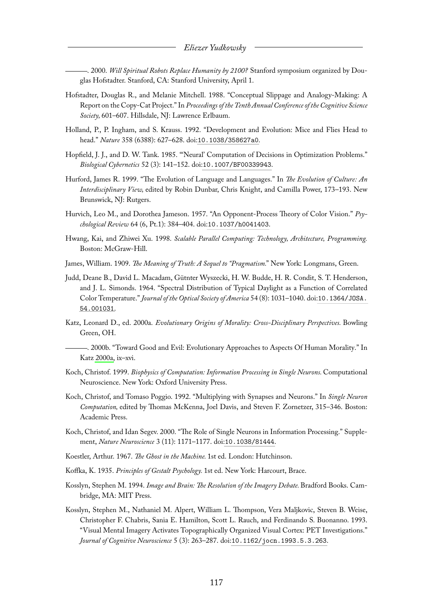<span id="page-117-0"></span>. 2000. *Will Spiritual Robots Replace Humanity by 2100?* Stanford symposium organized by Douglas Hofstadter. Stanford, CA: Stanford University, April 1.

- Hofstadter, Douglas R., and Melanie Mitchell. 1988. "Conceptual Slippage and Analogy-Making: A Report on the Copy-Cat Project." In *Proceedings of the Tenth Annual Conference of the Cognitive Science Society,* 601–607. Hillsdale, NJ: Lawrence Erlbaum.
- Holland, P., P. Ingham, and S. Krauss. 1992. "Development and Evolution: Mice and Flies Head to head." *Nature* 358 (6388): 627–628. doi:[10.1038/358627a0](http://dx.doi.org/10.1038/358627a0).
- Hopfield, J. J., and D. W. Tank. 1985. "'Neural' Computation of Decisions in Optimization Problems." *Biological Cybernetics* 52 (3): 141–152. doi:[10.1007/BF00339943](http://dx.doi.org/10.1007/BF00339943).
- Hurford, James R. 1999. "The Evolution of Language and Languages." In *The Evolution of Culture: An Interdisciplinary View,* edited by Robin Dunbar, Chris Knight, and Camilla Power, 173–193. New Brunswick, NJ: Rutgers.
- Hurvich, Leo M., and Dorothea Jameson. 1957. "An Opponent-Process Theory of Color Vision." *Psychological Review* 64 (6, Pt.1): 384–404. doi:[10.1037/h0041403](http://dx.doi.org/10.1037/h0041403).
- Hwang, Kai, and Zhiwei Xu. 1998. *Scalable Parallel Computing: Technology, Architecture, Programming.* Boston: McGraw-Hill.
- James, William. 1909. *The Meaning of Truth: A Sequel to "Pragmatism.*" New York: Longmans, Green.
- Judd, Deane B., David L. Macadam, Gütnter Wyszecki, H. W. Budde, H. R. Condit, S. T. Henderson, and J. L. Simonds. 1964. "Spectral Distribution of Typical Daylight as a Function of Correlated Color Temperature." *Journal of the Optical Society of America* 54 (8): 1031–1040. doi:[10.1364/JOSA.](http://dx.doi.org/10.1364/JOSA.54.001031) [54.001031](http://dx.doi.org/10.1364/JOSA.54.001031).
- <span id="page-117-2"></span>Katz, Leonard D., ed. 2000a. *Evolutionary Origins of Morality: Cross-Disciplinary Perspectives.* Bowling Green, OH.
- <span id="page-117-1"></span>. 2000b. "Toward Good and Evil: Evolutionary Approaches to Aspects Of Human Morality." In Katz [2000a,](#page-117-2) ix–xvi.
- Koch, Christof. 1999. *Biophysics of Computation: Information Processing in Single Neurons.* Computational Neuroscience. New York: Oxford University Press.
- Koch, Christof, and Tomaso Poggio. 1992. "Multiplying with Synapses and Neurons." In *Single Neuron Computation,* edited by Thomas McKenna, Joel Davis, and Steven F. Zornetzer, 315–346. Boston: Academic Press.
- Koch, Christof, and Idan Segev. 2000. "The Role of Single Neurons in Information Processing." Supplement, *Nature Neuroscience* 3 (11): 1171–1177. doi:[10.1038/81444](http://dx.doi.org/10.1038/81444).
- Koestler, Arthur. 1967. *The Ghost in the Machine.* 1st ed. London: Hutchinson.
- Koffka, K. 1935. *Principles of Gestalt Psychology.* 1st ed. New York: Harcourt, Brace.
- Kosslyn, Stephen M. 1994. *Image and Brain: The Resolution of the Imagery Debate.*Bradford Books. Cambridge, MA: MIT Press.
- Kosslyn, Stephen M., Nathaniel M. Alpert, William L. Thompson, Vera Maljkovic, Steven B. Weise, Christopher F. Chabris, Sania E. Hamilton, Scott L. Rauch, and Ferdinando S. Buonanno. 1993. "Visual Mental Imagery Activates Topographically Organized Visual Cortex: PET Investigations." *Journal of Cognitive Neuroscience* 5 (3): 263–287. doi:[10.1162/jocn.1993.5.3.263](http://dx.doi.org/10.1162/jocn.1993.5.3.263).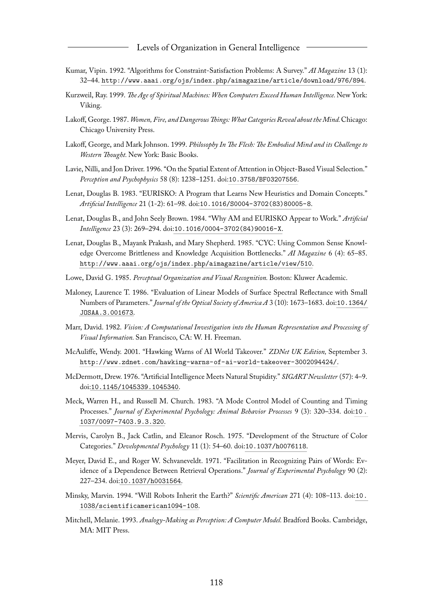- Kumar, Vipin. 1992. "Algorithms for Constraint-Satisfaction Problems: A Survey." *AI Magazine* 13 (1): 32–44. <http://www.aaai.org/ojs/index.php/aimagazine/article/download/976/894>.
- <span id="page-118-1"></span>Kurzweil, Ray. 1999. *The Age of Spiritual Machines: When Computers Exceed Human Intelligence.*New York: Viking.
- Lakoff, George. 1987. *Women, Fire, and DangerousThings: What Categories Reveal about the Mind.*Chicago: Chicago University Press.
- Lakoff, George, and Mark Johnson. 1999. *Philosophy In The Flesh: The Embodied Mind and its Challenge to Western Thought.* New York: Basic Books.
- Lavie, Nilli, and Jon Driver. 1996. "On the Spatial Extent of Attention in Object-Based Visual Selection." *Perception and Psychophysics* 58 (8): 1238–1251. doi:[10.3758/BF03207556](http://dx.doi.org/10.3758/BF03207556).
- Lenat, Douglas B. 1983. "EURISKO: A Program that Learns New Heuristics and Domain Concepts." *Artificial Intelligence* 21 (1-2): 61–98. doi:[10.1016/S0004-3702\(83\)80005-8](http://dx.doi.org/10.1016/S0004-3702(83)80005-8).
- Lenat, Douglas B., and John Seely Brown. 1984. "Why AM and EURISKO Appear to Work." *Artificial Intelligence* 23 (3): 269–294. doi:[10.1016/0004-3702\(84\)90016-X](http://dx.doi.org/10.1016/0004-3702(84)90016-X).
- Lenat, Douglas B., Mayank Prakash, and Mary Shepherd. 1985. "CYC: Using Common Sense Knowledge Overcome Brittleness and Knowledge Acquisition Bottlenecks." *AI Magazine* 6 (4): 65–85. <http://www.aaai.org/ojs/index.php/aimagazine/article/view/510>.
- Lowe, David G. 1985. *Perceptual Organization and Visual Recognition.* Boston: Kluwer Academic.
- Maloney, Laurence T. 1986. "Evaluation of Linear Models of Surface Spectral Reflectance with Small Numbers of Parameters." *Journal of the Optical Society of America A* 3 (10): 1673–1683. doi:[10.1364/](http://dx.doi.org/10.1364/JOSAA.3.001673) [JOSAA.3.001673](http://dx.doi.org/10.1364/JOSAA.3.001673).
- Marr, David. 1982. *Vision: A Computational Investigation into the Human Representation and Processing of Visual Information.* San Francisco, CA: W. H. Freeman.
- <span id="page-118-2"></span>McAuliffe, Wendy. 2001. "Hawking Warns of AI World Takeover." *ZDNet UK Edition,* September 3. <http://www.zdnet.com/hawking-warns-of-ai-world-takeover-3002094424/>.
- McDermott, Drew. 1976. "Artificial Intelligence Meets Natural Stupidity." *SIGART Newsletter* (57): 4–9. doi:[10.1145/1045339.1045340](http://dx.doi.org/10.1145/1045339.1045340).
- Meck, Warren H., and Russell M. Church. 1983. "A Mode Control Model of Counting and Timing Processes." *Journal of Experimental Psychology: Animal Behavior Processes* 9 (3): 320–334. doi:[10 .](http://dx.doi.org/10.1037/0097-7403.9.3.320) [1037/0097-7403.9.3.320](http://dx.doi.org/10.1037/0097-7403.9.3.320).
- Mervis, Carolyn B., Jack Catlin, and Eleanor Rosch. 1975. "Development of the Structure of Color Categories." *Developmental Psychology* 11 (1): 54–60. doi:[10.1037/h0076118](http://dx.doi.org/10.1037/h0076118).
- Meyer, David E., and Roger W. Schvaneveldt. 1971. "Facilitation in Recognizing Pairs of Words: Evidence of a Dependence Between Retrieval Operations." *Journal of Experimental Psychology* 90 (2): 227–234. doi:[10.1037/h0031564](http://dx.doi.org/10.1037/h0031564).
- <span id="page-118-0"></span>Minsky, Marvin. 1994. "Will Robots Inherit the Earth?" *Scientific American* 271 (4): 108–113. doi:[10.](http://dx.doi.org/10.1038/scientificamerican1094-108) [1038/scientificamerican1094-108](http://dx.doi.org/10.1038/scientificamerican1094-108).
- Mitchell, Melanie. 1993. *Analogy-Making as Perception: A Computer Model.* Bradford Books. Cambridge, MA: MIT Press.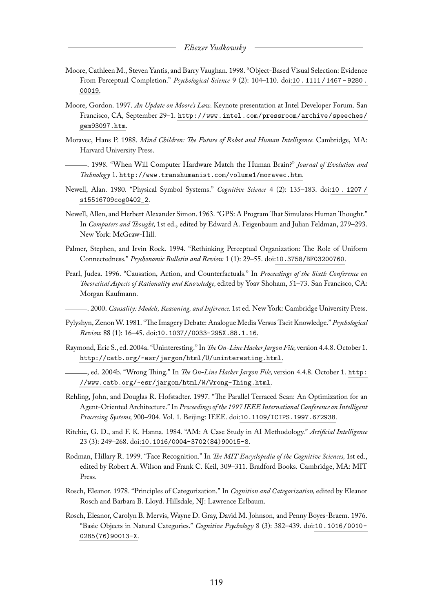- Moore, Cathleen M., Steven Yantis, and Barry Vaughan. 1998. "Object-Based Visual Selection: Evidence From Perceptual Completion." *Psychological Science* 9 (2): 104–110. doi:[10 . 1111 / 1467 - 9280 .](http://dx.doi.org/10.1111/1467-9280.00019) [00019](http://dx.doi.org/10.1111/1467-9280.00019).
- Moore, Gordon. 1997. *An Update on Moore's Law.* Keynote presentation at Intel Developer Forum. San Francisco, CA, September 29–1. [http://www.intel.com/pressroom/archive/speeches/](http://www.intel.com/pressroom/archive/speeches/gem93097.htm) [gem93097.htm](http://www.intel.com/pressroom/archive/speeches/gem93097.htm).
- <span id="page-119-0"></span>Moravec, Hans P. 1988. *Mind Children: The Future of Robot and Human Intelligence.* Cambridge, MA: Harvard University Press.
	- . 1998. "When Will Computer Hardware Match the Human Brain?" *Journal of Evolution and Technology* 1. <http://www.transhumanist.com/volume1/moravec.htm>.
- Newell, Alan. 1980. "Physical Symbol Systems." *Cognitive Science* 4 (2): 135–183. doi:[10 . 1207 /](http://dx.doi.org/10.1207/s15516709cog0402_2) [s15516709cog0402\\_2](http://dx.doi.org/10.1207/s15516709cog0402_2).
- Newell, Allen, and Herbert Alexander Simon. 1963. "GPS: A Program That Simulates Human Thought." In *Computers and Thought,* 1st ed., edited by Edward A. Feigenbaum and Julian Feldman, 279–293. New York: McGraw-Hill.
- Palmer, Stephen, and Irvin Rock. 1994. "Rethinking Perceptual Organization: The Role of Uniform Connectedness." *Psychonomic Bulletin and Review* 1 (1): 29–55. doi:[10.3758/BF03200760](http://dx.doi.org/10.3758/BF03200760).
- Pearl, Judea. 1996. "Causation, Action, and Counterfactuals." In *Proceedings of the Sixth Conference on Theoretical Aspects of Rationality and Knowledge,* edited by Yoav Shoham, 51–73. San Francisco, CA: Morgan Kaufmann.
	- . 2000. *Causality: Models, Reasoning, and Inference.* 1st ed. New York: Cambridge University Press.
- Pylyshyn, ZenonW. 1981. "The Imagery Debate: Analogue Media Versus Tacit Knowledge." *Psychological Review* 88 (1): 16–45. doi:[10.1037//0033-295X.88.1.16](http://dx.doi.org/10.1037//0033-295X.88.1.16).
- Raymond, Eric S., ed. 2004a. "Uninteresting." In *The On-Line Hacker Jargon File,* version 4.4.8. October 1. <http://catb.org/~esr/jargon/html/U/uninteresting.html>.
	- , ed. 2004b. "Wrong Thing." In *The On-Line Hacker Jargon File,* version 4.4.8. October 1. [http:](http://www.catb.org/~esr/jargon/html/W/Wrong-Thing.html) [//www.catb.org/~esr/jargon/html/W/Wrong-Thing.html](http://www.catb.org/~esr/jargon/html/W/Wrong-Thing.html).
- Rehling, John, and Douglas R. Hofstadter. 1997. "The Parallel Terraced Scan: An Optimization for an Agent-Oriented Architecture." In *Proceedings of the 1997 IEEE International Conference on Intelligent Processing Systems,* 900–904. Vol. 1. Beijing: IEEE. doi:[10.1109/ICIPS.1997.672938](http://dx.doi.org/10.1109/ICIPS.1997.672938).
- Ritchie, G. D., and F. K. Hanna. 1984. "AM: A Case Study in AI Methodology." *Artificial Intelligence* 23 (3): 249–268. doi:[10.1016/0004-3702\(84\)90015-8](http://dx.doi.org/10.1016/0004-3702(84)90015-8).
- Rodman, Hillary R. 1999. "Face Recognition." In *The MIT Encyclopedia of the Cognitive Sciences,* 1st ed., edited by Robert A. Wilson and Frank C. Keil, 309–311. Bradford Books. Cambridge, MA: MIT Press.
- Rosch, Eleanor. 1978. "Principles of Categorization." In *Cognition and Categorization,* edited by Eleanor Rosch and Barbara B. Lloyd. Hillsdale, NJ: Lawrence Erlbaum.
- Rosch, Eleanor, Carolyn B. Mervis, Wayne D. Gray, David M. Johnson, and Penny Boyes-Braem. 1976. "Basic Objects in Natural Categories." *Cognitive Psychology* 8 (3): 382–439. doi:[10.1016/0010-](http://dx.doi.org/10.1016/0010-0285(76)90013-X) [0285\(76\)90013-X](http://dx.doi.org/10.1016/0010-0285(76)90013-X).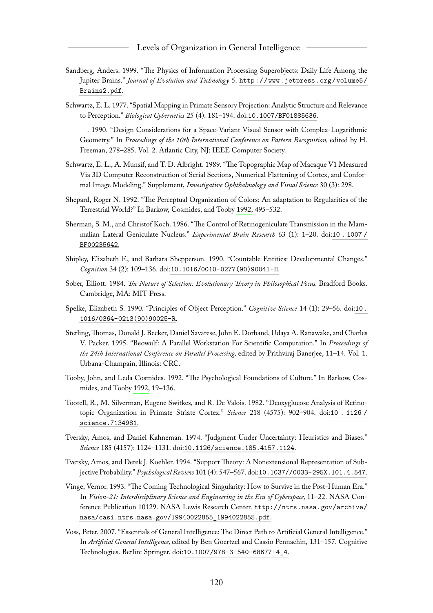- Sandberg, Anders. 1999. "The Physics of Information Processing Superobjects: Daily Life Among the Jupiter Brains." *Journal of Evolution and Technology* 5. [http://www.jetpress.org/volume5/](http://www.jetpress.org/volume5/Brains2.pdf) [Brains2.pdf](http://www.jetpress.org/volume5/Brains2.pdf).
- Schwartz, E. L. 1977. "Spatial Mapping in Primate Sensory Projection: Analytic Structure and Relevance to Perception." *Biological Cybernetics* 25 (4): 181–194. doi:[10.1007/BF01885636](http://dx.doi.org/10.1007/BF01885636).

. 1990. "Design Considerations for a Space-Variant Visual Sensor with Complex-Logarithmic Geometry." In *Proceedings of the 10th International Conference on Pattern Recognition,* edited by H. Freeman, 278–285. Vol. 2. Atlantic City, NJ: IEEE Computer Society.

- Schwartz, E. L., A. Munsif, and T. D. Albright. 1989. "The Topographic Map of Macaque V1 Measured Via 3D Computer Reconstruction of Serial Sections, Numerical Flattening of Cortex, and Conformal Image Modeling." Supplement, *Investigative Ophthalmology and Visual Science* 30 (3): 298.
- Shepard, Roger N. 1992. "The Perceptual Organization of Colors: An adaptation to Regularities of the Terrestrial World?" In Barkow, Cosmides, and Tooby [1992,](#page-115-1) 495–532.
- Sherman, S. M., and Christof Koch. 1986. "The Control of Retinogeniculate Transmission in the Mammalian Lateral Geniculate Nucleus." *Experimental Brain Research* 63 (1): 1–20. doi:[10 . 1007 /](http://dx.doi.org/10.1007/BF00235642) [BF00235642](http://dx.doi.org/10.1007/BF00235642).
- Shipley, Elizabeth F., and Barbara Shepperson. 1990. "Countable Entities: Developmental Changes." *Cognition* 34 (2): 109–136. doi:[10.1016/0010-0277\(90\)90041-H](http://dx.doi.org/10.1016/0010-0277(90)90041-H).
- Sober, Elliott. 1984. *The Nature of Selection: Evolutionary Theory in Philosophical Focus.* Bradford Books. Cambridge, MA: MIT Press.
- Spelke, Elizabeth S. 1990. "Principles of Object Perception." *Cognitive Science* 14 (1): 29–56. doi:[10.](http://dx.doi.org/10.1016/0364-0213(90)90025-R) [1016/0364-0213\(90\)90025-R](http://dx.doi.org/10.1016/0364-0213(90)90025-R).
- Sterling, Thomas, Donald J. Becker, Daniel Savarese, John E. Dorband, Udaya A. Ranawake, and Charles V. Packer. 1995. "Beowulf: A Parallel Workstation For Scientific Computation." In *Proceedings of the 24th International Conference on Parallel Processing,* edited by Prithviraj Banerjee, 11–14. Vol. 1. Urbana-Champain, Illinois: CRC.
- Tooby, John, and Leda Cosmides. 1992. "The Psychological Foundations of Culture." In Barkow, Cosmides, and Tooby [1992,](#page-115-1) 19–136.
- Tootell, R., M. Silverman, Eugene Switkes, and R. De Valois. 1982. "Deoxyglucose Analysis of Retinotopic Organization in Primate Striate Cortex." *Science* 218 (4575): 902–904. doi:[10 . 1126 /](http://dx.doi.org/10.1126/science.7134981) [science.7134981](http://dx.doi.org/10.1126/science.7134981).
- Tversky, Amos, and Daniel Kahneman. 1974. "Judgment Under Uncertainty: Heuristics and Biases." *Science* 185 (4157): 1124–1131. doi:[10.1126/science.185.4157.1124](http://dx.doi.org/10.1126/science.185.4157.1124).
- Tversky, Amos, and Derek J. Koehler. 1994. "Support Theory: A Nonextensional Representation of Subjective Probability." *Psychological Review* 101 (4): 547–567. doi:[10.1037//0033-295X.101.4.547](http://dx.doi.org/10.1037//0033-295X.101.4.547).
- <span id="page-120-0"></span>Vinge, Vernor. 1993. "The Coming Technological Singularity: How to Survive in the Post-Human Era." In *Vision-21: Interdisciplinary Science and Engineering in the Era of Cyberspace,* 11–22. NASA Conference Publication 10129. NASA Lewis Research Center. [http://ntrs.nasa.gov/archive/](http://ntrs.nasa.gov/archive/nasa/casi.ntrs.nasa.gov/19940022855_1994022855.pdf) [nasa/casi.ntrs.nasa.gov/19940022855\\_1994022855.pdf](http://ntrs.nasa.gov/archive/nasa/casi.ntrs.nasa.gov/19940022855_1994022855.pdf).
- Voss, Peter. 2007. "Essentials of General Intelligence: The Direct Path to Artificial General Intelligence." In *Artificial General Intelligence,* edited by Ben Goertzel and Cassio Pennachin, 131–157. Cognitive Technologies. Berlin: Springer. doi:[10.1007/978-3-540-68677-4\\_4](http://dx.doi.org/10.1007/978-3-540-68677-4_4).